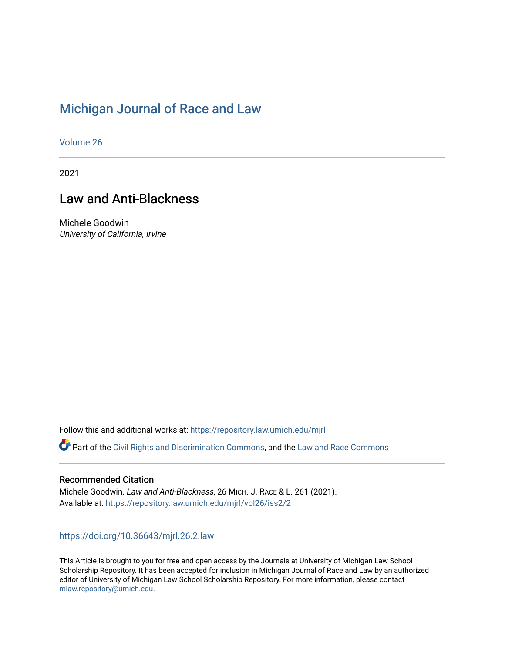# [Michigan Journal of Race and Law](https://repository.law.umich.edu/mjrl)

[Volume 26](https://repository.law.umich.edu/mjrl/vol26)

2021

# Law and Anti-Blackness

Michele Goodwin University of California, Irvine

Follow this and additional works at: [https://repository.law.umich.edu/mjrl](https://repository.law.umich.edu/mjrl?utm_source=repository.law.umich.edu%2Fmjrl%2Fvol26%2Fiss2%2F2&utm_medium=PDF&utm_campaign=PDFCoverPages) 

Part of the [Civil Rights and Discrimination Commons,](http://network.bepress.com/hgg/discipline/585?utm_source=repository.law.umich.edu%2Fmjrl%2Fvol26%2Fiss2%2F2&utm_medium=PDF&utm_campaign=PDFCoverPages) and the Law and Race Commons

# Recommended Citation

Michele Goodwin, Law and Anti-Blackness, 26 MICH. J. RACE & L. 261 (2021). Available at: [https://repository.law.umich.edu/mjrl/vol26/iss2/2](https://repository.law.umich.edu/mjrl/vol26/iss2/2?utm_source=repository.law.umich.edu%2Fmjrl%2Fvol26%2Fiss2%2F2&utm_medium=PDF&utm_campaign=PDFCoverPages) 

# <https://doi.org/10.36643/mjrl.26.2.law>

This Article is brought to you for free and open access by the Journals at University of Michigan Law School Scholarship Repository. It has been accepted for inclusion in Michigan Journal of Race and Law by an authorized editor of University of Michigan Law School Scholarship Repository. For more information, please contact [mlaw.repository@umich.edu.](mailto:mlaw.repository@umich.edu)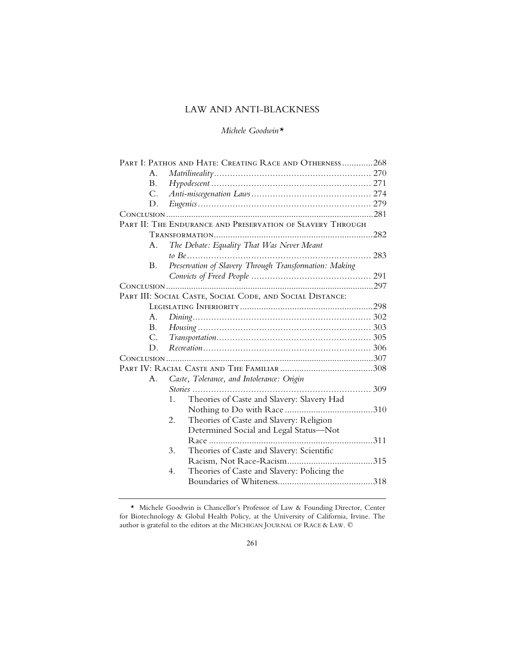# LAW AND ANTI-BLACKNESS

## *Michele Goodwin\**

| PART I: PATHOS AND HATE: CREATING RACE AND OTHERNESS268    |                                                        |  |  |  |
|------------------------------------------------------------|--------------------------------------------------------|--|--|--|
| $A_{\cdot}$                                                | $\textit{Matrix}$ 270                                  |  |  |  |
| B.                                                         |                                                        |  |  |  |
| $C_{\cdot}$                                                |                                                        |  |  |  |
| D.                                                         |                                                        |  |  |  |
|                                                            |                                                        |  |  |  |
| PART II: THE ENDURANCE AND PRESERVATION OF SLAVERY THROUGH |                                                        |  |  |  |
|                                                            |                                                        |  |  |  |
| A.                                                         | The Debate: Equality That Was Never Meant              |  |  |  |
|                                                            |                                                        |  |  |  |
| B.                                                         | Preservation of Slavery Through Transformation: Making |  |  |  |
|                                                            |                                                        |  |  |  |
|                                                            |                                                        |  |  |  |
| PART III: SOCIAL CASTE, SOCIAL CODE, AND SOCIAL DISTANCE:  |                                                        |  |  |  |
|                                                            |                                                        |  |  |  |
| A.                                                         |                                                        |  |  |  |
| <b>B.</b>                                                  |                                                        |  |  |  |
| C.                                                         |                                                        |  |  |  |
| D.                                                         |                                                        |  |  |  |
|                                                            |                                                        |  |  |  |
|                                                            |                                                        |  |  |  |
| A.                                                         | Caste, Tolerance, and Intolerance: Origin              |  |  |  |
|                                                            |                                                        |  |  |  |
|                                                            | Theories of Caste and Slavery: Slavery Had<br>1.       |  |  |  |
|                                                            |                                                        |  |  |  |
|                                                            | Theories of Caste and Slavery: Religion<br>2.          |  |  |  |
|                                                            | Determined Social and Legal Status-Not                 |  |  |  |
|                                                            |                                                        |  |  |  |
|                                                            | Theories of Caste and Slavery: Scientific<br>3.        |  |  |  |
|                                                            |                                                        |  |  |  |
|                                                            | Theories of Caste and Slavery: Policing the<br>4.      |  |  |  |
|                                                            |                                                        |  |  |  |
|                                                            |                                                        |  |  |  |

 <sup>\*</sup> Michele Goodwin is Chancellor's Professor of Law & Founding Director, Center for Biotechnology & Global Health Policy, at the University of California, Irvine. The author is grateful to the editors at the MICHIGAN JOURNAL OF RACE & LAW. ©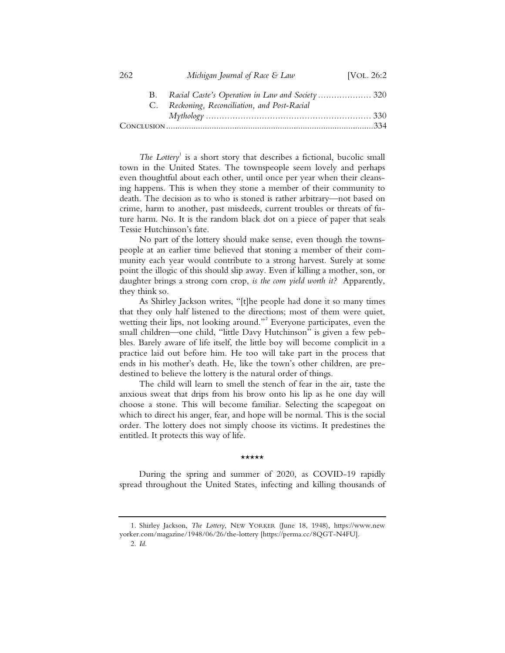| 262 |          | Michigan Journal of Race & Law             | [VOL. 26:2 |
|-----|----------|--------------------------------------------|------------|
|     | B.<br>C. | Reckoning, Reconciliation, and Post-Racial |            |
|     |          |                                            |            |
|     |          |                                            |            |

*The Lottery*<sup>1</sup> is a short story that describes a fictional, bucolic small town in the United States. The townspeople seem lovely and perhaps even thoughtful about each other, until once per year when their cleansing happens. This is when they stone a member of their community to death. The decision as to who is stoned is rather arbitrary—not based on crime, harm to another, past misdeeds, current troubles or threats of future harm. No. It is the random black dot on a piece of paper that seals Tessie Hutchinson's fate.

No part of the lottery should make sense, even though the townspeople at an earlier time believed that stoning a member of their community each year would contribute to a strong harvest. Surely at some point the illogic of this should slip away. Even if killing a mother, son, or daughter brings a strong corn crop, *is the corn yield worth it?* Apparently, they think so.

As Shirley Jackson writes, "[t]he people had done it so many times that they only half listened to the directions; most of them were quiet, wetting their lips, not looking around."<sup>2</sup> Everyone participates, even the small children—one child, "little Davy Hutchinson" is given a few pebbles. Barely aware of life itself, the little boy will become complicit in a practice laid out before him. He too will take part in the process that ends in his mother's death. He, like the town's other children, are predestined to believe the lottery is the natural order of things.

The child will learn to smell the stench of fear in the air, taste the anxious sweat that drips from his brow onto his lip as he one day will choose a stone. This will become familiar. Selecting the scapegoat on which to direct his anger, fear, and hope will be normal. This is the social order. The lottery does not simply choose its victims. It predestines the entitled. It protects this way of life.

#### \*\*\*\*\*

During the spring and summer of 2020, as COVID-19 rapidly spread throughout the United States, infecting and killing thousands of

2. *Id.*

<sup>1.</sup> Shirley Jackson, *The Lottery*, NEW YORKER (June 18, 1948), https://www.new yorker.com/magazine/1948/06/26/the-lottery [https://perma.cc/8QGT-N4FU].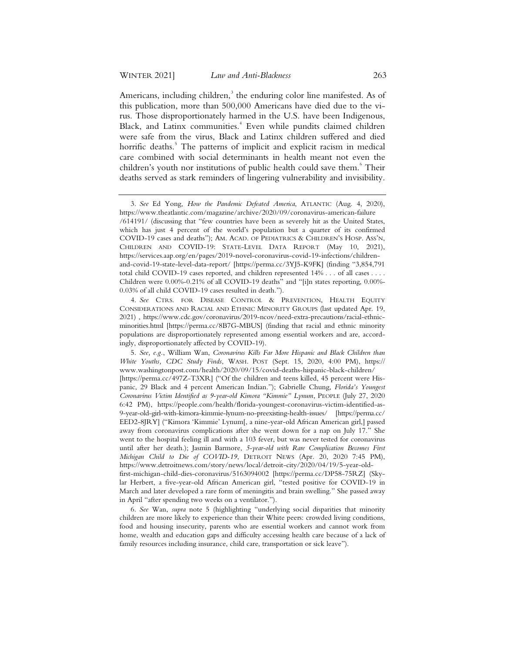Americans, including children,<sup>3</sup> the enduring color line manifested. As of this publication, more than 500,000 Americans have died due to the virus. Those disproportionately harmed in the U.S. have been Indigenous, Black, and Latinx communities.<sup>4</sup> Even while pundits claimed children were safe from the virus, Black and Latinx children suffered and died horrific deaths.<sup>5</sup> The patterns of implicit and explicit racism in medical care combined with social determinants in health meant not even the children's youth nor institutions of public health could save them.<sup>6</sup> Their deaths served as stark reminders of lingering vulnerability and invisibility.

<sup>3.</sup> *See* Ed Yong, *How the Pandemic Defeated America*, ATLANTIC (Aug. 4, 2020), https://www.theatlantic.com/magazine/archive/2020/09/coronavirus-american-failure /614191/ (discussing that "few countries have been as severely hit as the United States, which has just 4 percent of the world's population but a quarter of its confirmed COVID-19 cases and deaths"); AM. ACAD. OF PEDIATRICS & CHILDREN'S HOSP. ASS'N, CHILDREN AND COVID-19: STATE-LEVEL DATA REPORT (May 10, 2021), https://services.aap.org/en/pages/2019-novel-coronavirus-covid-19-infections/childrenand-covid-19-state-level-data-report/ [https://perma.cc/3YJ5-K9FK] (finding "3,854,791 total child COVID-19 cases reported, and children represented 14% . . . of all cases . . . . Children were 0.00%-0.21% of all COVID-19 deaths" and "[i]n states reporting, 0.00%- 0.03% of all child COVID-19 cases resulted in death.").

<sup>4.</sup> *See* CTRS. FOR DISEASE CONTROL & PREVENTION, HEALTH EQUITY CONSIDERATIONS AND RACIAL AND ETHNIC MINORITY GROUPS (last updated Apr. 19, 2021) , https://www.cdc.gov/coronavirus/2019-ncov/need-extra-precautions/racial-ethnicminorities.html [https://perma.cc/8B7G-MBUS] (finding that racial and ethnic minority populations are disproportionately represented among essential workers and are, accordingly, disproportionately affected by COVID-19).

<sup>5.</sup> *See, e.g.*, William Wan, *Coronavirus Kills Far More Hispanic and Black Children than White Youths, CDC Study Finds*, WASH. POST (Sept. 15, 2020, 4:00 PM), https:// www.washingtonpost.com/health/2020/09/15/covid-deaths-hispanic-black-children/ [https://perma.cc/497Z-T3XR] ("Of the children and teens killed, 45 percent were Hispanic, 29 Black and 4 percent American Indian."); Gabrielle Chung, *Florida's Youngest Coronavirus Victim Identified as 9-year-old Kimora "Kimmie" Lynum*, PEOPLE (July 27, 2020 6:42 PM), https://people.com/health/florida-youngest-coronavirus-victim-identified-as-

<sup>9-</sup>year-old-girl-with-kimora-kimmie-lynum-no-preexisting-health-issues/ [https://perma.cc/ EED2-8JRY] ("Kimora 'Kimmie' Lynum[, a nine-year-old African American girl,] passed away from coronavirus complications after she went down for a nap on July 17." She went to the hospital feeling ill and with a 103 fever, but was never tested for coronavirus until after her death.); Jasmin Barmore, *5-year-old with Rare Complication Becomes First Michigan Child to Die of COVID-19*, DETROIT NEWS (Apr. 20, 2020 7:45 PM), https://www.detroitnews.com/story/news/local/detroit-city/2020/04/19/5-year-old-

first-michigan-child-dies-coronavirus/5163094002 [https://perma.cc/DP58-75RZ] (Skylar Herbert, a five-year-old African American girl, "tested positive for COVID-19 in March and later developed a rare form of meningitis and brain swelling." She passed away in April "after spending two weeks on a ventilator.").

<sup>6.</sup> *See* Wan, *supra* note 5 (highlighting "underlying social disparities that minority children are more likely to experience than their White peers: crowded living conditions, food and housing insecurity, parents who are essential workers and cannot work from home, wealth and education gaps and difficulty accessing health care because of a lack of family resources including insurance, child care, transportation or sick leave").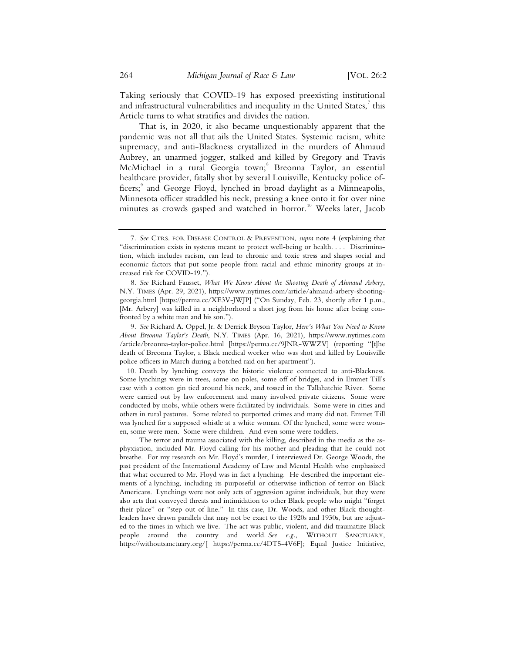Taking seriously that COVID-19 has exposed preexisting institutional and infrastructural vulnerabilities and inequality in the United States, $^7$  this Article turns to what stratifies and divides the nation.

That is, in 2020, it also became unquestionably apparent that the pandemic was not all that ails the United States. Systemic racism, white supremacy, and anti-Blackness crystallized in the murders of Ahmaud Aubrey, an unarmed jogger, stalked and killed by Gregory and Travis McMichael in a rural Georgia town;<sup>8</sup> Breonna Taylor, an essential healthcare provider, fatally shot by several Louisville, Kentucky police officers;<sup>9</sup> and George Floyd, lynched in broad daylight as a Minneapolis, Minnesota officer straddled his neck, pressing a knee onto it for over nine minutes as crowds gasped and watched in horror.<sup>10</sup> Weeks later, Jacob

 9. *See* Richard A. Oppel, Jr. & Derrick Bryson Taylor, *Here's What You Need to Know About Breonna Taylor's Death*, N.Y. TIMES (Apr. 16, 2021), https://www.nytimes.com /article/breonna-taylor-police.html [https://perma.cc/9JNR-WWZV] (reporting "[t]he death of Breonna Taylor, a Black medical worker who was shot and killed by Louisville police officers in March during a botched raid on her apartment").

 10. Death by lynching conveys the historic violence connected to anti-Blackness. Some lynchings were in trees, some on poles, some off of bridges, and in Emmet Till's case with a cotton gin tied around his neck, and tossed in the Tallahatchie River. Some were carried out by law enforcement and many involved private citizens. Some were conducted by mobs, while others were facilitated by individuals. Some were in cities and others in rural pastures. Some related to purported crimes and many did not. Emmet Till was lynched for a supposed whistle at a white woman. Of the lynched, some were women, some were men. Some were children. And even some were toddlers.

The terror and trauma associated with the killing, described in the media as the asphyxiation, included Mr. Floyd calling for his mother and pleading that he could not breathe. For my research on Mr. Floyd's murder, I interviewed Dr. George Woods, the past president of the International Academy of Law and Mental Health who emphasized that what occurred to Mr. Floyd was in fact a lynching. He described the important elements of a lynching, including its purposeful or otherwise infliction of terror on Black Americans. Lynchings were not only acts of aggression against individuals, but they were also acts that conveyed threats and intimidation to other Black people who might "forget their place" or "step out of line." In this case, Dr. Woods, and other Black thoughtleaders have drawn parallels that may not be exact to the 1920s and 1930s, but are adjusted to the times in which we live. The act was public, violent, and did traumatize Black people around the country and world. *See e.g.*, WITHOUT SANCTUARY, https://withoutsanctuary.org/[ https://perma.cc/4DT5-4V6F]; Equal Justice Initiative,

 <sup>7.</sup> *See* CTRS. FOR DISEASE CONTROL & PREVENTION, *supra* note 4 (explaining that "discrimination exists in systems meant to protect well-being or health. . . . Discrimination, which includes racism, can lead to chronic and toxic stress and shapes social and economic factors that put some people from racial and ethnic minority groups at increased risk for COVID-19.").

 <sup>8.</sup> *See* Richard Fausset, *What We Know About the Shooting Death of Ahmaud Arbery*, N.Y. TIMES (Apr. 29, 2021), https://www.nytimes.com/article/ahmaud-arbery-shootinggeorgia.html [https://perma.cc/XE3V-JWJP] ("On Sunday, Feb. 23, shortly after 1 p.m., [Mr. Arbery] was killed in a neighborhood a short jog from his home after being confronted by a white man and his son.").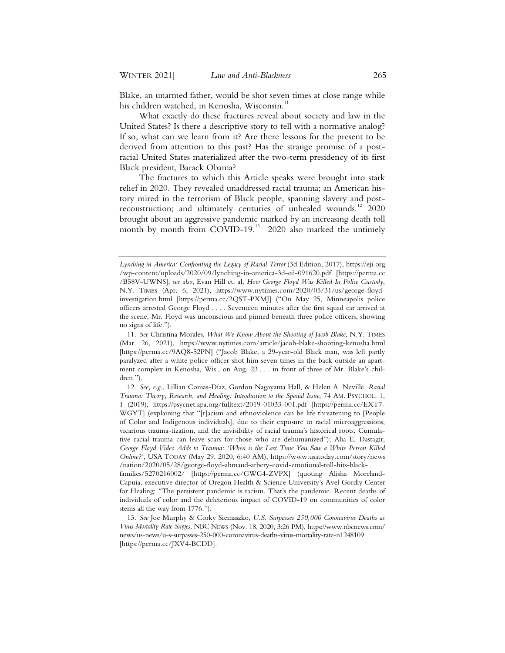Blake, an unarmed father, would be shot seven times at close range while his children watched, in Kenosha, Wisconsin.<sup>1</sup>

What exactly do these fractures reveal about society and law in the United States? Is there a descriptive story to tell with a normative analog? If so, what can we learn from it? Are there lessons for the present to be derived from attention to this past? Has the strange promise of a postracial United States materialized after the two-term presidency of its first Black president, Barack Obama?

The fractures to which this Article speaks were brought into stark relief in 2020. They revealed unaddressed racial trauma; an American history mired in the terrorism of Black people, spanning slavery and postreconstruction; and ultimately centuries of unhealed wounds.<sup>12</sup> 2020 brought about an aggressive pandemic marked by an increasing death toll month by month from COVID-19.<sup>13</sup> 2020 also marked the untimely

*Lynching in America: Confronting the Legacy of Racial Terror* (3d Edition, 2017), https://eji.org /wp-content/uploads/2020/09/lynching-in-america-3d-ed-091620.pdf [https://perma.cc /B58V-UWNS]; *see also*, Evan Hill et. al, *How George Floyd Was Killed In Police Custody*, N.Y. TIMES (Apr. 6, 2021), https://www.nytimes.com/2020/05/31/us/george-floydinvestigation.html [https://perma.cc/2QST-PXMJ] ("On May 25, Minneapolis police officers arrested George Floyd . . . . Seventeen minutes after the first squad car arrived at the scene, Mr. Floyd was unconscious and pinned beneath three police officers, showing no signs of life.").

 <sup>11.</sup> *See* Christina Morales, *What We Know About the Shooting of Jacob Blake*, N.Y. TIMES (Mar. 26, 2021), https://www.nytimes.com/article/jacob-blake-shooting-kenosha.html [https://perma.cc/9AQ8-52PN] ("Jacob Blake, a 29-year-old Black man, was left partly paralyzed after a white police officer shot him seven times in the back outside an apartment complex in Kenosha, Wis., on Aug. 23 . . . in front of three of Mr. Blake's children.").

 <sup>12.</sup> *See, e.g.*, Lillian Comas-Díaz, Gordon Nagayama Hall, & Helen A. Neville, *Racial Trauma: Theory, Research, and Healing: Introduction to the Special Issue*, 74 AM. PSYCHOL. 1, 1 (2019), https://psycnet.apa.org/fulltext/2019-01033-001.pdf [https://perma.cc/EXT7- WGYT] (explaining that "[r]acism and ethnoviolence can be life threatening to [People of Color and Indigenous individuals], due to their exposure to racial microaggressions, vicarious trauma-tization, and the invisibility of racial trauma's historical roots. Cumulative racial trauma can leave scars for those who are dehumanized"); Alia E. Dastagir, *George Floyd Video Adds to Trauma: 'When is the Last Time You Saw a White Person Killed Online?'*, USA TODAY (May 29, 2020, 6:40 AM), https://www.usatoday.com/story/news /nation/2020/05/28/george-floyd-ahmaud-arbery-covid-emotional-toll-hits-black-

families/5270216002/ [https://perma.cc/GWG4-ZVPX] (quoting Alisha Moreland-Capuia, executive director of Oregon Health & Science University's Avel Gordly Center for Healing: "The persistent pandemic is racism. That's the pandemic. Recent deaths of individuals of color and the deleterious impact of COVID-19 on communities of color stems all the way from 1776.").

 <sup>13.</sup> *See* Joe Murphy & Corky Siemaszko, *U.S. Surpasses 250,000 Coronavirus Deaths as Virus Mortality Rate Surges*, NBC NEWS (Nov. 18, 2020, 3:26 PM), https://www.nbcnews.com/ news/us-news/u-s-surpasses-250-000-coronavirus-deaths-virus-mortality-rate-n1248109 [https://perma.cc/JXV4-BCDD].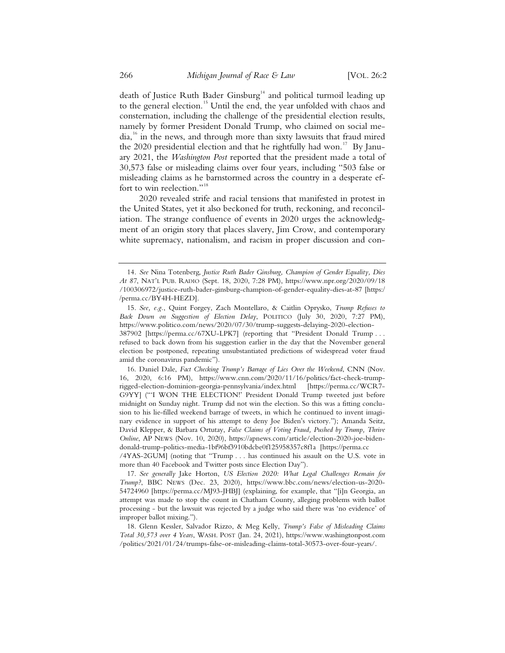death of Justice Ruth Bader Ginsburg<sup>14</sup> and political turmoil leading up to the general election.<sup>15</sup> Until the end, the year unfolded with chaos and consternation, including the challenge of the presidential election results, namely by former President Donald Trump, who claimed on social media,<sup>16</sup> in the news, and through more than sixty lawsuits that fraud mired the 2020 presidential election and that he rightfully had won.<sup>17</sup> By January 2021, the *Washington Post* reported that the president made a total of 30,573 false or misleading claims over four years, including "503 false or misleading claims as he barnstormed across the country in a desperate effort to win reelection."<sup>18</sup>

2020 revealed strife and racial tensions that manifested in protest in the United States, yet it also beckoned for truth, reckoning, and reconciliation. The strange confluence of events in 2020 urges the acknowledgment of an origin story that places slavery, Jim Crow, and contemporary white supremacy, nationalism, and racism in proper discussion and con-

<sup>14.</sup> *See* Nina Totenberg, *Justice Ruth Bader Ginsburg, Champion of Gender Equality, Dies At 87*, NAT'L PUB. RADIO (Sept. 18, 2020, 7:28 PM), https://www.npr.org/2020/09/18 /100306972/justice-ruth-bader-ginsburg-champion-of-gender-equality-dies-at-87 [https:/ /perma.cc/BY4H-HEZD].

<sup>15.</sup> *See, e.g.*, Quint Forgey, Zach Montellaro, & Caitlin Oprysko, *Trump Refuses to Back Down on Suggestion of Election Delay*, POLITICO (July 30, 2020, 7:27 PM), https://www.politico.com/news/2020/07/30/trump-suggests-delaying-2020-election-387902 [https://perma.cc/67XU-LPK7] (reporting that "President Donald Trump . . . refused to back down from his suggestion earlier in the day that the November general

election be postponed, repeating unsubstantiated predictions of widespread voter fraud amid the coronavirus pandemic").

<sup>16.</sup> Daniel Dale, *Fact Checking Trump's Barrage of Lies Over the Weekend*, CNN (Nov. 16, 2020, 6:16 PM), https://www.cnn.com/2020/11/16/politics/fact-check-trumprigged-election-dominion-georgia-pennsylvania/index.html [https://perma.cc/WCR7- G9YY] ("'I WON THE ELECTION!' President Donald Trump tweeted just before midnight on Sunday night. Trump did not win the election. So this was a fitting conclusion to his lie-filled weekend barrage of tweets, in which he continued to invent imaginary evidence in support of his attempt to deny Joe Biden's victory."); Amanda Seitz, David Klepper, & Barbara Ortutay, *False Claims of Voting Fraud, Pushed by Trump, Thrive Online*, AP NEWS (Nov. 10, 2020), https://apnews.com/article/election-2020-joe-bidendonald-trump-politics-media-1bf96bf3910bdcbe0f125958357c8f1a [https://perma.cc

<sup>/4</sup>YAS-2GUM] (noting that "Trump . . . has continued his assault on the U.S. vote in more than 40 Facebook and Twitter posts since Election Day").

<sup>17.</sup> *See generally* Jake Horton, *US Election 2020: What Legal Challenges Remain for Trump?*, BBC NEWS (Dec. 23, 2020), https://www.bbc.com/news/election-us-2020- 54724960 [https://perma.cc/MJ93-JHBJ] (explaining, for example, that "[i]n Georgia, an attempt was made to stop the count in Chatham County, alleging problems with ballot processing - but the lawsuit was rejected by a judge who said there was 'no evidence' of improper ballot mixing.").

<sup>18.</sup> Glenn Kessler, Salvador Rizzo, & Meg Kelly, *Trump's False of Misleading Claims Total 30,573 over 4 Years*, WASH. POST (Jan. 24, 2021), https://www.washingtonpost.com /politics/2021/01/24/trumps-false-or-misleading-claims-total-30573-over-four-years/.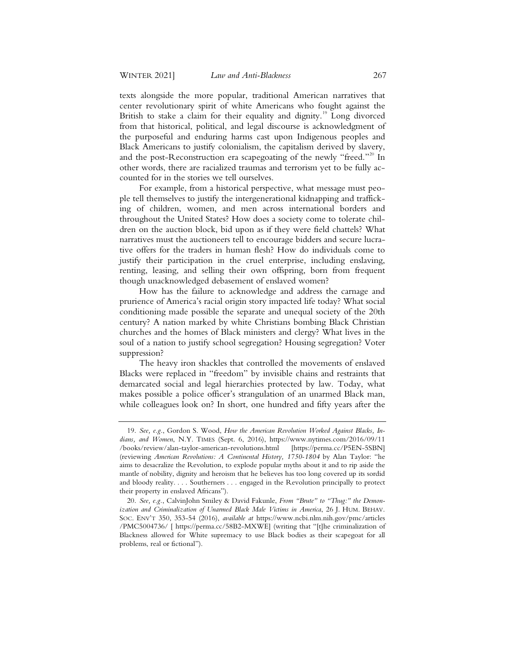texts alongside the more popular, traditional American narratives that center revolutionary spirit of white Americans who fought against the British to stake a claim for their equality and dignity.<sup>19</sup> Long divorced from that historical, political, and legal discourse is acknowledgment of the purposeful and enduring harms cast upon Indigenous peoples and Black Americans to justify colonialism, the capitalism derived by slavery, and the post-Reconstruction era scapegoating of the newly "freed."<sup>20</sup> In other words, there are racialized traumas and terrorism yet to be fully accounted for in the stories we tell ourselves.

For example, from a historical perspective, what message must people tell themselves to justify the intergenerational kidnapping and trafficking of children, women, and men across international borders and throughout the United States? How does a society come to tolerate children on the auction block, bid upon as if they were field chattels? What narratives must the auctioneers tell to encourage bidders and secure lucrative offers for the traders in human flesh? How do individuals come to justify their participation in the cruel enterprise, including enslaving, renting, leasing, and selling their own offspring, born from frequent though unacknowledged debasement of enslaved women?

How has the failure to acknowledge and address the carnage and prurience of America's racial origin story impacted life today? What social conditioning made possible the separate and unequal society of the 20th century? A nation marked by white Christians bombing Black Christian churches and the homes of Black ministers and clergy? What lives in the soul of a nation to justify school segregation? Housing segregation? Voter suppression?

The heavy iron shackles that controlled the movements of enslaved Blacks were replaced in "freedom" by invisible chains and restraints that demarcated social and legal hierarchies protected by law. Today, what makes possible a police officer's strangulation of an unarmed Black man, while colleagues look on? In short, one hundred and fifty years after the

<sup>19.</sup> *See, e.g.*, Gordon S. Wood, *How the American Revolution Worked Against Blacks, Indians, and Women*, N.Y. TIMES (Sept. 6, 2016), https://www.nytimes.com/2016/09/11 /books/review/alan-taylor-american-revolutions.html [https://perma.cc/P5EN-5SBN] (reviewing *American Revolutions: A Continental History, 1750-1804* by Alan Taylor: "he aims to desacralize the Revolution, to explode popular myths about it and to rip aside the mantle of nobility, dignity and heroism that he believes has too long covered up its sordid and bloody reality. . . . Southerners . . . engaged in the Revolution principally to protect their property in enslaved Africans").

<sup>20.</sup> *See, e.g.*, CalvinJohn Smiley & David Fakunle, *From "Brute" to "Thug:" the Demonization and Criminalization of Unarmed Black Male Victims in America*, 26 J. HUM. BEHAV. SOC. ENV'T 350, 353-54 (2016), *available at* https://www.ncbi.nlm.nih.gov/pmc/articles /PMC5004736/ [ https://perma.cc/58B2-MXWE] (writing that "[t]he criminalization of Blackness allowed for White supremacy to use Black bodies as their scapegoat for all problems, real or fictional").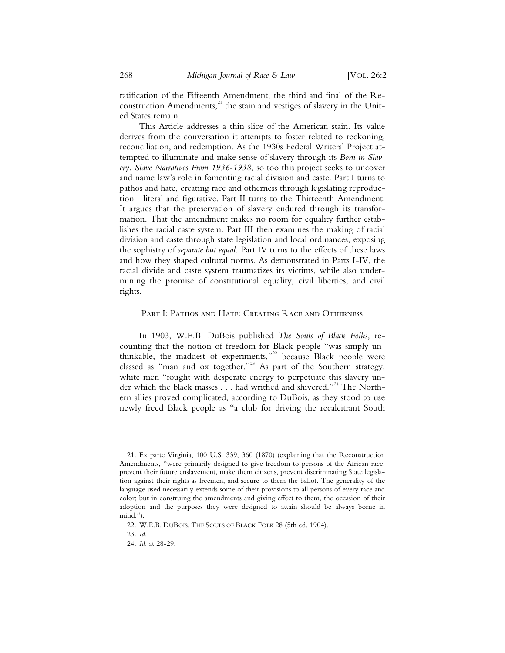ratification of the Fifteenth Amendment, the third and final of the Reconstruction Amendments, $^{21}$  the stain and vestiges of slavery in the United States remain.

This Article addresses a thin slice of the American stain. Its value derives from the conversation it attempts to foster related to reckoning, reconciliation, and redemption. As the 1930s Federal Writers' Project attempted to illuminate and make sense of slavery through its *Born in Slavery: Slave Narratives From 1936-1938,* so too this project seeks to uncover and name law's role in fomenting racial division and caste. Part I turns to pathos and hate, creating race and otherness through legislating reproduction—literal and figurative. Part II turns to the Thirteenth Amendment. It argues that the preservation of slavery endured through its transformation. That the amendment makes no room for equality further establishes the racial caste system. Part III then examines the making of racial division and caste through state legislation and local ordinances, exposing the sophistry of *separate but equal.* Part IV turns to the effects of these laws and how they shaped cultural norms. As demonstrated in Parts I-IV, the racial divide and caste system traumatizes its victims, while also undermining the promise of constitutional equality, civil liberties, and civil rights.

#### PART I: PATHOS AND HATE: CREATING RACE AND OTHERNESS

In 1903, W.E.B. DuBois published *The Souls of Black Folks,* recounting that the notion of freedom for Black people "was simply unthinkable, the maddest of experiments,"<sup>22</sup> because Black people were classed as "man and ox together."<sup>23</sup> As part of the Southern strategy, white men "fought with desperate energy to perpetuate this slavery under which the black masses . . . had writhed and shivered."<sup>24</sup> The Northern allies proved complicated, according to DuBois, as they stood to use newly freed Black people as "a club for driving the recalcitrant South

<sup>21.</sup> Ex parte Virginia, 100 U.S. 339, 360 (1870) (explaining that the Reconstruction Amendments, "were primarily designed to give freedom to persons of the African race, prevent their future enslavement, make them citizens, prevent discriminating State legislation against their rights as freemen, and secure to them the ballot. The generality of the language used necessarily extends some of their provisions to all persons of every race and color; but in construing the amendments and giving effect to them, the occasion of their adoption and the purposes they were designed to attain should be always borne in mind.").

<sup>22.</sup> W.E.B. DUBOIS, THE SOULS OF BLACK FOLK 28 (5th ed. 1904).

<sup>23.</sup> *Id.*

<sup>24.</sup> *Id.* at 28-29.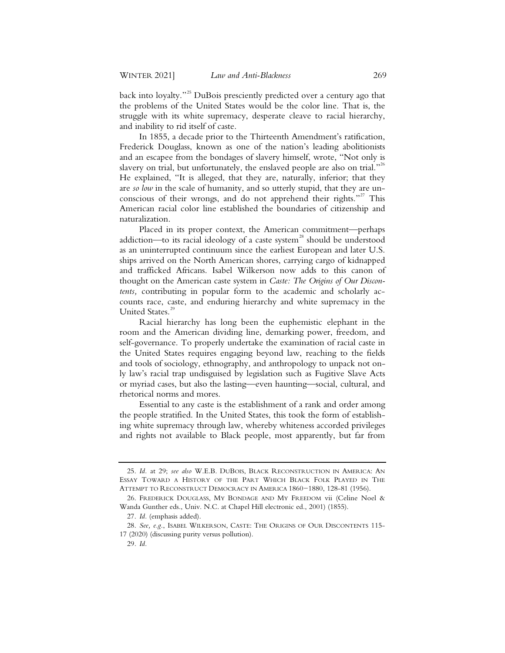back into loyalty."<sup>25</sup> DuBois presciently predicted over a century ago that the problems of the United States would be the color line. That is, the struggle with its white supremacy, desperate cleave to racial hierarchy, and inability to rid itself of caste.

In 1855, a decade prior to the Thirteenth Amendment's ratification, Frederick Douglass, known as one of the nation's leading abolitionists and an escapee from the bondages of slavery himself, wrote, "Not only is slavery on trial, but unfortunately, the enslaved people are also on trial."<sup>26</sup> He explained, "It is alleged, that they are, naturally, inferior; that they are *so low* in the scale of humanity, and so utterly stupid, that they are unconscious of their wrongs, and do not apprehend their rights."<sup>27</sup> This American racial color line established the boundaries of citizenship and naturalization.

Placed in its proper context, the American commitment—perhaps addiction—to its racial ideology of a caste system<sup>28</sup> should be understood as an uninterrupted continuum since the earliest European and later U.S. ships arrived on the North American shores, carrying cargo of kidnapped and trafficked Africans. Isabel Wilkerson now adds to this canon of thought on the American caste system in *Caste: The Origins of Our Discontents,* contributing in popular form to the academic and scholarly accounts race, caste, and enduring hierarchy and white supremacy in the United States.<sup>29</sup>

Racial hierarchy has long been the euphemistic elephant in the room and the American dividing line, demarking power, freedom, and self-governance. To properly undertake the examination of racial caste in the United States requires engaging beyond law, reaching to the fields and tools of sociology, ethnography, and anthropology to unpack not only law's racial trap undisguised by legislation such as Fugitive Slave Acts or myriad cases, but also the lasting—even haunting—social, cultural, and rhetorical norms and mores.

Essential to any caste is the establishment of a rank and order among the people stratified. In the United States, this took the form of establishing white supremacy through law, whereby whiteness accorded privileges and rights not available to Black people, most apparently, but far from

 <sup>25.</sup> *Id.* at 29; *see also* W.E.B. DUBOIS, BLACK RECONSTRUCTION IN AMERICA: AN ESSAY TOWARD A HISTORY OF THE PART WHICH BLACK FOLK PLAYED IN THE ATTEMPT TO RECONSTRUCT DEMOCRACY IN AMERICA 1860−1880, 128-81 (1956).

 <sup>26.</sup> FREDERICK DOUGLASS, MY BONDAGE AND MY FREEDOM vii (Celine Noel & Wanda Gunther eds., Univ. N.C. at Chapel Hill electronic ed., 2001) (1855).

 <sup>27.</sup> *Id.* (emphasis added).

 <sup>28.</sup> *See, e.g.*, ISABEL WILKERSON, CASTE: THE ORIGINS OF OUR DISCONTENTS 115- 17 (2020) (discussing purity versus pollution).

<sup>29</sup>*. Id.*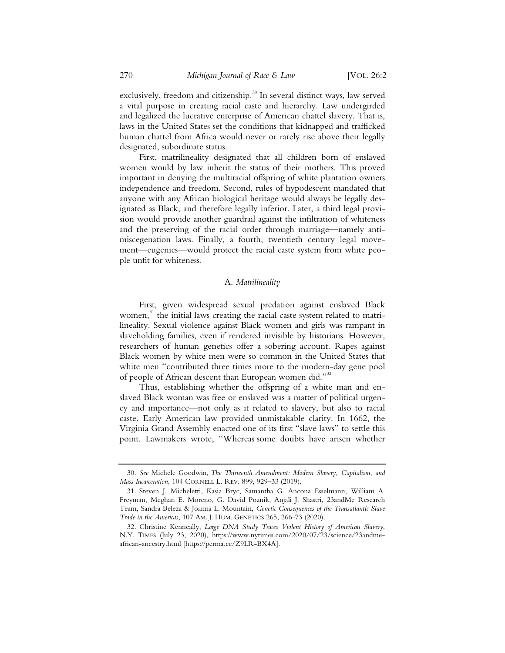exclusively, freedom and citizenship.<sup>30</sup> In several distinct ways, law served a vital purpose in creating racial caste and hierarchy. Law undergirded and legalized the lucrative enterprise of American chattel slavery. That is, laws in the United States set the conditions that kidnapped and trafficked human chattel from Africa would never or rarely rise above their legally designated, subordinate status.

First, matrilineality designated that all children born of enslaved women would by law inherit the status of their mothers. This proved important in denying the multiracial offspring of white plantation owners independence and freedom. Second, rules of hypodescent mandated that anyone with any African biological heritage would always be legally designated as Black, and therefore legally inferior. Later, a third legal provision would provide another guardrail against the infiltration of whiteness and the preserving of the racial order through marriage—namely antimiscegenation laws. Finally, a fourth, twentieth century legal movement—eugenics—would protect the racial caste system from white people unfit for whiteness.

#### A. *Matrilineality*

First, given widespread sexual predation against enslaved Black women, $31$  the initial laws creating the racial caste system related to matrilineality. Sexual violence against Black women and girls was rampant in slaveholding families, even if rendered invisible by historians. However, researchers of human genetics offer a sobering account. Rapes against Black women by white men were so common in the United States that white men "contributed three times more to the modern-day gene pool of people of African descent than European women did."<sup>32</sup>

Thus, establishing whether the offspring of a white man and enslaved Black woman was free or enslaved was a matter of political urgency and importance—not only as it related to slavery, but also to racial caste. Early American law provided unmistakable clarity. In 1662, the Virginia Grand Assembly enacted one of its first "slave laws" to settle this point. Lawmakers wrote, "Whereas some doubts have arisen whether

 <sup>30.</sup> *See* Michele Goodwin, *The Thirteenth Amendment: Modern Slavery, Capitalism, and Mass Incarceration*, 104 CORNELL L. REV. 899, 929–33 (2019).

 <sup>31.</sup> Steven J. Micheletti, Kasia Bryc, Samantha G. Ancona Esselmann, William A. Freyman, Meghan E. Moreno, G. David Poznik, Anjali J. Shastri, 23andMe Research Team, Sandra Beleza & Joanna L. Mountain, *Genetic Consequences of the Transatlantic Slave Trade in the Americas*, 107 AM. J. HUM. GENETICS 265, 266-73 (2020).

 <sup>32.</sup> Christine Kenneally, *Large DNA Study Traces Violent History of American Slavery*, N.Y. TIMES (July 23, 2020), https://www.nytimes.com/2020/07/23/science/23andmeafrican-ancestry.html [https://perma.cc/Z9LR-BX4A].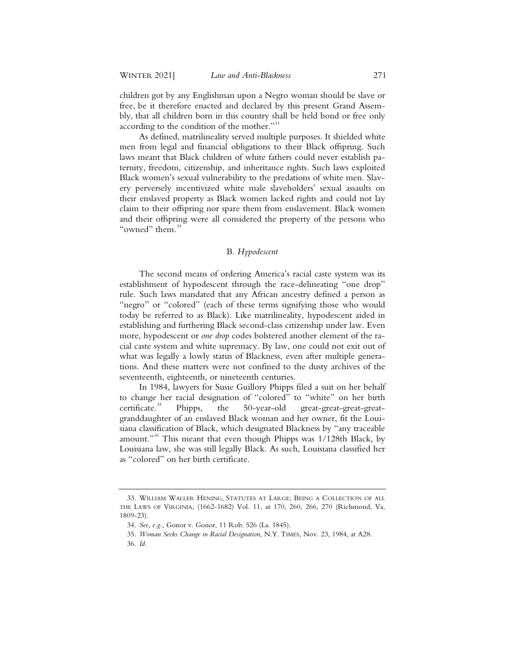children got by any Englishman upon a Negro woman should be slave or free, be it therefore enacted and declared by this present Grand Assembly, that all children born in this country shall be held bond or free only according to the condition of the mother."33

As defined, matrilineality served multiple purposes. It shielded white men from legal and financial obligations to their Black offspring. Such laws meant that Black children of white fathers could never establish paternity, freedom, citizenship, and inheritance rights. Such laws exploited Black women's sexual vulnerability to the predations of white men. Slavery perversely incentivized white male slaveholders' sexual assaults on their enslaved property as Black women lacked rights and could not lay claim to their offspring nor spare them from enslavement. Black women and their offspring were all considered the property of the persons who "owned" them.<sup>34</sup>

## B. *Hypodescent*

The second means of ordering America's racial caste system was its establishment of hypodescent through the race-delineating "one drop" rule. Such laws mandated that any African ancestry defined a person as "negro" or "colored" (each of these terms signifying those who would today be referred to as Black). Like matrilineality, hypodescent aided in establishing and furthering Black second-class citizenship under law. Even more, hypodescent or *one drop* codes bolstered another element of the racial caste system and white supremacy. By law, one could not exit out of what was legally a lowly status of Blackness, even after multiple generations. And these matters were not confined to the dusty archives of the seventeenth, eighteenth, or nineteenth centuries.

In 1984, lawyers for Susie Guillory Phipps filed a suit on her behalf to change her racial designation of "colored" to "white" on her birth<br>certificate.<sup>35</sup> Phipps, the 50-year-old great-great-great-great-Phipps, the 50-year-old great-great-great-greatgranddaughter of an enslaved Black woman and her owner, fit the Louisiana classification of Black, which designated Blackness by "any traceable amount."<sup>36</sup> This meant that even though Phipps was  $1/128$ th Black, by Louisiana law, she was still legally Black. As such, Louisiana classified her as "colored" on her birth certificate.

<sup>33.</sup> WILLIAM WALLER HENING, STATUTES AT LARGE; BEING A COLLECTION OF ALL THE LAWS OF VIRGINIA, (1662-1682) Vol. 11, at 170, 260, 266, 270 (Richmond, Va, 1809-23).

<sup>34.</sup> *See, e.g.*, Gonor v. Gonor, 11 Rob. 526 (La. 1845).

<sup>35.</sup> *Woman Seeks Change in Racial Designation*, N.Y. TIMES, Nov. 23, 1984, at A28.

<sup>36.</sup> *Id.*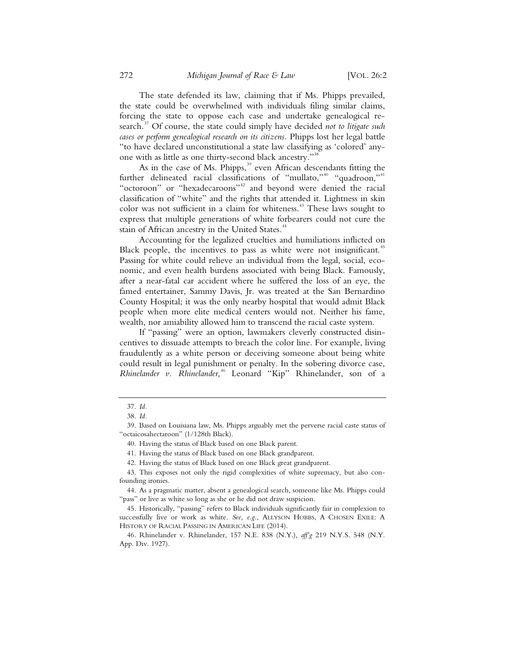The state defended its law, claiming that if Ms. Phipps prevailed, the state could be overwhelmed with individuals filing similar claims, forcing the state to oppose each case and undertake genealogical research.<sup>37</sup> Of course, the state could simply have decided *not to litigate such cases or perform genealogical research on its citizens.* Phipps lost her legal battle "to have declared unconstitutional a state law classifying as 'colored' anyone with as little as one thirty-second black ancestry."<sup>38</sup>

As in the case of Ms. Phipps, $39$  even African descendants fitting the further delineated racial classifications of "mullato,"<sup>40</sup> "quadroon,"<sup>41</sup> "octoroon" or "hexadecaroons"<sup>42</sup> and beyond were denied the racial classification of "white" and the rights that attended it. Lightness in skin color was not sufficient in a claim for whiteness.<sup>43</sup> These laws sought to express that multiple generations of white forbearers could not cure the stain of African ancestry in the United States.<sup>44</sup>

Accounting for the legalized cruelties and humiliations inflicted on Black people, the incentives to pass as white were not insignificant.<sup>45</sup> Passing for white could relieve an individual from the legal, social, economic, and even health burdens associated with being Black. Famously, after a near-fatal car accident where he suffered the loss of an eye, the famed entertainer, Sammy Davis, Jr. was treated at the San Bernardino County Hospital; it was the only nearby hospital that would admit Black people when more elite medical centers would not. Neither his fame, wealth, nor amiability allowed him to transcend the racial caste system.

If "passing" were an option, lawmakers cleverly constructed disincentives to dissuade attempts to breach the color line. For example, living fraudulently as a white person or deceiving someone about being white could result in legal punishment or penalty. In the sobering divorce case, *Rhinelander v. Rhinelander,*<sup>46</sup> Leonard "Kip" Rhinelander, son of a

<sup>37.</sup> *Id.*

<sup>38.</sup> *Id.*

<sup>39.</sup> Based on Louisiana law, Ms. Phipps arguably met the perverse racial caste status of "octaicosahectaroon" (1/128th Black).

<sup>40.</sup> Having the status of Black based on one Black parent.

<sup>41.</sup> Having the status of Black based on one Black grandparent.

<sup>42.</sup> Having the status of Black based on one Black great grandparent.

<sup>43.</sup> This exposes not only the rigid complexities of white supremacy, but also confounding ironies.

<sup>44.</sup> As a pragmatic matter, absent a genealogical search, someone like Ms. Phipps could "pass" or live as white so long as she or he did not draw suspicion.

<sup>45.</sup> Historically, "passing" refers to Black individuals significantly fair in complexion to successfully live or work as white. See, e.g., ALLYSON HOBBS, A CHOSEN EXILE: A HISTORY OF RACIAL PASSING IN AMERICAN LIFE (2014).

<sup>46.</sup> Rhinelander v. Rhinelander, 157 N.E. 838 (N.Y.), *aff'g* 219 N.Y.S. 548 (N.Y. App. Div. 1927).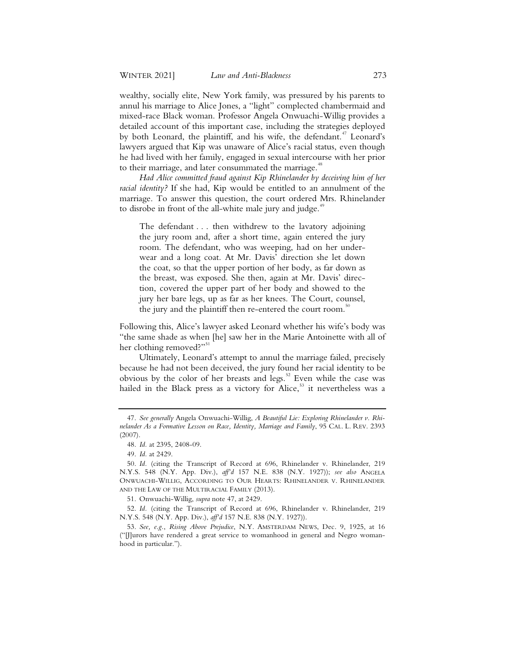wealthy, socially elite, New York family, was pressured by his parents to annul his marriage to Alice Jones, a "light" complected chambermaid and mixed-race Black woman. Professor Angela Onwuachi-Willig provides a detailed account of this important case, including the strategies deployed by both Leonard, the plaintiff, and his wife, the defendant.<sup>47</sup> Leonard's lawyers argued that Kip was unaware of Alice's racial status, even though he had lived with her family, engaged in sexual intercourse with her prior to their marriage, and later consummated the marriage.<sup>48</sup>

*Had Alice committed fraud against Kip Rhinelander by deceiving him of her racial identity?* If she had, Kip would be entitled to an annulment of the marriage. To answer this question, the court ordered Mrs. Rhinelander to disrobe in front of the all-white male jury and judge.<sup>49</sup>

The defendant . . . then withdrew to the lavatory adjoining the jury room and, after a short time, again entered the jury room. The defendant, who was weeping, had on her underwear and a long coat. At Mr. Davis' direction she let down the coat, so that the upper portion of her body, as far down as the breast, was exposed. She then, again at Mr. Davis' direction, covered the upper part of her body and showed to the jury her bare legs, up as far as her knees. The Court, counsel, the jury and the plaintiff then re-entered the court room.<sup>50</sup>

Following this, Alice's lawyer asked Leonard whether his wife's body was "the same shade as when [he] saw her in the Marie Antoinette with all of her clothing removed?"<sup>51</sup>

Ultimately, Leonard's attempt to annul the marriage failed, precisely because he had not been deceived, the jury found her racial identity to be obvious by the color of her breasts and legs.<sup>52</sup> Even while the case was hailed in the Black press as a victory for Alice,<sup>53</sup> it nevertheless was a

51. Onwuachi-Willig, *supra* note 47, at 2429.

52. *Id.* (citing the Transcript of Record at 696, Rhinelander v. Rhinelander, 219 N.Y.S. 548 (N.Y. App. Div.), *aff'd* 157 N.E. 838 (N.Y. 1927)).

<sup>47.</sup> *See generally* Angela Onwuachi-Willig, *A Beautiful Lie: Exploring Rhinelander v. Rhinelander As a Formative Lesson on Race, Identity, Marriage and Family*, 95 CAL. L. REV. 2393 (2007).

<sup>48.</sup> *Id.* at 2395, 2408-09.

<sup>49.</sup> *Id.* at 2429.

<sup>50.</sup> *Id.* (citing the Transcript of Record at 696, Rhinelander v. Rhinelander, 219 N.Y.S. 548 (N.Y. App. Div.), *aff'd* 157 N.E. 838 (N.Y. 1927)); *see also* ANGELA ONWUACHI-WILLIG, ACCORDING TO OUR HEARTS: RHINELANDER V. RHINELANDER AND THE LAW OF THE MULTIRACIAL FAMILY (2013).

<sup>53.</sup> *See, e.g.*, *Rising Above Prejudice*, N.Y. AMSTERDAM NEWS, Dec. 9, 1925, at 16 ("[J]urors have rendered a great service to womanhood in general and Negro womanhood in particular.").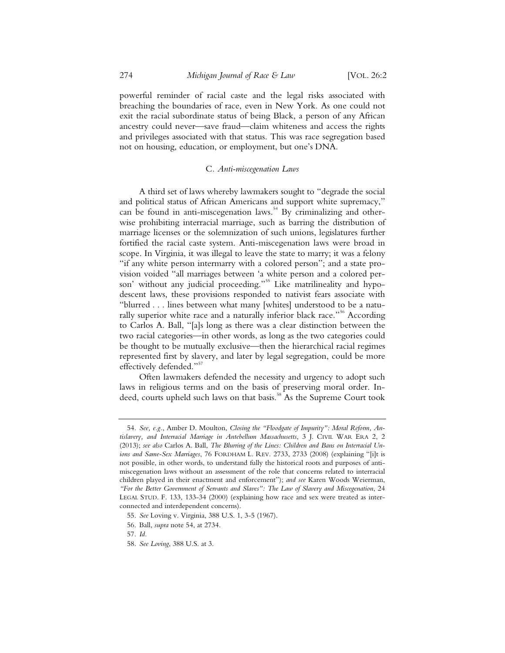powerful reminder of racial caste and the legal risks associated with breaching the boundaries of race, even in New York. As one could not exit the racial subordinate status of being Black, a person of any African ancestry could never—save fraud—claim whiteness and access the rights and privileges associated with that status. This was race segregation based not on housing, education, or employment, but one's DNA.

#### C*. Anti-miscegenation Laws*

A third set of laws whereby lawmakers sought to "degrade the social and political status of African Americans and support white supremacy," can be found in anti-miscegenation laws.<sup>54</sup> By criminalizing and otherwise prohibiting interracial marriage, such as barring the distribution of marriage licenses or the solemnization of such unions, legislatures further fortified the racial caste system. Anti-miscegenation laws were broad in scope. In Virginia, it was illegal to leave the state to marry; it was a felony "if any white person intermarry with a colored person"; and a state provision voided "all marriages between 'a white person and a colored person' without any judicial proceeding."<sup>55</sup> Like matrilineality and hypodescent laws, these provisions responded to nativist fears associate with "blurred . . . lines between what many [whites] understood to be a naturally superior white race and a naturally inferior black race."<sup>56</sup> According to Carlos A. Ball, "[a]s long as there was a clear distinction between the two racial categories—in other words, as long as the two categories could be thought to be mutually exclusive—then the hierarchical racial regimes represented first by slavery, and later by legal segregation, could be more effectively defended."<sup>57</sup>

Often lawmakers defended the necessity and urgency to adopt such laws in religious terms and on the basis of preserving moral order. Indeed, courts upheld such laws on that basis.<sup>58</sup> As the Supreme Court took

<sup>54.</sup> *See, e.g.*, Amber D. Moulton, *Closing the "Floodgate of Impurity": Moral Reform, Antislavery, and Interracial Marriage in Antebellum Massachusetts*, 3 J. CIVIL WAR ERA 2, 2 (2013); *see also* Carlos A. Ball, *The Blurring of the Lines: Children and Bans on Interracial Unions and Same-Sex Marriages*, 76 FORDHAM L. REV. 2733, 2733 (2008) (explaining "[i]t is not possible, in other words, to understand fully the historical roots and purposes of antimiscegenation laws without an assessment of the role that concerns related to interracial children played in their enactment and enforcement"); *and see* Karen Woods Weierman, *"For the Better Government of Servants and Slaves": The Law of Slavery and Miscegenation*, 24 LEGAL STUD. F. 133, 133-34 (2000) (explaining how race and sex were treated as interconnected and interdependent concerns).

<sup>55.</sup> *See* Loving v. Virginia, 388 U.S. 1, 3-5 (1967).

<sup>56.</sup> Ball, *supra* note 54, at 2734.

<sup>57.</sup> *Id.*

<sup>58.</sup> *See Loving*, 388 U.S. at 3.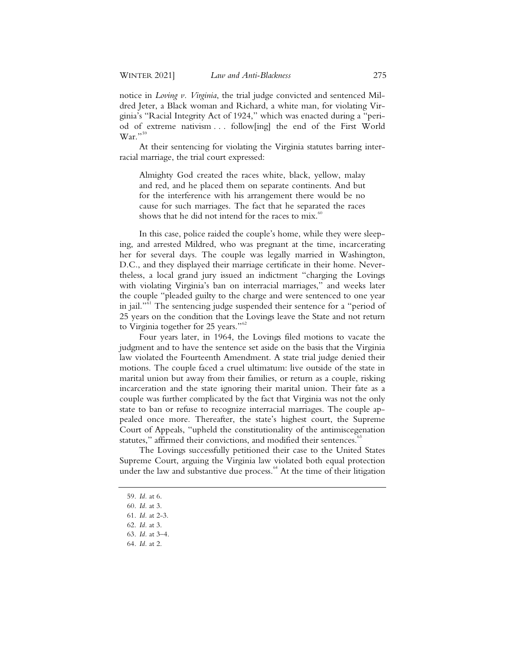notice in *Loving v. Virginia*, the trial judge convicted and sentenced Mildred Jeter, a Black woman and Richard, a white man, for violating Virginia's "Racial Integrity Act of 1924," which was enacted during a "period of extreme nativism . . . follow[ing] the end of the First World  $\text{War.}^{\prime\prime5}$ 

At their sentencing for violating the Virginia statutes barring interracial marriage, the trial court expressed:

Almighty God created the races white, black, yellow, malay and red, and he placed them on separate continents. And but for the interference with his arrangement there would be no cause for such marriages. The fact that he separated the races shows that he did not intend for the races to  $mix$ .<sup>60</sup>

In this case, police raided the couple's home, while they were sleeping, and arrested Mildred, who was pregnant at the time, incarcerating her for several days. The couple was legally married in Washington, D.C., and they displayed their marriage certificate in their home. Nevertheless, a local grand jury issued an indictment "charging the Lovings with violating Virginia's ban on interracial marriages," and weeks later the couple "pleaded guilty to the charge and were sentenced to one year in jail."<sup>61</sup> The sentencing judge suspended their sentence for a "period of 25 years on the condition that the Lovings leave the State and not return to Virginia together for 25 years."<sup>62</sup>

Four years later, in 1964, the Lovings filed motions to vacate the judgment and to have the sentence set aside on the basis that the Virginia law violated the Fourteenth Amendment. A state trial judge denied their motions. The couple faced a cruel ultimatum: live outside of the state in marital union but away from their families, or return as a couple, risking incarceration and the state ignoring their marital union. Their fate as a couple was further complicated by the fact that Virginia was not the only state to ban or refuse to recognize interracial marriages. The couple appealed once more. Thereafter, the state's highest court, the Supreme Court of Appeals, "upheld the constitutionality of the antimiscegenation statutes," affirmed their convictions, and modified their sentences.<sup>63</sup>

The Lovings successfully petitioned their case to the United States Supreme Court, arguing the Virginia law violated both equal protection under the law and substantive due process. $64$  At the time of their litigation

 <sup>59.</sup> *Id.* at 6.

 <sup>60.</sup> *Id.* at 3.

 <sup>61.</sup> *Id.* at 2-3.

 <sup>62.</sup> *Id.* at 3.

 <sup>63.</sup> *Id.* at 3–4.

 <sup>64.</sup> *Id.* at 2.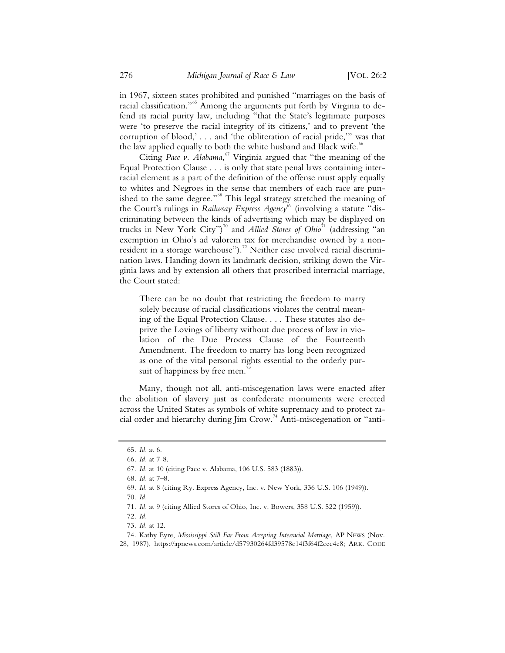in 1967, sixteen states prohibited and punished "marriages on the basis of racial classification."<sup>65</sup> Among the arguments put forth by Virginia to defend its racial purity law, including "that the State's legitimate purposes were 'to preserve the racial integrity of its citizens,' and to prevent 'the corruption of blood,' . . . and 'the obliteration of racial pride,'" was that the law applied equally to both the white husband and Black wife.<sup>66</sup>

Citing *Pace v. Alabama*,<sup>67</sup> Virginia argued that "the meaning of the Equal Protection Clause . . . is only that state penal laws containing interracial element as a part of the definition of the offense must apply equally to whites and Negroes in the sense that members of each race are punished to the same degree."<sup>68</sup> This legal strategy stretched the meaning of the Court's rulings in *Railwsay Express Agency*<sup>69</sup> (involving a statute "discriminating between the kinds of advertising which may be displayed on trucks in New York City")<sup>70</sup> and *Allied Stores of Ohio*<sup>71</sup> (addressing "an exemption in Ohio's ad valorem tax for merchandise owned by a nonresident in a storage warehouse").<sup>72</sup> Neither case involved racial discrimination laws. Handing down its landmark decision, striking down the Virginia laws and by extension all others that proscribed interracial marriage, the Court stated:

There can be no doubt that restricting the freedom to marry solely because of racial classifications violates the central meaning of the Equal Protection Clause. . . . These statutes also deprive the Lovings of liberty without due process of law in violation of the Due Process Clause of the Fourteenth Amendment. The freedom to marry has long been recognized as one of the vital personal rights essential to the orderly pursuit of happiness by free men.

Many, though not all, anti-miscegenation laws were enacted after the abolition of slavery just as confederate monuments were erected across the United States as symbols of white supremacy and to protect racial order and hierarchy during Jim Crow.<sup>74</sup> Anti-miscegenation or "anti-

 <sup>65.</sup> *Id.* at 6.

 <sup>66.</sup> *Id.* at 7-8.

 <sup>67.</sup> *Id.* at 10 (citing Pace v. Alabama, 106 U.S. 583 (1883)).

 <sup>68.</sup> *Id.* at 7–8.

 <sup>69.</sup> *Id.* at 8 (citing Ry. Express Agency, Inc. v. New York, 336 U.S. 106 (1949)).

 <sup>70.</sup> *Id.*

 <sup>71.</sup> *Id.* at 9 (citing Allied Stores of Ohio, Inc. v. Bowers, 358 U.S. 522 (1959)).

 <sup>72.</sup> *Id.*

 <sup>73.</sup> *Id.* at 12.

 <sup>74.</sup> Kathy Eyre, *Mississippi Still Far From Accepting Interracial Marriage*, AP NEWS (Nov. 28, 1987), https://apnews.com/article/d57930264fd39578c14f3f64f2cec4e8; ARK. CODE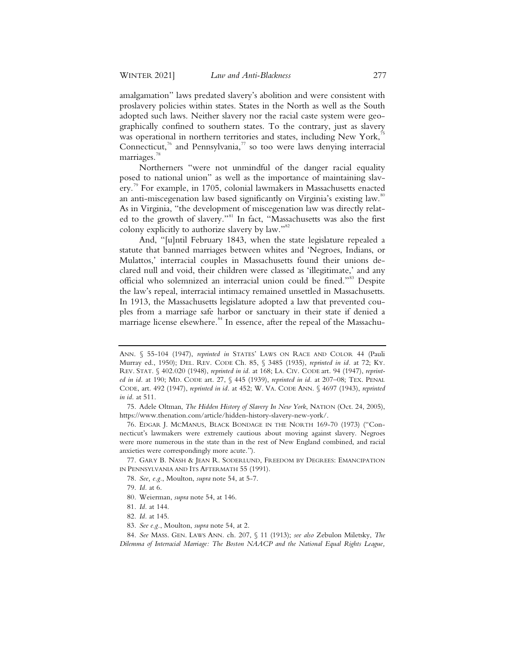amalgamation" laws predated slavery's abolition and were consistent with proslavery policies within states. States in the North as well as the South adopted such laws. Neither slavery nor the racial caste system were geographically confined to southern states. To the contrary, just as slavery was operational in northern territories and states, including New York, $^7$ Connecticut,<sup>76</sup> and Pennsylvania, $\frac{7}{10}$  so too were laws denying interracial marriages.<sup>78</sup>

Northerners "were not unmindful of the danger racial equality posed to national union" as well as the importance of maintaining slavery.<sup>79</sup> For example, in 1705, colonial lawmakers in Massachusetts enacted an anti-miscegenation law based significantly on Virginia's existing law.<sup>80</sup> As in Virginia, "the development of miscegenation law was directly related to the growth of slavery."<sup>81</sup> In fact, "Massachusetts was also the first colony explicitly to authorize slavery by law."<sup>82</sup>

And, "[u]ntil February 1843, when the state legislature repealed a statute that banned marriages between whites and 'Negroes, Indians, or Mulattos,' interracial couples in Massachusetts found their unions declared null and void, their children were classed as 'illegitimate,' and any official who solemnized an interracial union could be fined."<sup>83</sup> Despite the law's repeal, interracial intimacy remained unsettled in Massachusetts. In 1913, the Massachusetts legislature adopted a law that prevented couples from a marriage safe harbor or sanctuary in their state if denied a marriage license elsewhere.<sup>84</sup> In essence, after the repeal of the Massachu-

 77. GARY B. NASH & JEAN R. SODERLUND, FREEDOM BY DEGREES: EMANCIPATION IN PENNSYLVANIA AND ITS AFTERMATH 55 (1991).

ANN. § 55-104 (1947), *reprinted in* STATES' LAWS ON RACE AND COLOR 44 (Pauli Murray ed., 1950); DEL. REV. CODE Ch. 85, § 3485 (1935), *reprinted in id.* at 72; KY. REV. STAT. § 402.020 (1948), *reprinted in id.* at 168; LA. CIV. CODE art. 94 (1947), *reprinted in id.* at 190; MD. CODE art. 27, § 445 (1939), *reprinted in id.* at 207–08; TEX. PENAL CODE, art. 492 (1947), *reprinted in id.* at 452; W. VA. CODE ANN. § 4697 (1943), *reprinted in id.* at 511.

 <sup>75.</sup> Adele Oltman, *The Hidden History of Slavery In New York*, NATION (Oct. 24, 2005), https://www.thenation.com/article/hidden-history-slavery-new-york/.

 <sup>76.</sup> EDGAR J. MCMANUS, BLACK BONDAGE IN THE NORTH 169-70 (1973) ("Connecticut's lawmakers were extremely cautious about moving against slavery. Negroes were more numerous in the state than in the rest of New England combined, and racial anxieties were correspondingly more acute.").

 <sup>78.</sup> *See, e.g.*, Moulton, *supra* note 54, at 5-7.

 <sup>79.</sup> *Id.* at 6.

 <sup>80.</sup> Weierman, *supra* note 54, at 146.

 <sup>81.</sup> *Id.* at 144.

 <sup>82.</sup> *Id.* at 145.

 <sup>83.</sup> *See e.g.*, Moulton, *supra* note 54, at 2.

 <sup>84.</sup> *See* MASS. GEN. LAWS ANN. ch. 207, § 11 (1913); *see also* Zebulon Miletsky, *The Dilemma of Interracial Marriage: The Boston NAACP and the National Equal Rights League,*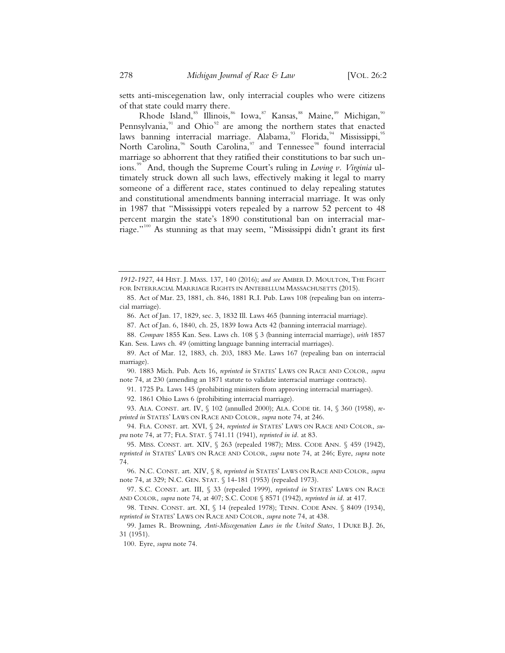setts anti-miscegenation law, only interracial couples who were citizens of that state could marry there.

Rhode Island,<sup>85</sup> Illinois,<sup>86</sup> Iowa,<sup>87</sup> Kansas,<sup>88</sup> Maine,<sup>89</sup> Michigan,<sup>90</sup> Pennsylvania,<sup>91</sup> and Ohio<sup>92</sup> are among the northern states that enacted laws banning interracial marriage. Alabama,  $^{93}$  Florida, Mississippi,  $^{95}$ North Carolina,<sup>96</sup> South Carolina,<sup>97</sup> and Tennessee<sup>98</sup> found interracial marriage so abhorrent that they ratified their constitutions to bar such unions.99 And, though the Supreme Court's ruling in *Loving v. Virginia* ultimately struck down all such laws, effectively making it legal to marry someone of a different race, states continued to delay repealing statutes and constitutional amendments banning interracial marriage. It was only in 1987 that "Mississippi voters repealed by a narrow 52 percent to 48 percent margin the state's 1890 constitutional ban on interracial marriage."100 As stunning as that may seem, "Mississippi didn't grant its first

*1912-1927*, 44 HIST. J. MASS. 137, 140 (2016); *and see* AMBER D. MOULTON, THE FIGHT FOR INTERRACIAL MARRIAGE RIGHTS IN ANTEBELLUM MASSACHUSETTS (2015).

 88. *Compare* 1855 Kan. Sess. Laws ch. 108 § 3 (banning interracial marriage), *with* 1857 Kan. Sess. Laws ch. 49 (omitting language banning interracial marriages).

 90. 1883 Mich. Pub. Acts 16, *reprinted in* STATES' LAWS ON RACE AND COLOR, *supra* note 74, at 230 (amending an 1871 statute to validate interracial marriage contracts).

91. 1725 Pa. Laws 145 (prohibiting ministers from approving interracial marriages).

92. 1861 Ohio Laws 6 (prohibiting interracial marriage).

 93. ALA. CONST. art. IV, § 102 (annulled 2000); ALA. CODE tit. 14, § 360 (1958), *reprinted in* STATES' LAWS ON RACE AND COLOR, *supra* note 74, at 246.

 <sup>85.</sup> Act of Mar. 23, 1881, ch. 846, 1881 R.I. Pub. Laws 108 (repealing ban on interracial marriage).

 <sup>86.</sup> Act of Jan. 17, 1829, sec. 3, 1832 Ill. Laws 465 (banning interracial marriage).

 <sup>87.</sup> Act of Jan. 6, 1840, ch. 25, 1839 Iowa Acts 42 (banning interracial marriage).

 <sup>89.</sup> Act of Mar. 12, 1883, ch. 203, 1883 Me. Laws 167 (repealing ban on interracial marriage).

 <sup>94.</sup> FLA. CONST. art. XVI, § 24, *reprinted in* STATES' LAWS ON RACE AND COLOR, *supra* note 74, at 77; FLA. STAT. § 741.11 (1941), *reprinted in id.* at 83.

<sup>95.</sup> MISS. CONST. art. XIV, § 263 (repealed 1987); MISS. CODE ANN. § 459 (1942), *reprinted in* STATES' LAWS ON RACE AND COLOR, *supra* note 74, at 246; Eyre, *supra* note 74.

 <sup>96.</sup> N.C. CONST. art. XIV, § 8, *reprinted in* STATES' LAWS ON RACE AND COLOR, *supra* note 74, at 329; N.C. GEN. STAT. § 14-181 (1953) (repealed 1973).

 <sup>97.</sup> S.C. CONST. art. III, § 33 (repealed 1999), *reprinted in* STATES' LAWS ON RACE AND COLOR, *supra* note 74, at 407; S.C. CODE § 8571 (1942), *reprinted in id.* at 417.

 <sup>98.</sup> TENN. CONST. art. XI, § 14 (repealed 1978); TENN. CODE ANN. § 8409 (1934), *reprinted in* STATES' LAWS ON RACE AND COLOR, *supra* note 74, at 438.

 <sup>99.</sup> James R. Browning, *Anti-Miscegenation Laws in the United States*, 1 DUKE B.J. 26, 31 (1951).

 <sup>100.</sup> Eyre, *supra* note 74.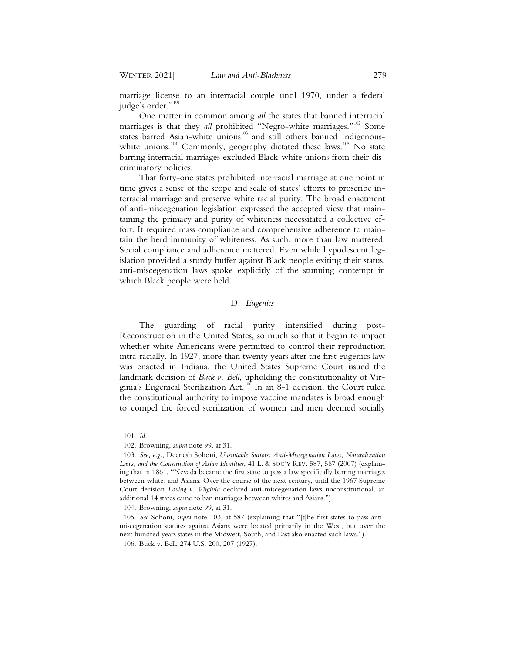marriage license to an interracial couple until 1970, under a federal judge's order."<sup>101</sup>

One matter in common among *all* the states that banned interracial marriages is that they *all* prohibited "Negro-white marriages."<sup>102</sup> Some states barred Asian-white unions<sup>103</sup> and still others banned Indigenouswhite unions.<sup>104</sup> Commonly, geography dictated these laws.<sup>105</sup> No state barring interracial marriages excluded Black-white unions from their discriminatory policies.

That forty-one states prohibited interracial marriage at one point in time gives a sense of the scope and scale of states' efforts to proscribe interracial marriage and preserve white racial purity. The broad enactment of anti-miscegenation legislation expressed the accepted view that maintaining the primacy and purity of whiteness necessitated a collective effort. It required mass compliance and comprehensive adherence to maintain the herd immunity of whiteness. As such, more than law mattered. Social compliance and adherence mattered. Even while hypodescent legislation provided a sturdy buffer against Black people exiting their status, anti-miscegenation laws spoke explicitly of the stunning contempt in which Black people were held.

#### D*. Eugenics*

The guarding of racial purity intensified during post-Reconstruction in the United States, so much so that it began to impact whether white Americans were permitted to control their reproduction intra-racially. In 1927, more than twenty years after the first eugenics law was enacted in Indiana, the United States Supreme Court issued the landmark decision of *Buck v. Bell*, upholding the constitutionality of Virginia's Eugenical Sterilization Act.106 In an 8-1 decision, the Court ruled the constitutional authority to impose vaccine mandates is broad enough to compel the forced sterilization of women and men deemed socially

 <sup>101.</sup> *Id.*

 <sup>102.</sup> Browning, *supra* note 99, at 31.

 <sup>103.</sup> *See, e.g.*, Deenesh Sohoni, *Unsuitable Suitors: Anti-Miscegenation Laws, Naturalization Laws, and the Construction of Asian Identities*, 41 L. & SOC'Y REV. 587, 587 (2007) (explaining that in 1861, "Nevada became the first state to pass a law specifically barring marriages between whites and Asians. Over the course of the next century, until the 1967 Supreme Court decision *Loving v. Virginia* declared anti-miscegenation laws unconstitutional, an additional 14 states came to ban marriages between whites and Asians.").

 <sup>104.</sup> Browning, *supra* note 99, at 31.

 <sup>105.</sup> *See* Sohoni, *supra* note 103, at 587 (explaining that "[t]he first states to pass antimiscegenation statutes against Asians were located primarily in the West, but over the next hundred years states in the Midwest, South, and East also enacted such laws.").

 <sup>106.</sup> Buck v. Bell, 274 U.S. 200, 207 (1927).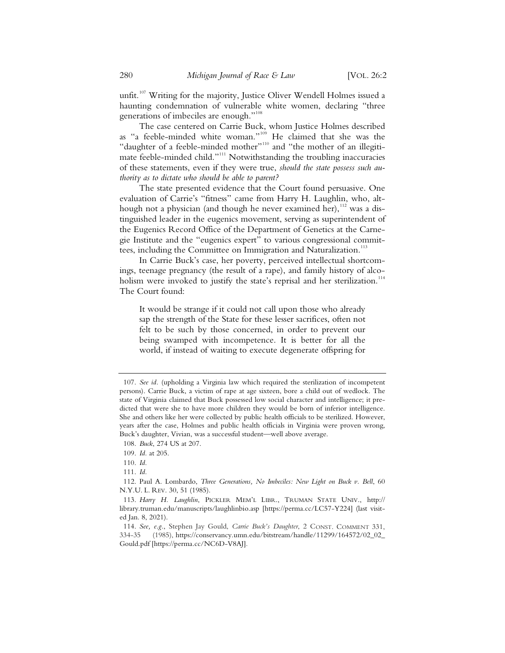unfit.<sup>107</sup> Writing for the majority, Justice Oliver Wendell Holmes issued a haunting condemnation of vulnerable white women, declaring "three generations of imbeciles are enough."<sup>108</sup>

The case centered on Carrie Buck, whom Justice Holmes described as "a feeble-minded white woman."<sup>109</sup> He claimed that she was the "daughter of a feeble-minded mother"<sup>110</sup> and "the mother of an illegitimate feeble-minded child."<sup>111</sup> Notwithstanding the troubling inaccuracies of these statements, even if they were true, *should the state possess such authority as to dictate who should be able to parent?*

The state presented evidence that the Court found persuasive. One evaluation of Carrie's "fitness" came from Harry H. Laughlin, who, although not a physician (and though he never examined her), <sup>112</sup> was a distinguished leader in the eugenics movement, serving as superintendent of the Eugenics Record Office of the Department of Genetics at the Carnegie Institute and the "eugenics expert" to various congressional committees, including the Committee on Immigration and Naturalization.<sup>113</sup>

In Carrie Buck's case, her poverty, perceived intellectual shortcomings, teenage pregnancy (the result of a rape), and family history of alcoholism were invoked to justify the state's reprisal and her sterilization.<sup>114</sup> The Court found:

It would be strange if it could not call upon those who already sap the strength of the State for these lesser sacrifices, often not felt to be such by those concerned, in order to prevent our being swamped with incompetence. It is better for all the world, if instead of waiting to execute degenerate offspring for

<sup>107.</sup> *See id.* (upholding a Virginia law which required the sterilization of incompetent persons). Carrie Buck, a victim of rape at age sixteen, bore a child out of wedlock. The state of Virginia claimed that Buck possessed low social character and intelligence; it predicted that were she to have more children they would be born of inferior intelligence. She and others like her were collected by public health officials to be sterilized. However, years after the case, Holmes and public health officials in Virginia were proven wrong, Buck's daughter, Vivian, was a successful student—well above average.

<sup>108.</sup> *Buck*, 274 US at 207.

<sup>109.</sup> *Id.* at 205.

<sup>110.</sup> *Id.*

<sup>111.</sup> *Id.*

<sup>112.</sup> Paul A. Lombardo, *Three Generations, No Imbeciles: New Light on Buck v. Bell*, 60 N.Y.U. L. REV. 30, 51 (1985).

<sup>113.</sup> *Harry H. Laughlin*, PICKLER MEM'L LIBR., TRUMAN STATE UNIV., http:// library.truman.edu/manuscripts/laughlinbio.asp [https://perma.cc/LC57-Y224] (last visited Jan. 8, 2021).

<sup>114.</sup> *See, e.g.*, Stephen Jay Gould, *Carrie Buck's Daughter*, 2 CONST. COMMENT 331, 334-35 (1985), https://conservancy.umn.edu/bitstream/handle/11299/164572/02\_02\_ Gould.pdf [https://perma.cc/NC6D-V8AJ].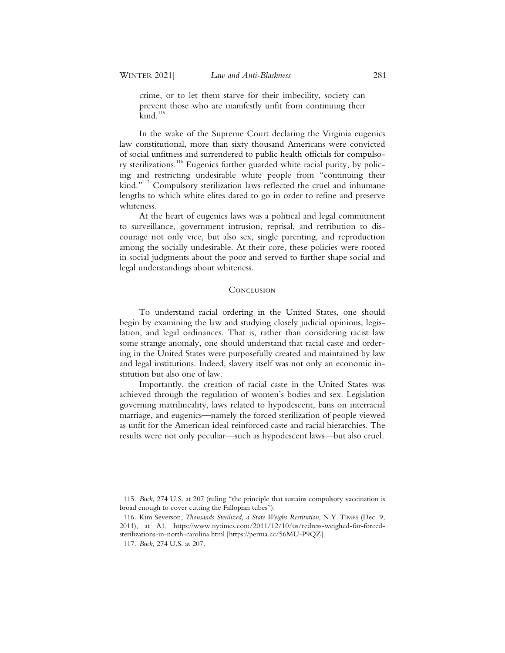crime, or to let them starve for their imbecility, society can prevent those who are manifestly unfit from continuing their  $\mathrm{kind.}^{115}$ 

In the wake of the Supreme Court declaring the Virginia eugenics law constitutional, more than sixty thousand Americans were convicted of social unfitness and surrendered to public health officials for compulsory sterilizations.<sup>116</sup> Eugenics further guarded white racial purity, by policing and restricting undesirable white people from "continuing their kind."<sup>117</sup> Compulsory sterilization laws reflected the cruel and inhumane lengths to which white elites dared to go in order to refine and preserve whiteness.

At the heart of eugenics laws was a political and legal commitment to surveillance, government intrusion, reprisal, and retribution to discourage not only vice, but also sex, single parenting, and reproduction among the socially undesirable. At their core, these policies were rooted in social judgments about the poor and served to further shape social and legal understandings about whiteness.

#### **CONCLUSION**

To understand racial ordering in the United States, one should begin by examining the law and studying closely judicial opinions, legislation, and legal ordinances. That is, rather than considering racist law some strange anomaly, one should understand that racial caste and ordering in the United States were purposefully created and maintained by law and legal institutions. Indeed, slavery itself was not only an economic institution but also one of law.

Importantly, the creation of racial caste in the United States was achieved through the regulation of women's bodies and sex. Legislation governing matrilineality, laws related to hypodescent, bans on interracial marriage, and eugenics—namely the forced sterilization of people viewed as unfit for the American ideal reinforced caste and racial hierarchies. The results were not only peculiar—such as hypodescent laws—but also cruel.

<sup>115.</sup> *Buck*, 274 U.S. at 207 (ruling "the principle that sustains compulsory vaccination is broad enough to cover cutting the Fallopian tubes").

<sup>116.</sup> Kim Severson, *Thousands Sterilized, a State Weighs Restitution*, N.Y. TIMES (Dec. 9, 2011), at A1, https://www.nytimes.com/2011/12/10/us/redress-weighed-for-forcedsterilizations-in-north-carolina.html [https://perma.cc/56MU-P9QZ].

<sup>117.</sup> *Buck*, 274 U.S. at 207.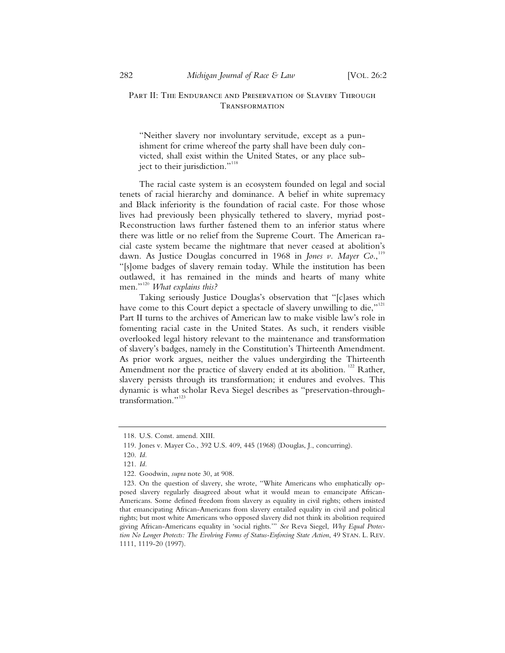## PART II: THE ENDURANCE AND PRESERVATION OF SLAVERY THROUGH Transformation

"Neither slavery nor involuntary servitude, except as a punishment for crime whereof the party shall have been duly convicted, shall exist within the United States, or any place subject to their jurisdiction."<sup>118</sup>

The racial caste system is an ecosystem founded on legal and social tenets of racial hierarchy and dominance. A belief in white supremacy and Black inferiority is the foundation of racial caste. For those whose lives had previously been physically tethered to slavery, myriad post-Reconstruction laws further fastened them to an inferior status where there was little or no relief from the Supreme Court. The American racial caste system became the nightmare that never ceased at abolition's dawn. As Justice Douglas concurred in 1968 in *Jones v. Mayer Co.*,<sup>119</sup> "[s]ome badges of slavery remain today. While the institution has been outlawed, it has remained in the minds and hearts of many white men."<sup>120</sup> *What explains this?* 

Taking seriously Justice Douglas's observation that "[c]ases which have come to this Court depict a spectacle of slavery unwilling to die," $121$ Part II turns to the archives of American law to make visible law's role in fomenting racial caste in the United States. As such, it renders visible overlooked legal history relevant to the maintenance and transformation of slavery's badges, namely in the Constitution's Thirteenth Amendment. As prior work argues, neither the values undergirding the Thirteenth Amendment nor the practice of slavery ended at its abolition.<sup>122</sup> Rather, slavery persists through its transformation; it endures and evolves. This dynamic is what scholar Reva Siegel describes as "preservation-throughtransformation."<sup>123</sup>

 <sup>118.</sup> U.S. Const. amend. XIII.

 <sup>119.</sup> Jones v. Mayer Co., 392 U.S. 409, 445 (1968) (Douglas, J., concurring).

 <sup>120.</sup> *Id.*

 <sup>121.</sup> *Id.*

 <sup>122.</sup> Goodwin, *supra* note 30, at 908.

 <sup>123.</sup> On the question of slavery, she wrote, "White Americans who emphatically opposed slavery regularly disagreed about what it would mean to emancipate African-Americans. Some defined freedom from slavery as equality in civil rights; others insisted that emancipating African-Americans from slavery entailed equality in civil and political rights; but most white Americans who opposed slavery did not think its abolition required giving African-Americans equality in 'social rights.'" *See* Reva Siegel, *Why Equal Protection No Longer Protects: The Evolving Forms of Status-Enforcing State Action*, 49 STAN. L. REV. 1111, 1119-20 (1997).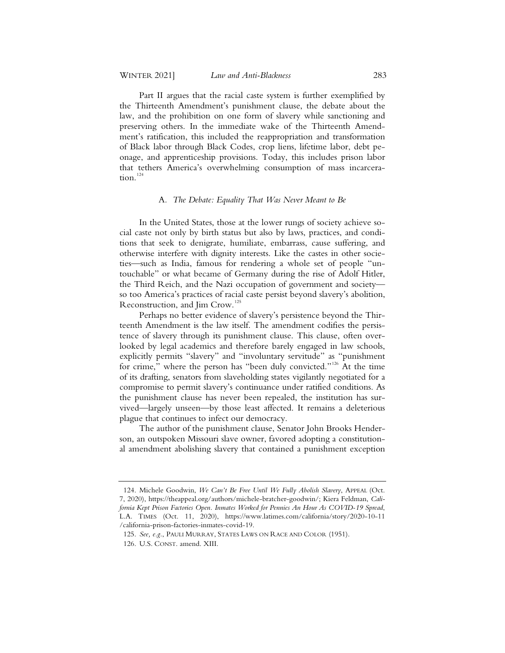Part II argues that the racial caste system is further exemplified by the Thirteenth Amendment's punishment clause, the debate about the law, and the prohibition on one form of slavery while sanctioning and preserving others. In the immediate wake of the Thirteenth Amendment's ratification, this included the reappropriation and transformation of Black labor through Black Codes, crop liens, lifetime labor, debt peonage, and apprenticeship provisions. Today, this includes prison labor that tethers America's overwhelming consumption of mass incarceration.<sup>124</sup>

#### A*. The Debate: Equality That Was Never Meant to Be*

In the United States, those at the lower rungs of society achieve social caste not only by birth status but also by laws, practices, and conditions that seek to denigrate, humiliate, embarrass, cause suffering, and otherwise interfere with dignity interests. Like the castes in other societies—such as India, famous for rendering a whole set of people "untouchable" or what became of Germany during the rise of Adolf Hitler, the Third Reich, and the Nazi occupation of government and society so too America's practices of racial caste persist beyond slavery's abolition, Reconstruction, and Jim Crow.<sup>125</sup>

Perhaps no better evidence of slavery's persistence beyond the Thirteenth Amendment is the law itself. The amendment codifies the persistence of slavery through its punishment clause. This clause, often overlooked by legal academics and therefore barely engaged in law schools, explicitly permits "slavery" and "involuntary servitude" as "punishment for crime," where the person has "been duly convicted."<sup>126</sup> At the time of its drafting, senators from slaveholding states vigilantly negotiated for a compromise to permit slavery's continuance under ratified conditions. As the punishment clause has never been repealed, the institution has survived—largely unseen—by those least affected. It remains a deleterious plague that continues to infect our democracy.

The author of the punishment clause, Senator John Brooks Henderson, an outspoken Missouri slave owner, favored adopting a constitutional amendment abolishing slavery that contained a punishment exception

<sup>124.</sup> Michele Goodwin, *We Can't Be Free Until We Fully Abolish Slavery*, APPEAL (Oct. 7, 2020), https://theappeal.org/authors/michele-bratcher-goodwin/; Kiera Feldman, *California Kept Prison Factories Open. Inmates Worked for Pennies An Hour As COVID-19 Spread*, L.A. TIMES (Oct. 11, 2020), https://www.latimes.com/california/story/2020-10-11 /california-prison-factories-inmates-covid-19.

<sup>125.</sup> *See, e.g.*, PAULI MURRAY, STATES LAWS ON RACE AND COLOR (1951).

<sup>126.</sup> U.S. CONST. amend. XIII.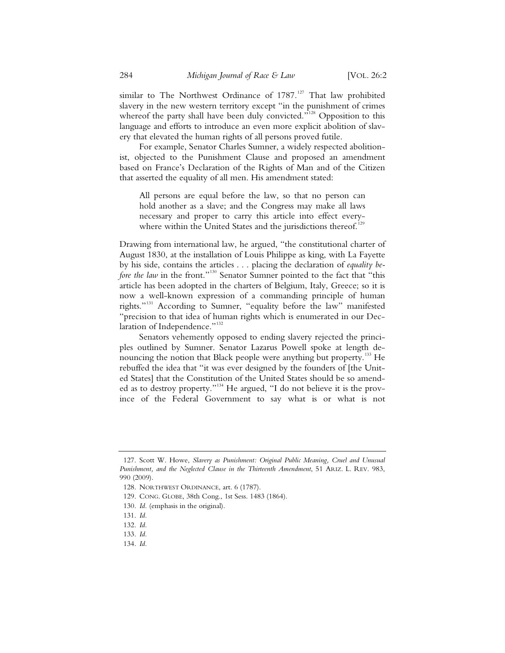similar to The Northwest Ordinance of  $1787$ .<sup>127</sup> That law prohibited slavery in the new western territory except "in the punishment of crimes whereof the party shall have been duly convicted."<sup>128</sup> Opposition to this language and efforts to introduce an even more explicit abolition of slavery that elevated the human rights of all persons proved futile.

For example, Senator Charles Sumner, a widely respected abolitionist, objected to the Punishment Clause and proposed an amendment based on France's Declaration of the Rights of Man and of the Citizen that asserted the equality of all men. His amendment stated:

All persons are equal before the law, so that no person can hold another as a slave; and the Congress may make all laws necessary and proper to carry this article into effect everywhere within the United States and the jurisdictions thereof.<sup>1</sup>

Drawing from international law, he argued, "the constitutional charter of August 1830, at the installation of Louis Philippe as king, with La Fayette by his side, contains the articles . . . placing the declaration of *equality before the law* in the front."<sup>130</sup> Senator Sumner pointed to the fact that "this article has been adopted in the charters of Belgium, Italy, Greece; so it is now a well-known expression of a commanding principle of human rights."<sup>131</sup> According to Sumner, "equality before the law" manifested "precision to that idea of human rights which is enumerated in our Declaration of Independence."<sup>132</sup>

Senators vehemently opposed to ending slavery rejected the principles outlined by Sumner. Senator Lazarus Powell spoke at length denouncing the notion that Black people were anything but property.<sup>133</sup> He rebuffed the idea that "it was ever designed by the founders of [the United States] that the Constitution of the United States should be so amended as to destroy property."<sup>134</sup> He argued, "I do not believe it is the province of the Federal Government to say what is or what is not

134. *Id.*

<sup>127.</sup> Scott W. Howe, *Slavery as Punishment: Original Public Meaning, Cruel and Unusual Punishment, and the Neglected Clause in the Thirteenth Amendment*, 51 ARIZ. L. REV. 983, 990 (2009).

<sup>128.</sup> NORTHWEST ORDINANCE, art. 6 (1787).

<sup>129.</sup> CONG. GLOBE, 38th Cong., 1st Sess. 1483 (1864).

<sup>130.</sup> *Id.* (emphasis in the original).

<sup>131.</sup> *Id.*

<sup>132.</sup> *Id.*

<sup>133.</sup> *Id.*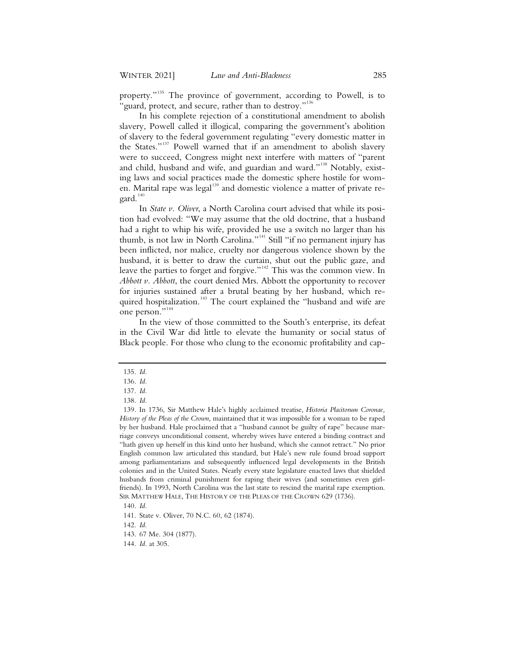property."<sup>135</sup> The province of government, according to Powell, is to 'guard, protect, and secure, rather than to destroy."<sup>136</sup>

In his complete rejection of a constitutional amendment to abolish slavery, Powell called it illogical, comparing the government's abolition of slavery to the federal government regulating "every domestic matter in the States."<sup>137</sup> Powell warned that if an amendment to abolish slavery were to succeed, Congress might next interfere with matters of "parent and child, husband and wife, and guardian and ward."<sup>138</sup> Notably, existing laws and social practices made the domestic sphere hostile for women. Marital rape was legal<sup>139</sup> and domestic violence a matter of private regard.<sup>140</sup>

In *State v. Oliver*, a North Carolina court advised that while its position had evolved: "We may assume that the old doctrine, that a husband had a right to whip his wife, provided he use a switch no larger than his thumb, is not law in North Carolina."<sup>141</sup> Still "if no permanent injury has been inflicted, nor malice, cruelty nor dangerous violence shown by the husband, it is better to draw the curtain, shut out the public gaze, and leave the parties to forget and forgive."<sup>142</sup> This was the common view. In *Abbott v. Abbott*, the court denied Mrs. Abbott the opportunity to recover for injuries sustained after a brutal beating by her husband, which required hospitalization.<sup>143</sup> The court explained the "husband and wife are one person."<sup>144</sup>

In the view of those committed to the South's enterprise, its defeat in the Civil War did little to elevate the humanity or social status of Black people. For those who clung to the economic profitability and cap-

<sup>135.</sup> *Id.*

<sup>136.</sup> *Id.*

<sup>137.</sup> *Id.*

<sup>138.</sup> *Id.*

<sup>139.</sup> In 1736, Sir Matthew Hale's highly acclaimed treatise, *Historia Placitorum Coronae, History of the Pleas of the Crown*, maintained that it was impossible for a woman to be raped by her husband. Hale proclaimed that a "husband cannot be guilty of rape" because marriage conveys unconditional consent, whereby wives have entered a binding contract and "hath given up herself in this kind unto her husband, which she cannot retract." No prior English common law articulated this standard, but Hale's new rule found broad support among parliamentarians and subsequently influenced legal developments in the British colonies and in the United States. Nearly every state legislature enacted laws that shielded husbands from criminal punishment for raping their wives (and sometimes even girlfriends). In 1993, North Carolina was the last state to rescind the marital rape exemption. SIR MATTHEW HALE, THE HISTORY OF THE PLEAS OF THE CROWN 629 (1736).

<sup>140.</sup> *Id.*

<sup>141.</sup> State v. Oliver, 70 N.C. 60, 62 (1874).

<sup>142.</sup> *Id.*

<sup>143. 67</sup> Me. 304 (1877).

<sup>144.</sup> *Id.* at 305.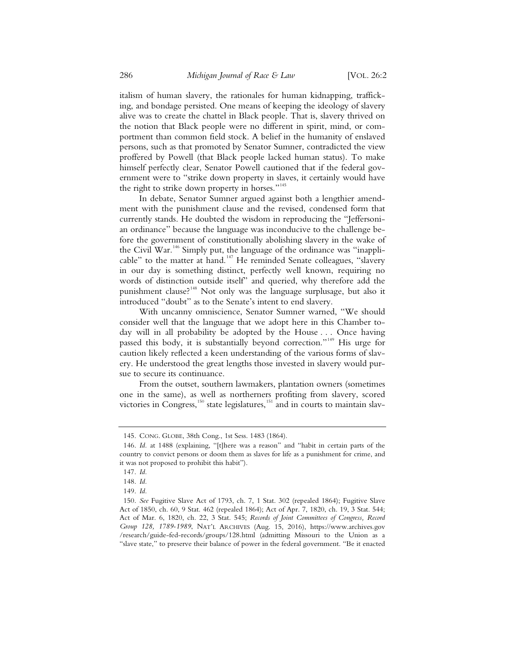italism of human slavery, the rationales for human kidnapping, trafficking, and bondage persisted. One means of keeping the ideology of slavery alive was to create the chattel in Black people. That is, slavery thrived on the notion that Black people were no different in spirit, mind, or comportment than common field stock. A belief in the humanity of enslaved persons, such as that promoted by Senator Sumner, contradicted the view proffered by Powell (that Black people lacked human status). To make himself perfectly clear, Senator Powell cautioned that if the federal government were to "strike down property in slaves, it certainly would have the right to strike down property in horses."<sup>145</sup>

In debate, Senator Sumner argued against both a lengthier amendment with the punishment clause and the revised, condensed form that currently stands. He doubted the wisdom in reproducing the "Jeffersonian ordinance" because the language was inconducive to the challenge before the government of constitutionally abolishing slavery in the wake of the Civil War.<sup>146</sup> Simply put, the language of the ordinance was "inapplicable" to the matter at hand.<sup>147</sup> He reminded Senate colleagues, "slavery in our day is something distinct, perfectly well known, requiring no words of distinction outside itself" and queried, why therefore add the punishment clause?<sup>148</sup> Not only was the language surplusage, but also it introduced "doubt" as to the Senate's intent to end slavery.

With uncanny omniscience, Senator Sumner warned, "We should consider well that the language that we adopt here in this Chamber today will in all probability be adopted by the House . . . Once having passed this body, it is substantially beyond correction."<sup>149</sup> His urge for caution likely reflected a keen understanding of the various forms of slavery. He understood the great lengths those invested in slavery would pursue to secure its continuance.

From the outset, southern lawmakers, plantation owners (sometimes one in the same), as well as northerners profiting from slavery, scored victories in Congress,<sup>150</sup> state legislatures,<sup>151</sup> and in courts to maintain slav-

<sup>145.</sup> CONG. GLOBE, 38th Cong., 1st Sess. 1483 (1864).

<sup>146.</sup> *Id.* at 1488 (explaining, "[t]here was a reason" and "habit in certain parts of the country to convict persons or doom them as slaves for life as a punishment for crime, and it was not proposed to prohibit this habit").

<sup>147.</sup> *Id.*

<sup>148.</sup> *Id.*

<sup>149.</sup> *Id.*

<sup>150.</sup> *See* Fugitive Slave Act of 1793, ch. 7, 1 Stat. 302 (repealed 1864); Fugitive Slave Act of 1850, ch. 60, 9 Stat. 462 (repealed 1864); Act of Apr. 7, 1820, ch. 19, 3 Stat. 544; Act of Mar. 6, 1820, ch. 22, 3 Stat. 545; *Records of Joint Committees of Congress, Record Group 128, 1789-1989*, NAT'L ARCHIVES (Aug. 15, 2016), https://www.archives.gov /research/guide-fed-records/groups/128.html (admitting Missouri to the Union as a "slave state," to preserve their balance of power in the federal government. "Be it enacted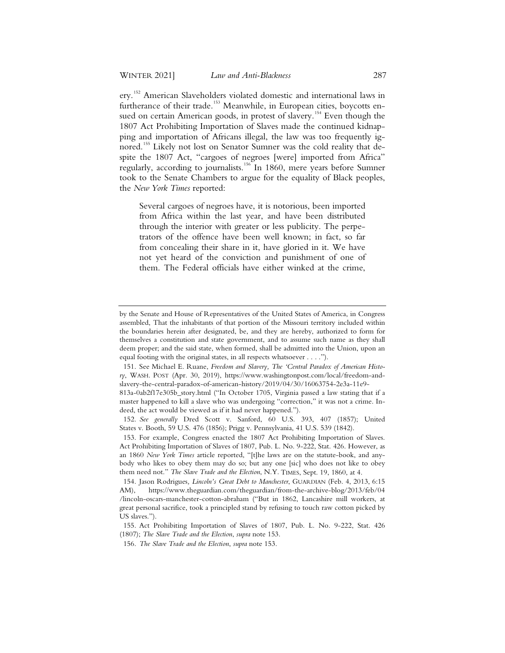ery.<sup>152</sup> American Slaveholders violated domestic and international laws in furtherance of their trade.<sup>153</sup> Meanwhile, in European cities, boycotts ensued on certain American goods, in protest of slavery.<sup>154</sup> Even though the 1807 Act Prohibiting Importation of Slaves made the continued kidnapping and importation of Africans illegal, the law was too frequently ignored.<sup>155</sup> Likely not lost on Senator Sumner was the cold reality that despite the 1807 Act, "cargoes of negroes [were] imported from Africa" regularly, according to journalists.<sup>156</sup> In 1860, mere years before Sumner took to the Senate Chambers to argue for the equality of Black peoples, the *New York Times* reported:

Several cargoes of negroes have, it is notorious, been imported from Africa within the last year, and have been distributed through the interior with greater or less publicity. The perpetrators of the offence have been well known; in fact, so far from concealing their share in it, have gloried in it. We have not yet heard of the conviction and punishment of one of them. The Federal officials have either winked at the crime,

by the Senate and House of Representatives of the United States of America, in Congress assembled, That the inhabitants of that portion of the Missouri territory included within the boundaries herein after designated, be, and they are hereby, authorized to form for themselves a constitution and state government, and to assume such name as they shall deem proper; and the said state, when formed, shall be admitted into the Union, upon an equal footing with the original states, in all respects whatsoever . . . .").

 <sup>151.</sup> See Michael E. Ruane, *Freedom and Slavery, The 'Central Paradox of American History*, WASH. POST (Apr. 30, 2019), https://www.washingtonpost.com/local/freedom-andslavery-the-central-paradox-of-american-history/2019/04/30/16063754-2e3a-11e9-

<sup>813</sup>a-0ab2f17e305b\_story.html ("In October 1705, Virginia passed a law stating that if a master happened to kill a slave who was undergoing "correction," it was not a crime. Indeed, the act would be viewed as if it had never happened.").

 <sup>152.</sup> *See generally* Dred Scott v. Sanford, 60 U.S. 393, 407 (1857); United States v. Booth, 59 U.S. 476 (1856); Prigg v. Pennsylvania, 41 U.S. 539 (1842).

 <sup>153.</sup> For example, Congress enacted the 1807 Act Prohibiting Importation of Slaves. Act Prohibiting Importation of Slaves of 1807, Pub. L. No. 9-222, Stat. 426. However, as an 1860 *New York Times* article reported, "[t]he laws are on the statute-book, and anybody who likes to obey them may do so; but any one [sic] who does not like to obey them need not." *The Slave Trade and the Election*, N.Y. TIMES, Sept. 19, 1860, at 4.

 <sup>154.</sup> Jason Rodrigues*, Lincoln's Great Debt to Manchester*, GUARDIAN (Feb. 4, 2013, 6:15 AM), https://www.theguardian.com/theguardian/from-the-archive-blog/2013/feb/04 /lincoln-oscars-manchester-cotton-abraham ("But in 1862, Lancashire mill workers, at great personal sacrifice, took a principled stand by refusing to touch raw cotton picked by US slaves.").

 <sup>155.</sup> Act Prohibiting Importation of Slaves of 1807, Pub. L. No. 9-222, Stat. 426 (1807); *The Slave Trade and the Election*, *supra* note 153.

 <sup>156.</sup> *The Slave Trade and the Election*, *supra* note 153.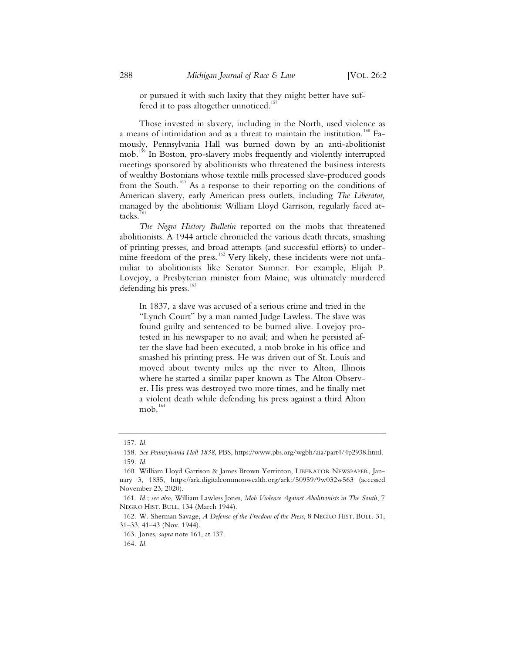or pursued it with such laxity that they might better have suffered it to pass altogether unnoticed.<sup>15</sup>

Those invested in slavery, including in the North, used violence as a means of intimidation and as a threat to maintain the institution.<sup>158</sup> Famously, Pennsylvania Hall was burned down by an anti-abolitionist mob.<sup>159</sup> In Boston, pro-slavery mobs frequently and violently interrupted meetings sponsored by abolitionists who threatened the business interests of wealthy Bostonians whose textile mills processed slave-produced goods from the South.<sup>160</sup> As a response to their reporting on the conditions of American slavery, early American press outlets, including *The Liberator,*  managed by the abolitionist William Lloyd Garrison, regularly faced attacks.<sup>161</sup>

*The Negro History Bulletin* reported on the mobs that threatened abolitionists. A 1944 article chronicled the various death threats, smashing of printing presses, and broad attempts (and successful efforts) to undermine freedom of the press.<sup>162</sup> Very likely, these incidents were not unfamiliar to abolitionists like Senator Sumner. For example, Elijah P. Lovejoy, a Presbyterian minister from Maine, was ultimately murdered defending his press. $163$ 

In 1837, a slave was accused of a serious crime and tried in the "Lynch Court" by a man named Judge Lawless. The slave was found guilty and sentenced to be burned alive. Lovejoy protested in his newspaper to no avail; and when he persisted after the slave had been executed, a mob broke in his office and smashed his printing press. He was driven out of St. Louis and moved about twenty miles up the river to Alton, Illinois where he started a similar paper known as The Alton Observer. His press was destroyed two more times, and he finally met a violent death while defending his press against a third Alton mob.<sup>164</sup>

163. Jones, *supra* note 161, at 137.

164. *Id.*

 <sup>157.</sup> *Id.*

 <sup>158.</sup> *See Pennsylvania Hall 1838*, PBS, https://www.pbs.org/wgbh/aia/part4/4p2938.html. 159. *Id.*

 <sup>160.</sup> William Lloyd Garrison & James Brown Yerrinton, LIBERATOR NEWSPAPER, January 3, 1835, https://ark.digitalcommonwealth.org/ark:/50959/9w032w563 (accessed November 23, 2020).

 <sup>161.</sup> *Id.*; *see also*, William Lawless Jones, *Mob Violence Against Abolitionists in The South*, 7 NEGRO HIST. BULL. 134 (March 1944).

 <sup>162.</sup> W. Sherman Savage, *A Defense of the Freedom of the Press*, 8 NEGRO HIST. BULL. 31, 31–33, 41–43 (Nov. 1944).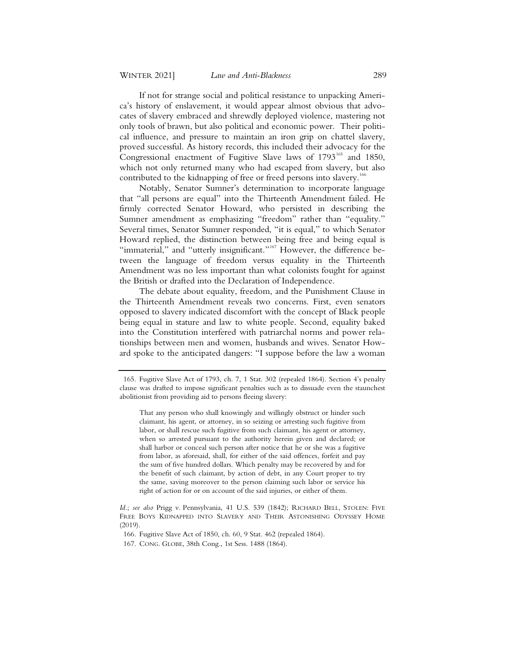If not for strange social and political resistance to unpacking America's history of enslavement, it would appear almost obvious that advocates of slavery embraced and shrewdly deployed violence, mastering not only tools of brawn, but also political and economic power. Their political influence, and pressure to maintain an iron grip on chattel slavery, proved successful. As history records, this included their advocacy for the Congressional enactment of Fugitive Slave laws of 1793<sup>165</sup> and 1850, which not only returned many who had escaped from slavery, but also contributed to the kidnapping of free or freed persons into slavery.<sup>166</sup>

Notably, Senator Sumner's determination to incorporate language that "all persons are equal" into the Thirteenth Amendment failed. He firmly corrected Senator Howard, who persisted in describing the Sumner amendment as emphasizing "freedom" rather than "equality." Several times, Senator Sumner responded, "it is equal," to which Senator Howard replied, the distinction between being free and being equal is "immaterial," and "utterly insignificant."<sup>167</sup> However, the difference between the language of freedom versus equality in the Thirteenth Amendment was no less important than what colonists fought for against the British or drafted into the Declaration of Independence.

The debate about equality, freedom, and the Punishment Clause in the Thirteenth Amendment reveals two concerns. First, even senators opposed to slavery indicated discomfort with the concept of Black people being equal in stature and law to white people. Second, equality baked into the Constitution interfered with patriarchal norms and power relationships between men and women, husbands and wives. Senator Howard spoke to the anticipated dangers: "I suppose before the law a woman

That any person who shall knowingly and willingly obstruct or hinder such claimant, his agent, or attorney, in so seizing or arresting such fugitive from labor, or shall rescue such fugitive from such claimant, his agent or attorney, when so arrested pursuant to the authority herein given and declared; or shall harbor or conceal such person after notice that he or she was a fugitive from labor, as aforesaid, shall, for either of the said offences, forfeit and pay the sum of five hundred dollars. Which penalty may be recovered by and for the benefit of such claimant, by action of debt, in any Court proper to try the same, saving moreover to the person claiming such labor or service his right of action for or on account of the said injuries, or either of them.

 <sup>165.</sup> Fugitive Slave Act of 1793, ch. 7, 1 Stat. 302 (repealed 1864). Section 4's penalty clause was drafted to impose significant penalties such as to dissuade even the staunchest abolitionist from providing aid to persons fleeing slavery:

*Id.*; *see also* Prigg v. Pennsylvania, 41 U.S. 539 (1842); RICHARD BELL, STOLEN: FIVE FREE BOYS KIDNAPPED INTO SLAVERY AND THEIR ASTONISHING ODYSSEY HOME (2019).

 <sup>166.</sup> Fugitive Slave Act of 1850, ch. 60, 9 Stat. 462 (repealed 1864).

 <sup>167.</sup> CONG. GLOBE, 38th Cong., 1st Sess. 1488 (1864).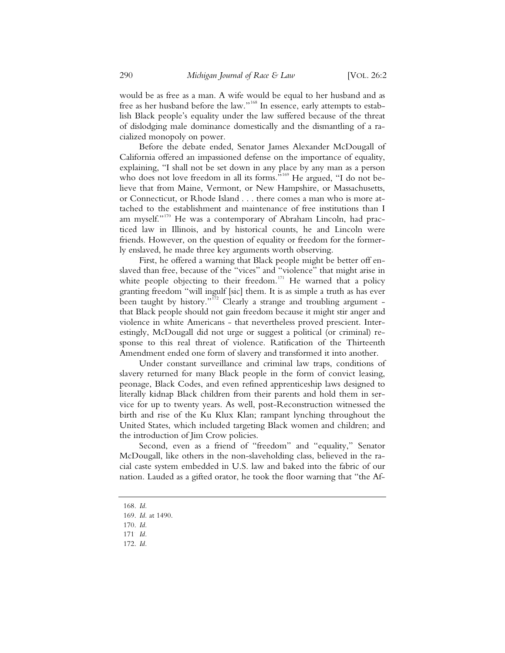would be as free as a man. A wife would be equal to her husband and as free as her husband before the law."<sup>168</sup> In essence, early attempts to establish Black people's equality under the law suffered because of the threat of dislodging male dominance domestically and the dismantling of a racialized monopoly on power.

Before the debate ended, Senator James Alexander McDougall of California offered an impassioned defense on the importance of equality, explaining, "I shall not be set down in any place by any man as a person who does not love freedom in all its forms."<sup>169</sup> He argued, "I do not believe that from Maine, Vermont, or New Hampshire, or Massachusetts, or Connecticut, or Rhode Island . . . there comes a man who is more attached to the establishment and maintenance of free institutions than I am myself."<sup>170</sup> He was a contemporary of Abraham Lincoln, had practiced law in Illinois, and by historical counts, he and Lincoln were friends. However, on the question of equality or freedom for the formerly enslaved, he made three key arguments worth observing.

First, he offered a warning that Black people might be better off enslaved than free, because of the "vices" and "violence" that might arise in white people objecting to their freedom.<sup>171</sup> He warned that a policy granting freedom "will ingulf [sic] them. It is as simple a truth as has ever been taught by history."<sup>172</sup> Clearly a strange and troubling argument that Black people should not gain freedom because it might stir anger and violence in white Americans - that nevertheless proved prescient. Interestingly, McDougall did not urge or suggest a political (or criminal) response to this real threat of violence. Ratification of the Thirteenth Amendment ended one form of slavery and transformed it into another.

Under constant surveillance and criminal law traps, conditions of slavery returned for many Black people in the form of convict leasing, peonage, Black Codes, and even refined apprenticeship laws designed to literally kidnap Black children from their parents and hold them in service for up to twenty years. As well, post-Reconstruction witnessed the birth and rise of the Ku Klux Klan; rampant lynching throughout the United States, which included targeting Black women and children; and the introduction of Jim Crow policies.

Second, even as a friend of "freedom" and "equality," Senator McDougall, like others in the non-slaveholding class, believed in the racial caste system embedded in U.S. law and baked into the fabric of our nation. Lauded as a gifted orator, he took the floor warning that "the Af-

172. *Id.*

<sup>168.</sup> *Id.*

<sup>169.</sup> *Id.* at 1490.

<sup>170.</sup> *Id.*

<sup>171</sup>. *Id.*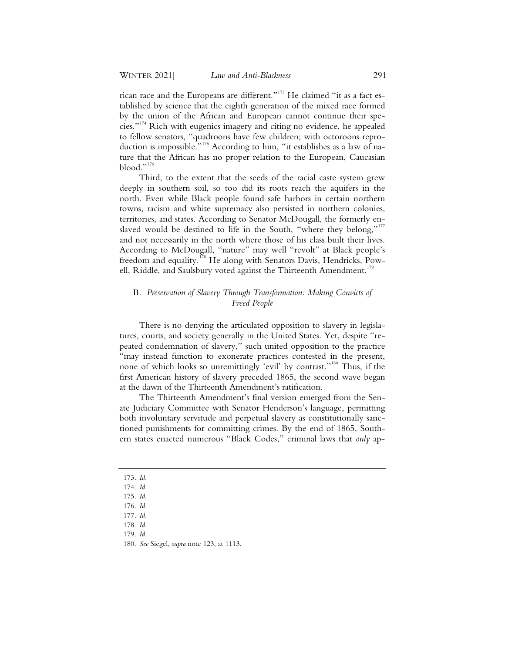rican race and the Europeans are different."<sup>173</sup> He claimed "it as a fact established by science that the eighth generation of the mixed race formed by the union of the African and European cannot continue their species."<sup>174</sup> Rich with eugenics imagery and citing no evidence, he appealed to fellow senators, "quadroons have few children; with octoroons reproduction is impossible."<sup>175</sup> According to him, "it establishes as a law of nature that the African has no proper relation to the European, Caucasian blood."<sup>176</sup>

Third, to the extent that the seeds of the racial caste system grew deeply in southern soil, so too did its roots reach the aquifers in the north. Even while Black people found safe harbors in certain northern towns, racism and white supremacy also persisted in northern colonies, territories, and states. According to Senator McDougall, the formerly enslaved would be destined to life in the South, "where they belong,"<sup>177</sup> and not necessarily in the north where those of his class built their lives. According to McDougall, "nature" may well "revolt" at Black people's freedom and equality*.* <sup>178</sup> He along with Senators Davis, Hendricks, Powell, Riddle, and Saulsbury voted against the Thirteenth Amendment.<sup>179</sup>

### B*. Preservation of Slavery Through Transformation: Making Convicts of Freed People*

There is no denying the articulated opposition to slavery in legislatures, courts, and society generally in the United States. Yet, despite "repeated condemnation of slavery," such united opposition to the practice "may instead function to exonerate practices contested in the present, none of which looks so unremittingly 'evil' by contrast."<sup>180</sup> Thus, if the first American history of slavery preceded 1865, the second wave began at the dawn of the Thirteenth Amendment's ratification.

The Thirteenth Amendment's final version emerged from the Senate Judiciary Committee with Senator Henderson's language, permitting both involuntary servitude and perpetual slavery as constitutionally sanctioned punishments for committing crimes. By the end of 1865, Southern states enacted numerous "Black Codes," criminal laws that *only* ap-

- 173. *Id.*
- 174. *Id.*
- 175. *Id.*
- 176. *Id.*

<sup>177.</sup> *Id.*

<sup>178.</sup> *Id.*

<sup>179.</sup> *Id.*

<sup>180.</sup> *See* Siegel, *supra* note 123, at 1113.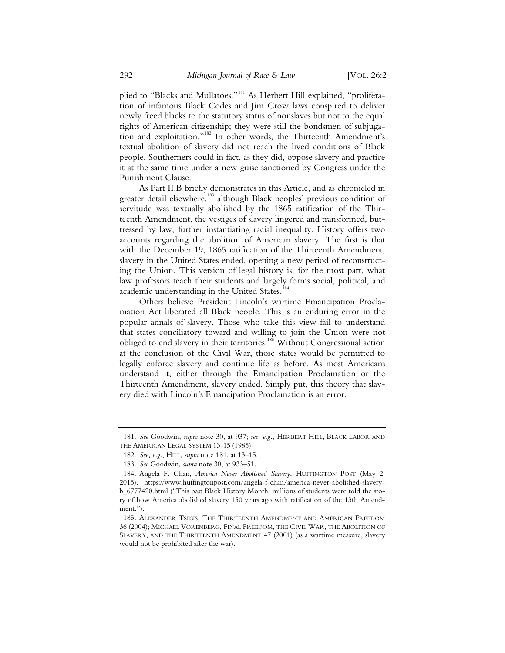plied to "Blacks and Mullatoes."<sup>181</sup> As Herbert Hill explained, "proliferation of infamous Black Codes and Jim Crow laws conspired to deliver newly freed blacks to the statutory status of nonslaves but not to the equal rights of American citizenship; they were still the bondsmen of subjugation and exploitation."182 In other words, the Thirteenth Amendment's textual abolition of slavery did not reach the lived conditions of Black people. Southerners could in fact, as they did, oppose slavery and practice it at the same time under a new guise sanctioned by Congress under the Punishment Clause.

As Part II.B briefly demonstrates in this Article, and as chronicled in greater detail elsewhere,<sup>183</sup> although Black peoples' previous condition of servitude was textually abolished by the 1865 ratification of the Thirteenth Amendment, the vestiges of slavery lingered and transformed, buttressed by law, further instantiating racial inequality. History offers two accounts regarding the abolition of American slavery. The first is that with the December 19, 1865 ratification of the Thirteenth Amendment, slavery in the United States ended, opening a new period of reconstructing the Union. This version of legal history is, for the most part, what law professors teach their students and largely forms social, political, and academic understanding in the United States.<sup>184</sup>

Others believe President Lincoln's wartime Emancipation Proclamation Act liberated all Black people. This is an enduring error in the popular annals of slavery. Those who take this view fail to understand that states conciliatory toward and willing to join the Union were not obliged to end slavery in their territories.<sup>185</sup> Without Congressional action at the conclusion of the Civil War, those states would be permitted to legally enforce slavery and continue life as before. As most Americans understand it, either through the Emancipation Proclamation or the Thirteenth Amendment, slavery ended. Simply put, this theory that slavery died with Lincoln's Emancipation Proclamation is an error.

 <sup>181.</sup> *See* Goodwin, *supra* note 30, at 937; *see, e.g.*, HERBERT HILL, BLACK LABOR AND THE AMERICAN LEGAL SYSTEM 13-15 (1985).

 <sup>182.</sup> *See, e.g.*, HILL, *supra* note 181, at 13–15.

 <sup>183.</sup> *See* Goodwin, *supra* note 30, at 933–51.

 <sup>184.</sup> Angela F. Chan, *America Never Abolished Slavery*, HUFFINGTON POST (May 2, 2015), https://www.huffingtonpost.com/angela-f-chan/america-never-abolished-slaveryb\_6777420.html ("This past Black History Month, millions of students were told the story of how America abolished slavery 150 years ago with ratification of the 13th Amendment.").

 <sup>185.</sup> ALEXANDER TSESIS, THE THIRTEENTH AMENDMENT AND AMERICAN FREEDOM 36 (2004); MICHAEL VORENBERG, FINAL FREEDOM, THE CIVIL WAR, THE ABOLITION OF SLAVERY, AND THE THIRTEENTH AMENDMENT 47 (2001) (as a wartime measure, slavery would not be prohibited after the war).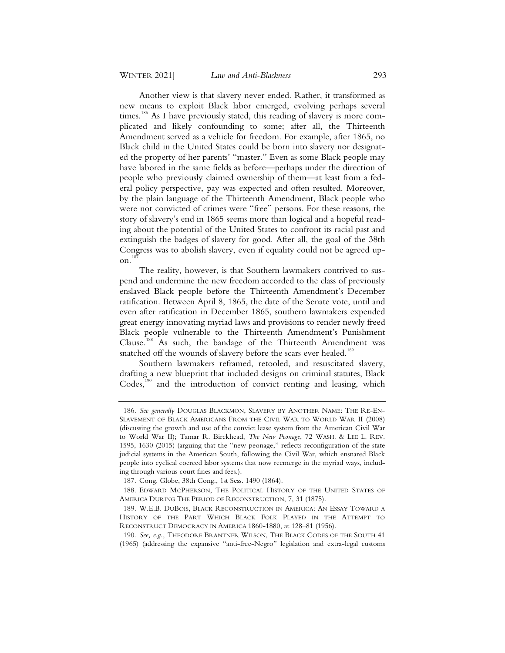Another view is that slavery never ended. Rather, it transformed as new means to exploit Black labor emerged, evolving perhaps several times.<sup>186</sup> As I have previously stated, this reading of slavery is more complicated and likely confounding to some; after all, the Thirteenth Amendment served as a vehicle for freedom. For example, after 1865, no Black child in the United States could be born into slavery nor designated the property of her parents' "master." Even as some Black people may have labored in the same fields as before—perhaps under the direction of people who previously claimed ownership of them—at least from a federal policy perspective, pay was expected and often resulted. Moreover, by the plain language of the Thirteenth Amendment, Black people who were not convicted of crimes were "free" persons. For these reasons, the story of slavery's end in 1865 seems more than logical and a hopeful reading about the potential of the United States to confront its racial past and extinguish the badges of slavery for good. After all, the goal of the 38th Congress was to abolish slavery, even if equality could not be agreed upon. $1$ 

The reality, however, is that Southern lawmakers contrived to suspend and undermine the new freedom accorded to the class of previously enslaved Black people before the Thirteenth Amendment's December ratification. Between April 8, 1865, the date of the Senate vote, until and even after ratification in December 1865, southern lawmakers expended great energy innovating myriad laws and provisions to render newly freed Black people vulnerable to the Thirteenth Amendment's Punishment Clause.<sup>188</sup> As such, the bandage of the Thirteenth Amendment was snatched off the wounds of slavery before the scars ever healed.<sup>189</sup>

Southern lawmakers reframed, retooled, and resuscitated slavery, drafting a new blueprint that included designs on criminal statutes, Black  $\text{Codes}^{190}$  and the introduction of convict renting and leasing, which

 <sup>186.</sup> *See generally* DOUGLAS BLACKMON, SLAVERY BY ANOTHER NAME: THE RE-EN-SLAVEMENT OF BLACK AMERICANS FROM THE CIVIL WAR TO WORLD WAR II (2008) (discussing the growth and use of the convict lease system from the American Civil War to World War II); Tamar R. Birckhead, *The New Peonage*, 72 WASH. & LEE L. REV. 1595, 1630 (2015) (arguing that the "new peonage," reflects reconfiguration of the state judicial systems in the American South, following the Civil War, which ensnared Black people into cyclical coerced labor systems that now reemerge in the myriad ways, including through various court fines and fees.).

 <sup>187.</sup> Cong. Globe, 38th Cong., 1st Sess. 1490 (1864).

 <sup>188.</sup> EDWARD MCPHERSON, THE POLITICAL HISTORY OF THE UNITED STATES OF AMERICA DURING THE PERIOD OF RECONSTRUCTION, 7, 31 (1875).

 <sup>189.</sup> W.E.B. DUBOIS, BLACK RECONSTRUCTION IN AMERICA: AN ESSAY TOWARD A HISTORY OF THE PART WHICH BLACK FOLK PLAYED IN THE ATTEMPT TO RECONSTRUCT DEMOCRACY IN AMERICA 1860-1880, at 128–81 (1956).

 <sup>190.</sup> *See, e.g.*, THEODORE BRANTNER WILSON, THE BLACK CODES OF THE SOUTH 41 (1965) (addressing the expansive "anti-free-Negro" legislation and extra-legal customs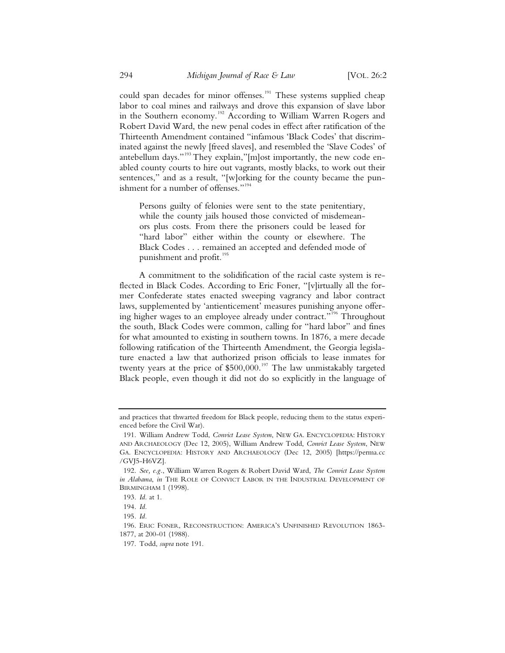could span decades for minor offenses.<sup>191</sup> These systems supplied cheap labor to coal mines and railways and drove this expansion of slave labor in the Southern economy.<sup>192</sup> According to William Warren Rogers and Robert David Ward, the new penal codes in effect after ratification of the Thirteenth Amendment contained "infamous 'Black Codes' that discriminated against the newly [freed slaves], and resembled the 'Slave Codes' of antebellum days."<sup>193</sup> They explain,"[m]ost importantly, the new code enabled county courts to hire out vagrants, mostly blacks, to work out their sentences," and as a result, "[w]orking for the county became the punishment for a number of offenses."<sup>194</sup>

Persons guilty of felonies were sent to the state penitentiary, while the county jails housed those convicted of misdemeanors plus costs. From there the prisoners could be leased for "hard labor" either within the county or elsewhere. The Black Codes . . . remained an accepted and defended mode of punishment and profit.<sup>195</sup>

A commitment to the solidification of the racial caste system is reflected in Black Codes. According to Eric Foner, "[v]irtually all the former Confederate states enacted sweeping vagrancy and labor contract laws, supplemented by 'antienticement' measures punishing anyone offering higher wages to an employee already under contract."<sup>196</sup> Throughout the south, Black Codes were common, calling for "hard labor" and fines for what amounted to existing in southern towns. In 1876, a mere decade following ratification of the Thirteenth Amendment, the Georgia legislature enacted a law that authorized prison officials to lease inmates for twenty years at the price of  $$500,000$ .<sup>197</sup> The law unmistakably targeted Black people, even though it did not do so explicitly in the language of

and practices that thwarted freedom for Black people, reducing them to the status experienced before the Civil War).

<sup>191.</sup> William Andrew Todd, *Convict Lease System*, NEW GA. ENCYCLOPEDIA: HISTORY AND ARCHAEOLOGY (Dec 12, 2005), William Andrew Todd, *Convict Lease System*, NEW GA. ENCYCLOPEDIA: HISTORY AND ARCHAEOLOGY (Dec 12, 2005) [https://perma.cc /GVJ5-H6VZ].

<sup>192.</sup> *See, e.g.*, William Warren Rogers & Robert David Ward, *The Convict Lease System in Alabama*, *in* THE ROLE OF CONVICT LABOR IN THE INDUSTRIAL DEVELOPMENT OF BIRMINGHAM 1 (1998).

<sup>193.</sup> *Id.* at 1.

<sup>194.</sup> *Id.*

<sup>195</sup>*. Id.*

<sup>196.</sup> ERIC FONER, RECONSTRUCTION: AMERICA'S UNFINISHED REVOLUTION 1863- 1877, at 200-01 (1988).

<sup>197.</sup> Todd, *supra* note 191.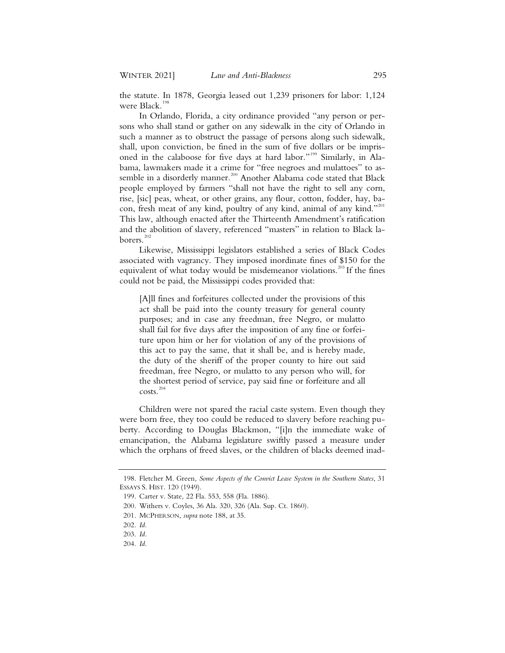the statute. In 1878, Georgia leased out 1,239 prisoners for labor: 1,124 were Black.<sup>1</sup>

In Orlando, Florida, a city ordinance provided "any person or persons who shall stand or gather on any sidewalk in the city of Orlando in such a manner as to obstruct the passage of persons along such sidewalk, shall, upon conviction, be fined in the sum of five dollars or be imprisoned in the calaboose for five days at hard labor."<sup>199</sup> Similarly, in Alabama, lawmakers made it a crime for "free negroes and mulattoes" to assemble in a disorderly manner.<sup>200</sup> Another Alabama code stated that Black people employed by farmers "shall not have the right to sell any corn, rise, [sic] peas, wheat, or other grains, any flour, cotton, fodder, hay, bacon, fresh meat of any kind, poultry of any kind, animal of any kind."<sup>201</sup> This law, although enacted after the Thirteenth Amendment's ratification and the abolition of slavery, referenced "masters" in relation to Black laborers.<sup>202</sup>

Likewise, Mississippi legislators established a series of Black Codes associated with vagrancy. They imposed inordinate fines of \$150 for the equivalent of what today would be misdemeanor violations.<sup>203</sup> If the fines could not be paid, the Mississippi codes provided that:

[A]ll fines and forfeitures collected under the provisions of this act shall be paid into the county treasury for general county purposes; and in case any freedman, free Negro, or mulatto shall fail for five days after the imposition of any fine or forfeiture upon him or her for violation of any of the provisions of this act to pay the same, that it shall be, and is hereby made, the duty of the sheriff of the proper county to hire out said freedman, free Negro, or mulatto to any person who will, for the shortest period of service, pay said fine or forfeiture and all costs.<sup>204</sup>

Children were not spared the racial caste system. Even though they were born free, they too could be reduced to slavery before reaching puberty. According to Douglas Blackmon, "[i]n the immediate wake of emancipation, the Alabama legislature swiftly passed a measure under which the orphans of freed slaves, or the children of blacks deemed inad-

<sup>198.</sup> Fletcher M. Green*, Some Aspects of the Convict Lease System in the Southern States*, 31 ESSAYS S. HIST. 120 (1949).

<sup>199.</sup> Carter v. State*,* 22 Fla. 553, 558 (Fla. 1886).

<sup>200.</sup> Withers v. Coyles, 36 Ala. 320, 326 (Ala. Sup. Ct. 1860).

<sup>201.</sup> MCPHERSON, *supra* note 188, at 35.

<sup>202</sup>*. Id.*

<sup>203.</sup> *Id.*

<sup>204.</sup> *Id.*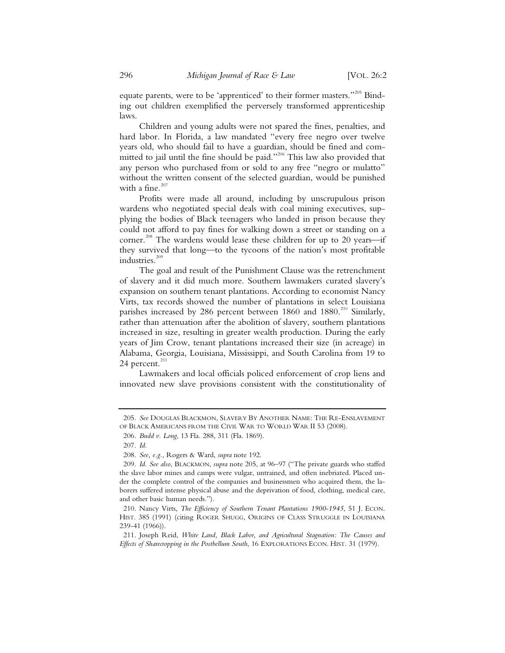equate parents, were to be 'apprenticed' to their former masters."<sup>205</sup> Binding out children exemplified the perversely transformed apprenticeship laws.

Children and young adults were not spared the fines, penalties, and hard labor. In Florida, a law mandated "every free negro over twelve years old, who should fail to have a guardian, should be fined and committed to jail until the fine should be paid."<sup>206</sup> This law also provided that any person who purchased from or sold to any free "negro or mulatto" without the written consent of the selected guardian, would be punished with a fine.<sup>207</sup>

Profits were made all around, including by unscrupulous prison wardens who negotiated special deals with coal mining executives, supplying the bodies of Black teenagers who landed in prison because they could not afford to pay fines for walking down a street or standing on a corner.<sup>208</sup> The wardens would lease these children for up to 20 years—if they survived that long—to the tycoons of the nation's most profitable industries.<sup>209</sup>

The goal and result of the Punishment Clause was the retrenchment of slavery and it did much more. Southern lawmakers curated slavery's expansion on southern tenant plantations. According to economist Nancy Virts, tax records showed the number of plantations in select Louisiana parishes increased by 286 percent between  $1860$  and  $1880$ .<sup>210</sup> Similarly, rather than attenuation after the abolition of slavery, southern plantations increased in size, resulting in greater wealth production. During the early years of Jim Crow, tenant plantations increased their size (in acreage) in Alabama, Georgia, Louisiana, Mississippi, and South Carolina from 19 to 24 percent. $^{211}$ 

Lawmakers and local officials policed enforcement of crop liens and innovated new slave provisions consistent with the constitutionality of

<sup>205.</sup> *See* DOUGLAS BLACKMON, SLAVERY BY ANOTHER NAME: THE RE-ENSLAVEMENT OF BLACK AMERICANS FROM THE CIVIL WAR TO WORLD WAR II 53 (2008).

<sup>206.</sup> *Budd v. Long*, 13 Fla. 288, 311 (Fla. 1869).

<sup>207.</sup> *Id.*

<sup>208.</sup> *See, e.g.*, Rogers & Ward, *supra* note 192.

<sup>209.</sup> *Id. See also*, BLACKMON, *supra* note 205, at 96–97 ("The private guards who staffed the slave labor mines and camps were vulgar, untrained, and often inebriated. Placed under the complete control of the companies and businessmen who acquired them, the laborers suffered intense physical abuse and the deprivation of food, clothing, medical care, and other basic human needs.").

<sup>210.</sup> Nancy Virts, *The Efficiency of Southern Tenant Plantations 1900-1945*, 51 J. ECON. HIST. 385 (1991) (citing ROGER SHUGG, ORIGINS OF CLASS STRUGGLE IN LOUISIANA 239-41 (1966)).

<sup>211.</sup> Joseph Reid, *White Land, Black Labor, and Agricultural Stagnation: The Causes and Effects of Sharecropping in the Postbellum South*, 16 EXPLORATIONS ECON. HIST. 31 (1979).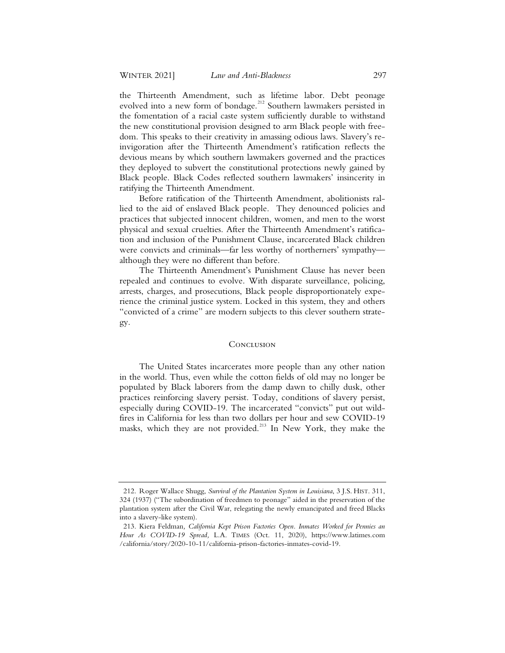the Thirteenth Amendment, such as lifetime labor. Debt peonage evolved into a new form of bondage.<sup>212</sup> Southern lawmakers persisted in the fomentation of a racial caste system sufficiently durable to withstand the new constitutional provision designed to arm Black people with freedom. This speaks to their creativity in amassing odious laws. Slavery's reinvigoration after the Thirteenth Amendment's ratification reflects the devious means by which southern lawmakers governed and the practices they deployed to subvert the constitutional protections newly gained by Black people. Black Codes reflected southern lawmakers' insincerity in ratifying the Thirteenth Amendment.

Before ratification of the Thirteenth Amendment, abolitionists rallied to the aid of enslaved Black people. They denounced policies and practices that subjected innocent children, women, and men to the worst physical and sexual cruelties. After the Thirteenth Amendment's ratification and inclusion of the Punishment Clause, incarcerated Black children were convicts and criminals—far less worthy of northerners' sympathy although they were no different than before.

The Thirteenth Amendment's Punishment Clause has never been repealed and continues to evolve. With disparate surveillance, policing, arrests, charges, and prosecutions, Black people disproportionately experience the criminal justice system. Locked in this system, they and others "convicted of a crime" are modern subjects to this clever southern strategy.

#### **CONCLUSION**

The United States incarcerates more people than any other nation in the world. Thus, even while the cotton fields of old may no longer be populated by Black laborers from the damp dawn to chilly dusk, other practices reinforcing slavery persist. Today, conditions of slavery persist, especially during COVID-19. The incarcerated "convicts" put out wildfires in California for less than two dollars per hour and sew COVID-19 masks, which they are not provided.<sup>213</sup> In New York, they make the

<sup>212.</sup> Roger Wallace Shugg, *Survival of the Plantation System in Louisiana*, 3 J.S. HIST. 311, 324 (1937) ("The subordination of freedmen to peonage" aided in the preservation of the plantation system after the Civil War, relegating the newly emancipated and freed Blacks into a slavery-like system).

<sup>213.</sup> Kiera Feldman*, California Kept Prison Factories Open. Inmates Worked for Pennies an Hour As COVID-19 Spread,* L.A. TIMES (Oct. 11, 2020), https://www.latimes.com /california/story/2020-10-11/california-prison-factories-inmates-covid-19.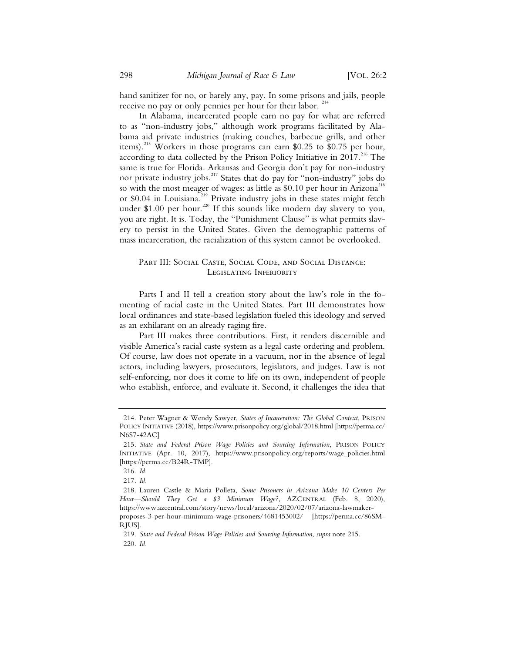hand sanitizer for no, or barely any, pay. In some prisons and jails, people receive no pay or only pennies per hour for their labor.  $214$ 

In Alabama, incarcerated people earn no pay for what are referred to as "non-industry jobs," although work programs facilitated by Alabama aid private industries (making couches, barbecue grills, and other items).<sup>215</sup> Workers in those programs can earn \$0.25 to \$0.75 per hour, according to data collected by the Prison Policy Initiative in  $2017$ <sup>216</sup> The same is true for Florida. Arkansas and Georgia don't pay for non-industry nor private industry jobs.<sup>217</sup> States that do pay for "non-industry" jobs do so with the most meager of wages: as little as \$0.10 per hour in Arizona<sup>218</sup> or \$0.04 in Louisiana.<sup>219</sup> Private industry jobs in these states might fetch under \$1.00 per hour.<sup>220</sup> If this sounds like modern day slavery to you, you are right. It is. Today, the "Punishment Clause" is what permits slavery to persist in the United States. Given the demographic patterns of mass incarceration, the racialization of this system cannot be overlooked.

# PART III: SOCIAL CASTE, SOCIAL CODE, AND SOCIAL DISTANCE: Legislating Inferiority

Parts I and II tell a creation story about the law's role in the fomenting of racial caste in the United States. Part III demonstrates how local ordinances and state-based legislation fueled this ideology and served as an exhilarant on an already raging fire.

Part III makes three contributions. First, it renders discernible and visible America's racial caste system as a legal caste ordering and problem. Of course, law does not operate in a vacuum, nor in the absence of legal actors, including lawyers, prosecutors, legislators, and judges. Law is not self-enforcing, nor does it come to life on its own, independent of people who establish, enforce, and evaluate it. Second, it challenges the idea that

<sup>214.</sup> Peter Wagner & Wendy Sawyer, *States of Incarceration: The Global Context*, PRISON POLICY INITIATIVE (2018), https://www.prisonpolicy.org/global/2018.html [https://perma.cc/ N6S7-42AC]

<sup>215.</sup> *State and Federal Prison Wage Policies and Sourcing Information*, PRISON POLICY INITIATIVE (Apr. 10, 2017), https://www.prisonpolicy.org/reports/wage\_policies.html [https://perma.cc/B24R-TMP].

<sup>216.</sup> *Id.*

<sup>217.</sup> *Id.*

<sup>218.</sup> Lauren Castle & Maria Polleta, *Some Prisoners in Arizona Make 10 Centers Per Hour—Should They Get a \$3 Minimum Wage?,* AZCENTRAL (Feb. 8, 2020), https://www.azcentral.com/story/news/local/arizona/2020/02/07/arizona-lawmakerproposes-3-per-hour-minimum-wage-prisoners/4681453002/ [https://perma.cc/86SM-

RJUS]. 219. *State and Federal Prison Wage Policies and Sourcing Information*, *supra* note 215.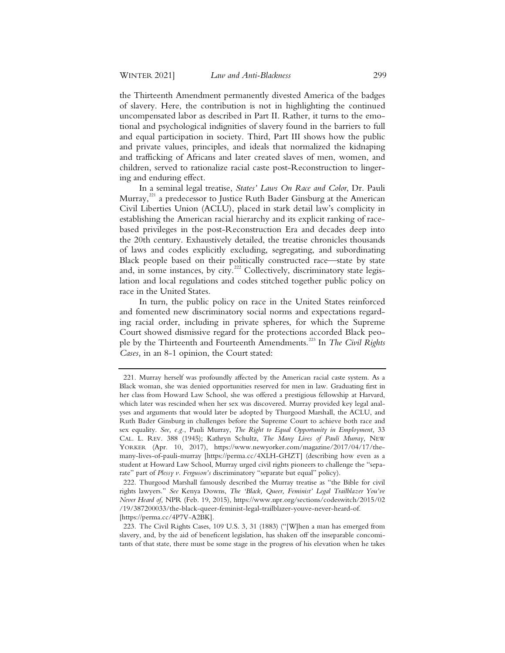the Thirteenth Amendment permanently divested America of the badges of slavery. Here, the contribution is not in highlighting the continued uncompensated labor as described in Part II. Rather, it turns to the emotional and psychological indignities of slavery found in the barriers to full and equal participation in society. Third, Part III shows how the public and private values, principles, and ideals that normalized the kidnaping and trafficking of Africans and later created slaves of men, women, and children, served to rationalize racial caste post-Reconstruction to lingering and enduring effect.

In a seminal legal treatise, *States' Laws On Race and Color*, Dr. Pauli Murray,<sup>221</sup> a predecessor to Justice Ruth Bader Ginsburg at the American Civil Liberties Union (ACLU), placed in stark detail law's complicity in establishing the American racial hierarchy and its explicit ranking of racebased privileges in the post-Reconstruction Era and decades deep into the 20th century. Exhaustively detailed, the treatise chronicles thousands of laws and codes explicitly excluding, segregating, and subordinating Black people based on their politically constructed race—state by state and, in some instances, by city.<sup>222</sup> Collectively, discriminatory state legislation and local regulations and codes stitched together public policy on race in the United States.

In turn, the public policy on race in the United States reinforced and fomented new discriminatory social norms and expectations regarding racial order, including in private spheres, for which the Supreme Court showed dismissive regard for the protections accorded Black people by the Thirteenth and Fourteenth Amendments.<sup>223</sup> In *The Civil Rights Cases,* in an 8-1 opinion, the Court stated:

<sup>221.</sup> Murray herself was profoundly affected by the American racial caste system. As a Black woman, she was denied opportunities reserved for men in law. Graduating first in her class from Howard Law School, she was offered a prestigious fellowship at Harvard, which later was rescinded when her sex was discovered. Murray provided key legal analyses and arguments that would later be adopted by Thurgood Marshall, the ACLU, and Ruth Bader Ginsburg in challenges before the Supreme Court to achieve both race and sex equality. *See, e.g.*, Pauli Murray, *The Right to Equal Opportunity in Employment,* 33 CAL. L. REV. 388 (1945); Kathryn Schultz, *The Many Lives of Pauli Murray,* NEW YORKER (Apr. 10, 2017), https://www.newyorker.com/magazine/2017/04/17/themany-lives-of-pauli-murray [https://perma.cc/4XLH-GHZT] (describing how even as a student at Howard Law School, Murray urged civil rights pioneers to challenge the "separate" part of *Plessy v. Ferguson's* discriminatory "separate but equal" policy).

<sup>222.</sup> Thurgood Marshall famously described the Murray treatise as "the Bible for civil rights lawyers." *See* Kenya Downs, *The 'Black, Queer, Feminist' Legal Trailblazer You've Never Heard of,* NPR (Feb. 19, 2015), https://www.npr.org/sections/codeswitch/2015/02 /19/387200033/the-black-queer-feminist-legal-trailblazer-youve-never-heard-of. [https://perma.cc/4P7V-A2BK].

<sup>223.</sup> The Civil Rights Cases, 109 U.S. 3, 31 (1883) ("[W]hen a man has emerged from slavery, and, by the aid of beneficent legislation, has shaken off the inseparable concomitants of that state, there must be some stage in the progress of his elevation when he takes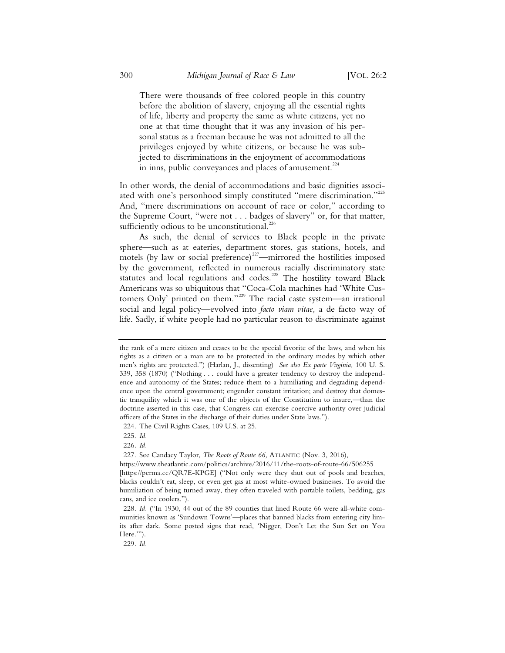There were thousands of free colored people in this country before the abolition of slavery, enjoying all the essential rights of life, liberty and property the same as white citizens, yet no one at that time thought that it was any invasion of his personal status as a freeman because he was not admitted to all the privileges enjoyed by white citizens, or because he was subjected to discriminations in the enjoyment of accommodations in inns, public conveyances and places of amusement. $224$ 

In other words, the denial of accommodations and basic dignities associated with one's personhood simply constituted "mere discrimination."<sup>225</sup> And, "mere discriminations on account of race or color," according to the Supreme Court, "were not . . . badges of slavery" or, for that matter, sufficiently odious to be unconstitutional.<sup>226</sup>

As such, the denial of services to Black people in the private sphere—such as at eateries, department stores, gas stations, hotels, and motels (by law or social preference)<sup>227</sup>—mirrored the hostilities imposed by the government, reflected in numerous racially discriminatory state statutes and local regulations and codes.<sup>228</sup> The hostility toward Black Americans was so ubiquitous that "Coca-Cola machines had 'White Customers Only' printed on them."<sup>229</sup> The racial caste system—an irrational social and legal policy—evolved into *facto viam vitae,* a de facto way of life. Sadly, if white people had no particular reason to discriminate against

226*. Id.*

227. See Candacy Taylor, *The Roots of Route 66,* ATLANTIC (Nov. 3, 2016),

the rank of a mere citizen and ceases to be the special favorite of the laws, and when his rights as a citizen or a man are to be protected in the ordinary modes by which other men's rights are protected.") (Harlan, J., dissenting) *See also Ex parte Virginia,* 100 U. S. 339, 358 (1870) ("Nothing . . . could have a greater tendency to destroy the independence and autonomy of the States; reduce them to a humiliating and degrading dependence upon the central government; engender constant irritation; and destroy that domestic tranquility which it was one of the objects of the Constitution to insure,—than the doctrine asserted in this case, that Congress can exercise coercive authority over judicial officers of the States in the discharge of their duties under State laws.").

<sup>224.</sup> The Civil Rights Cases, 109 U.S. at 25.

<sup>225.</sup> *Id.*

https://www.theatlantic.com/politics/archive/2016/11/the-roots-of-route-66/506255 [https://perma.cc/QR7E-KPGE] ("Not only were they shut out of pools and beaches, blacks couldn't eat, sleep, or even get gas at most white-owned businesses. To avoid the humiliation of being turned away, they often traveled with portable toilets, bedding, gas cans, and ice coolers.").

<sup>228.</sup> *Id.* ("In 1930, 44 out of the 89 counties that lined Route 66 were all-white communities known as 'Sundown Towns'—places that banned blacks from entering city limits after dark. Some posted signs that read, 'Nigger, Don't Let the Sun Set on You Here.'").

<sup>229</sup>*. Id.*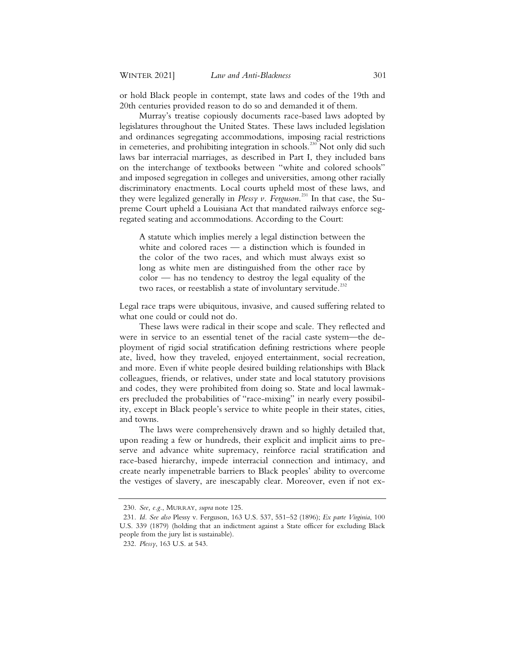or hold Black people in contempt, state laws and codes of the 19th and 20th centuries provided reason to do so and demanded it of them.

Murray's treatise copiously documents race-based laws adopted by legislatures throughout the United States. These laws included legislation and ordinances segregating accommodations, imposing racial restrictions in cemeteries, and prohibiting integration in schools.<sup>230</sup> Not only did such laws bar interracial marriages, as described in Part I, they included bans on the interchange of textbooks between "white and colored schools" and imposed segregation in colleges and universities, among other racially discriminatory enactments. Local courts upheld most of these laws, and they were legalized generally in *Plessy v. Ferguson*. <sup>231</sup> In that case, the Supreme Court upheld a Louisiana Act that mandated railways enforce segregated seating and accommodations. According to the Court:

A statute which implies merely a legal distinction between the white and colored races — a distinction which is founded in the color of the two races, and which must always exist so long as white men are distinguished from the other race by color — has no tendency to destroy the legal equality of the two races, or reestablish a state of involuntary servitude.<sup>2</sup>

Legal race traps were ubiquitous, invasive, and caused suffering related to what one could or could not do.

These laws were radical in their scope and scale. They reflected and were in service to an essential tenet of the racial caste system—the deployment of rigid social stratification defining restrictions where people ate, lived, how they traveled, enjoyed entertainment, social recreation, and more. Even if white people desired building relationships with Black colleagues, friends, or relatives, under state and local statutory provisions and codes, they were prohibited from doing so. State and local lawmakers precluded the probabilities of "race-mixing" in nearly every possibility, except in Black people's service to white people in their states, cities, and towns.

The laws were comprehensively drawn and so highly detailed that, upon reading a few or hundreds, their explicit and implicit aims to preserve and advance white supremacy, reinforce racial stratification and race-based hierarchy, impede interracial connection and intimacy, and create nearly impenetrable barriers to Black peoples' ability to overcome the vestiges of slavery, are inescapably clear. Moreover, even if not ex-

<sup>230.</sup> *See, e.g.*, MURRAY, *supra* note 125.

<sup>231.</sup> *Id. See also* Plessy v. Ferguson, 163 U.S. 537, 551–52 (1896); *Ex parte Virginia*, 100 U.S. 339 (1879) (holding that an indictment against a State officer for excluding Black people from the jury list is sustainable).

<sup>232.</sup> *Plessy*, 163 U.S. at 543.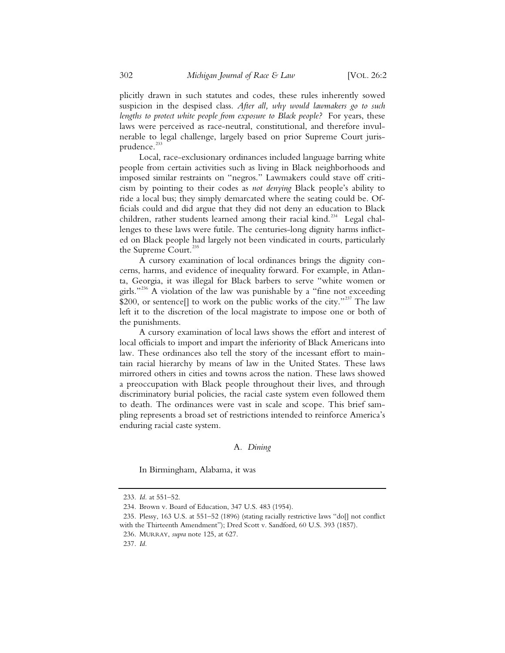plicitly drawn in such statutes and codes, these rules inherently sowed suspicion in the despised class. *After all, why would lawmakers go to such lengths to protect white people from exposure to Black people?* For years, these laws were perceived as race-neutral, constitutional, and therefore invulnerable to legal challenge, largely based on prior Supreme Court jurisprudence.<sup>233</sup>

Local, race-exclusionary ordinances included language barring white people from certain activities such as living in Black neighborhoods and imposed similar restraints on "negros." Lawmakers could stave off criticism by pointing to their codes as *not denying* Black people's ability to ride a local bus; they simply demarcated where the seating could be. Officials could and did argue that they did not deny an education to Black children, rather students learned among their racial kind.<sup>234</sup> Legal challenges to these laws were futile. The centuries-long dignity harms inflicted on Black people had largely not been vindicated in courts, particularly the Supreme Court.<sup>23</sup>

A cursory examination of local ordinances brings the dignity concerns, harms, and evidence of inequality forward. For example, in Atlanta, Georgia, it was illegal for Black barbers to serve "white women or girls."<sup>236</sup> A violation of the law was punishable by a "fine not exceeding \$200, or sentence[] to work on the public works of the city."<sup>237</sup> The law left it to the discretion of the local magistrate to impose one or both of the punishments.

A cursory examination of local laws shows the effort and interest of local officials to import and impart the inferiority of Black Americans into law. These ordinances also tell the story of the incessant effort to maintain racial hierarchy by means of law in the United States. These laws mirrored others in cities and towns across the nation. These laws showed a preoccupation with Black people throughout their lives, and through discriminatory burial policies, the racial caste system even followed them to death. The ordinances were vast in scale and scope. This brief sampling represents a broad set of restrictions intended to reinforce America's enduring racial caste system.

# A*. Dining*

In Birmingham, Alabama, it was

<sup>233.</sup> *Id.* at 551–52.

<sup>234.</sup> Brown v. Board of Education, 347 U.S. 483 (1954).

<sup>235.</sup> Plessy, 163 U.S. at 551–52 (1896) (stating racially restrictive laws "do[] not conflict with the Thirteenth Amendment"); Dred Scott v. Sandford, 60 U.S. 393 (1857).

<sup>236.</sup> MURRAY, *supra* note 125, at 627.

<sup>237.</sup> *Id.*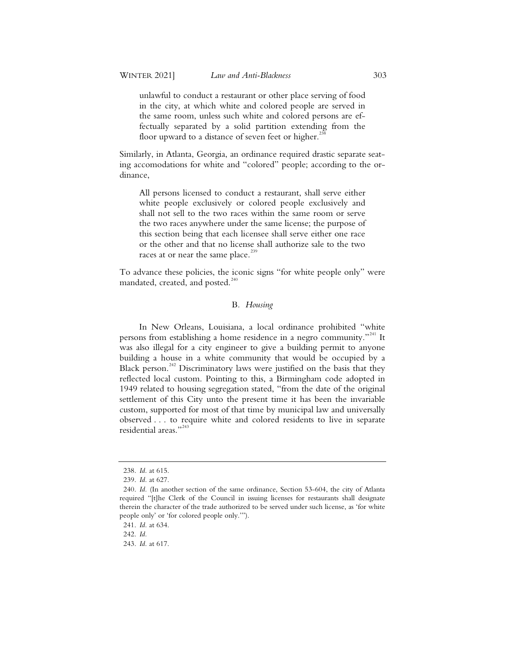unlawful to conduct a restaurant or other place serving of food in the city, at which white and colored people are served in the same room, unless such white and colored persons are effectually separated by a solid partition extending from the floor upward to a distance of seven feet or higher.<sup>23</sup>

Similarly, in Atlanta, Georgia, an ordinance required drastic separate seating accomodations for white and "colored" people; according to the ordinance,

All persons licensed to conduct a restaurant, shall serve either white people exclusively or colored people exclusively and shall not sell to the two races within the same room or serve the two races anywhere under the same license; the purpose of this section being that each licensee shall serve either one race or the other and that no license shall authorize sale to the two races at or near the same place.<sup>239</sup>

To advance these policies, the iconic signs "for white people only" were mandated, created, and posted. $240$ 

# B*. Housing*

In New Orleans, Louisiana, a local ordinance prohibited "white persons from establishing a home residence in a negro community."<sup>241</sup> It was also illegal for a city engineer to give a building permit to anyone building a house in a white community that would be occupied by a Black person.<sup>242</sup> Discriminatory laws were justified on the basis that they reflected local custom. Pointing to this, a Birmingham code adopted in 1949 related to housing segregation stated, "from the date of the original settlement of this City unto the present time it has been the invariable custom, supported for most of that time by municipal law and universally observed . . . to require white and colored residents to live in separate residential areas."<sup>243</sup>

<sup>238.</sup> *Id.* at 615.

<sup>239.</sup> *Id.* at 627.

<sup>240.</sup> *Id.* (In another section of the same ordinance, Section 53-604, the city of Atlanta required "[t]he Clerk of the Council in issuing licenses for restaurants shall designate therein the character of the trade authorized to be served under such license, as 'for white people only' or 'for colored people only.'").

<sup>241.</sup> *Id.* at 634.

<sup>242.</sup> *Id.*

<sup>243.</sup> *Id.* at 617.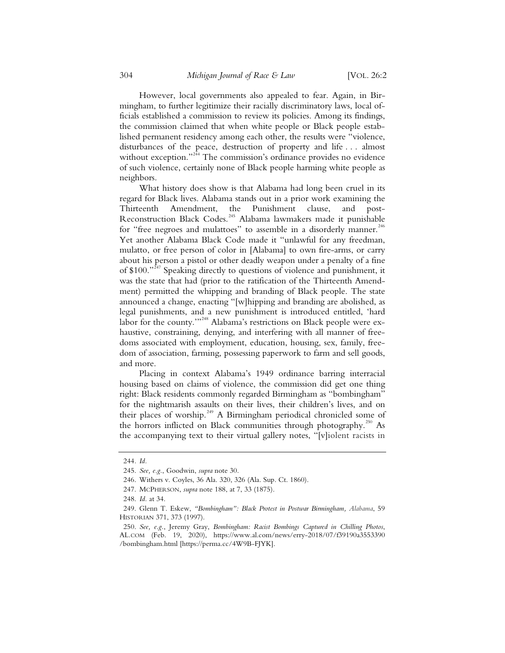However, local governments also appealed to fear. Again, in Birmingham, to further legitimize their racially discriminatory laws, local officials established a commission to review its policies. Among its findings, the commission claimed that when white people or Black people established permanent residency among each other, the results were "violence, disturbances of the peace, destruction of property and life . . . almost without exception."<sup>244</sup> The commission's ordinance provides no evidence of such violence, certainly none of Black people harming white people as neighbors.

What history does show is that Alabama had long been cruel in its regard for Black lives. Alabama stands out in a prior work examining the Thirteenth Amendment, the Punishment clause, and post-Reconstruction Black Codes.245 Alabama lawmakers made it punishable for "free negroes and mulattoes" to assemble in a disorderly manner.<sup>246</sup> Yet another Alabama Black Code made it "unlawful for any freedman, mulatto, or free person of color in [Alabama] to own fire-arms, or carry about his person a pistol or other deadly weapon under a penalty of a fine of \$100."<sup>247</sup> Speaking directly to questions of violence and punishment, it was the state that had (prior to the ratification of the Thirteenth Amendment) permitted the whipping and branding of Black people. The state announced a change, enacting "[w]hipping and branding are abolished, as legal punishments, and a new punishment is introduced entitled, 'hard labor for the county."<sup>248</sup> Alabama's restrictions on Black people were exhaustive, constraining, denying, and interfering with all manner of freedoms associated with employment, education, housing, sex, family, freedom of association, farming, possessing paperwork to farm and sell goods, and more.

Placing in context Alabama's 1949 ordinance barring interracial housing based on claims of violence, the commission did get one thing right: Black residents commonly regarded Birmingham as "bombingham" for the nightmarish assaults on their lives, their children's lives, and on their places of worship.<sup> $249$ </sup> A Birmingham periodical chronicled some of the horrors inflicted on Black communities through photography.<sup>250</sup> As the accompanying text to their virtual gallery notes, "[v]iolent racists in

<sup>244</sup>*. Id.*

 <sup>245.</sup> *See, e.g.*, Goodwin, *supra* note 30.

 <sup>246.</sup> Withers v. Coyles, 36 Ala. 320, 326 (Ala. Sup. Ct. 1860).

 <sup>247.</sup> MCPHERSON, *supra* note 188, at 7, 33 (1875).

 <sup>248.</sup> *Id.* at 34.

 <sup>249.</sup> Glenn T. Eskew, *"Bombingham": Black Protest in Postwar Birmingham, Alabama*, 59 HISTORIAN 371, 373 (1997).

 <sup>250.</sup> *See, e.g.*, Jeremy Gray, *Bombingham: Racist Bombings Captured in Chilling Photos*, AL.COM (Feb. 19, 2020), https://www.al.com/news/erry-2018/07/f39190a3553390 /bombingham.html [https://perma.cc/4W9B-FJYK].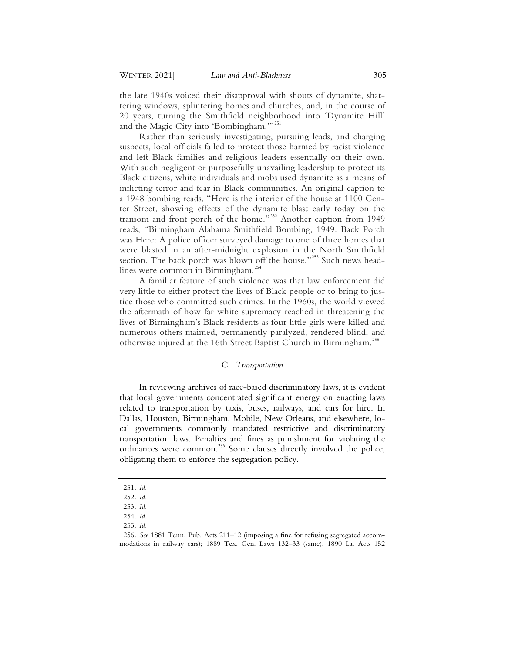the late 1940s voiced their disapproval with shouts of dynamite, shattering windows, splintering homes and churches, and, in the course of 20 years, turning the Smithfield neighborhood into 'Dynamite Hill' and the Magic City into 'Bombingham."<sup>251</sup>

Rather than seriously investigating, pursuing leads, and charging suspects, local officials failed to protect those harmed by racist violence and left Black families and religious leaders essentially on their own. With such negligent or purposefully unavailing leadership to protect its Black citizens, white individuals and mobs used dynamite as a means of inflicting terror and fear in Black communities. An original caption to a 1948 bombing reads, "Here is the interior of the house at 1100 Center Street, showing effects of the dynamite blast early today on the transom and front porch of the home."<sup>252</sup> Another caption from 1949 reads, "Birmingham Alabama Smithfield Bombing, 1949. Back Porch was Here: A police officer surveyed damage to one of three homes that were blasted in an after-midnight explosion in the North Smithfield section. The back porch was blown off the house."<sup>253</sup> Such news headlines were common in Birmingham.<sup>254</sup>

A familiar feature of such violence was that law enforcement did very little to either protect the lives of Black people or to bring to justice those who committed such crimes. In the 1960s, the world viewed the aftermath of how far white supremacy reached in threatening the lives of Birmingham's Black residents as four little girls were killed and numerous others maimed, permanently paralyzed, rendered blind, and otherwise injured at the 16th Street Baptist Church in Birmingham.<sup>255</sup>

# C. *Transportation*

In reviewing archives of race-based discriminatory laws, it is evident that local governments concentrated significant energy on enacting laws related to transportation by taxis, buses, railways, and cars for hire. In Dallas, Houston, Birmingham, Mobile, New Orleans, and elsewhere, local governments commonly mandated restrictive and discriminatory transportation laws. Penalties and fines as punishment for violating the ordinances were common.256 Some clauses directly involved the police, obligating them to enforce the segregation policy.

<sup>251</sup>*. Id.*

<sup>252</sup>*. Id.*

 <sup>253.</sup> *Id.* 

 <sup>254.</sup> *Id.* 

 <sup>255.</sup> *Id.* 

<sup>256</sup>*. See* 1881 Tenn. Pub. Acts 211–12 (imposing a fine for refusing segregated accommodations in railway cars); 1889 Tex. Gen. Laws 132–33 (same); 1890 La. Acts 152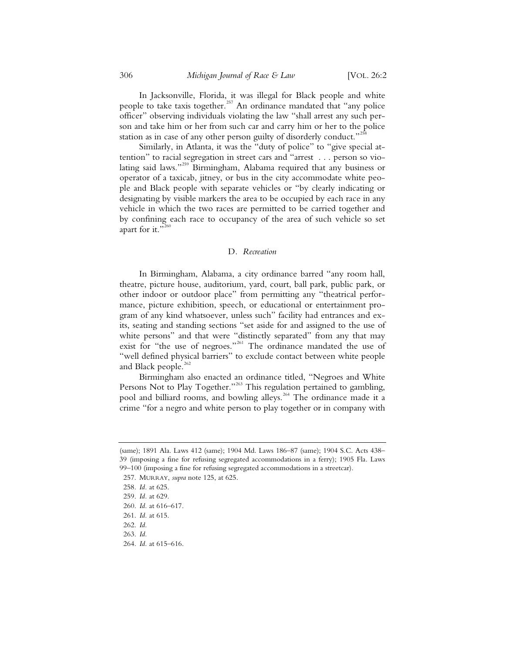In Jacksonville, Florida, it was illegal for Black people and white people to take taxis together.<sup>257</sup> An ordinance mandated that "any police officer" observing individuals violating the law "shall arrest any such person and take him or her from such car and carry him or her to the police station as in case of any other person guilty of disorderly conduct."<sup>2</sup>

Similarly, in Atlanta, it was the "duty of police" to "give special attention" to racial segregation in street cars and "arrest . . . person so violating said laws."<sup>259</sup> Birmingham, Alabama required that any business or operator of a taxicab, jitney, or bus in the city accommodate white people and Black people with separate vehicles or "by clearly indicating or designating by visible markers the area to be occupied by each race in any vehicle in which the two races are permitted to be carried together and by confining each race to occupancy of the area of such vehicle so set apart for it."<sup>260</sup>

### D*. Recreation*

In Birmingham, Alabama, a city ordinance barred "any room hall, theatre, picture house, auditorium, yard, court, ball park, public park, or other indoor or outdoor place" from permitting any "theatrical performance, picture exhibition, speech, or educational or entertainment program of any kind whatsoever, unless such" facility had entrances and exits, seating and standing sections "set aside for and assigned to the use of white persons" and that were "distinctly separated" from any that may exist for "the use of negroes."<sup>261</sup> The ordinance mandated the use of "well defined physical barriers" to exclude contact between white people and Black people. $262$ 

Birmingham also enacted an ordinance titled, "Negroes and White Persons Not to Play Together."<sup>263</sup> This regulation pertained to gambling, pool and billiard rooms, and bowling alleys.<sup>264</sup> The ordinance made it a crime "for a negro and white person to play together or in company with

<sup>(</sup>same); 1891 Ala. Laws 412 (same); 1904 Md. Laws 186–87 (same); 1904 S.C. Acts 438– 39 (imposing a fine for refusing segregated accommodations in a ferry); 1905 Fla. Laws 99–100 (imposing a fine for refusing segregated accommodations in a streetcar).

 <sup>257.</sup> MURRAY, *supra* note 125, at 625.

<sup>258</sup>*. Id.* at 625.

 <sup>259.</sup> *Id.* at 629.

 <sup>260.</sup> *Id.* at 616–617.

 <sup>261.</sup> *Id.* at 615.

 <sup>262.</sup> *Id.* 

 <sup>263.</sup> *Id.* 

 <sup>264.</sup> *Id.* at 615–616.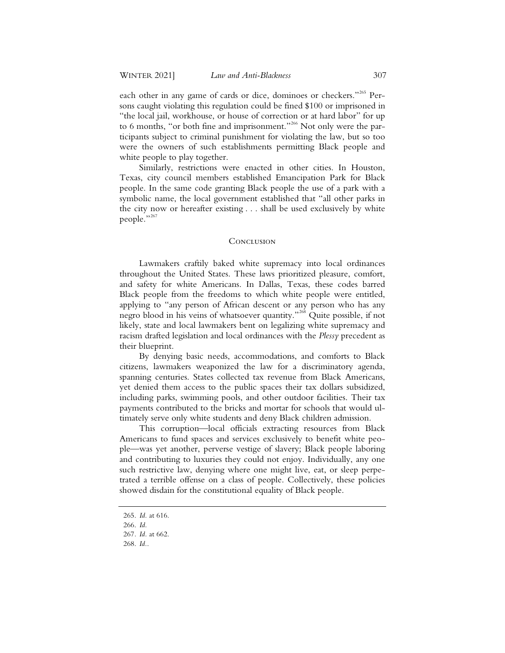each other in any game of cards or dice, dominoes or checkers."<sup>265</sup> Persons caught violating this regulation could be fined \$100 or imprisoned in "the local jail, workhouse, or house of correction or at hard labor" for up to 6 months, "or both fine and imprisonment."<sup>266</sup> Not only were the participants subject to criminal punishment for violating the law, but so too were the owners of such establishments permitting Black people and white people to play together.

Similarly, restrictions were enacted in other cities. In Houston, Texas, city council members established Emancipation Park for Black people. In the same code granting Black people the use of a park with a symbolic name, the local government established that "all other parks in the city now or hereafter existing . . . shall be used exclusively by white people."<sup>267</sup>

### **CONCLUSION**

Lawmakers craftily baked white supremacy into local ordinances throughout the United States. These laws prioritized pleasure, comfort, and safety for white Americans. In Dallas, Texas, these codes barred Black people from the freedoms to which white people were entitled, applying to "any person of African descent or any person who has any negro blood in his veins of whatsoever quantity."<sup>268</sup> Quite possible, if not likely, state and local lawmakers bent on legalizing white supremacy and racism drafted legislation and local ordinances with the *Plessy* precedent as their blueprint.

By denying basic needs, accommodations, and comforts to Black citizens, lawmakers weaponized the law for a discriminatory agenda, spanning centuries. States collected tax revenue from Black Americans, yet denied them access to the public spaces their tax dollars subsidized, including parks, swimming pools, and other outdoor facilities. Their tax payments contributed to the bricks and mortar for schools that would ultimately serve only white students and deny Black children admission.

This corruption—local officials extracting resources from Black Americans to fund spaces and services exclusively to benefit white people—was yet another, perverse vestige of slavery; Black people laboring and contributing to luxuries they could not enjoy. Individually, any one such restrictive law, denying where one might live, eat, or sleep perpetrated a terrible offense on a class of people. Collectively, these policies showed disdain for the constitutional equality of Black people.

<sup>265.</sup> *Id.* at 616.

<sup>266.</sup> *Id.*

<sup>267</sup>*. Id.* at 662.

<sup>268.</sup> *Id.*.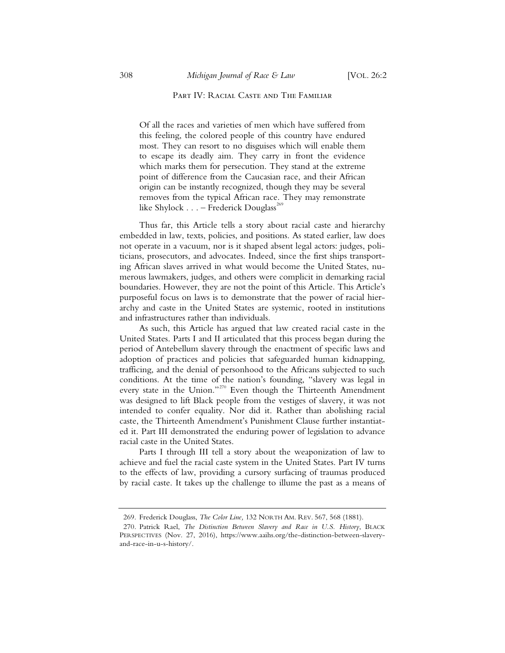# PART IV: RACIAL CASTE AND THE FAMILIAR

Of all the races and varieties of men which have suffered from this feeling, the colored people of this country have endured most. They can resort to no disguises which will enable them to escape its deadly aim. They carry in front the evidence which marks them for persecution. They stand at the extreme point of difference from the Caucasian race, and their African origin can be instantly recognized, though they may be several removes from the typical African race. They may remonstrate like Shylock  $\ldots$  – Frederick Douglass<sup>269</sup>

Thus far, this Article tells a story about racial caste and hierarchy embedded in law, texts, policies, and positions. As stated earlier, law does not operate in a vacuum, nor is it shaped absent legal actors: judges, politicians, prosecutors, and advocates. Indeed, since the first ships transporting African slaves arrived in what would become the United States, numerous lawmakers, judges, and others were complicit in demarking racial boundaries. However, they are not the point of this Article. This Article's purposeful focus on laws is to demonstrate that the power of racial hierarchy and caste in the United States are systemic, rooted in institutions and infrastructures rather than individuals.

As such, this Article has argued that law created racial caste in the United States. Parts I and II articulated that this process began during the period of Antebellum slavery through the enactment of specific laws and adoption of practices and policies that safeguarded human kidnapping, trafficing, and the denial of personhood to the Africans subjected to such conditions. At the time of the nation's founding, "slavery was legal in every state in the Union."<sup>270</sup> Even though the Thirteenth Amendment was designed to lift Black people from the vestiges of slavery, it was not intended to confer equality. Nor did it. Rather than abolishing racial caste, the Thirteenth Amendment's Punishment Clause further instantiated it. Part III demonstrated the enduring power of legislation to advance racial caste in the United States.

Parts I through III tell a story about the weaponization of law to achieve and fuel the racial caste system in the United States. Part IV turns to the effects of law, providing a cursory surfacing of traumas produced by racial caste. It takes up the challenge to illume the past as a means of

<sup>269.</sup> Frederick Douglass, *The Color Line,* 132 NORTH AM. REV. 567, 568 (1881).

<sup>270.</sup> Patrick Rael, *The Distinction Between Slavery and Race in U.S. History*, BLACK PERSPECTIVES (Nov. 27, 2016), https://www.aaihs.org/the-distinction-between-slaveryand-race-in-u-s-history/.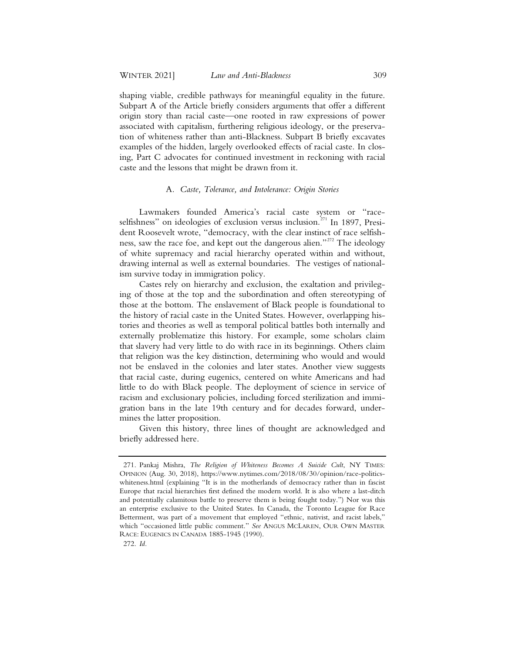shaping viable, credible pathways for meaningful equality in the future. Subpart A of the Article briefly considers arguments that offer a different origin story than racial caste—one rooted in raw expressions of power associated with capitalism, furthering religious ideology, or the preservation of whiteness rather than anti-Blackness. Subpart B briefly excavates examples of the hidden, largely overlooked effects of racial caste. In closing, Part C advocates for continued investment in reckoning with racial caste and the lessons that might be drawn from it.

# A*. Caste, Tolerance, and Intolerance: Origin Stories*

Lawmakers founded America's racial caste system or "raceselfishness" on ideologies of exclusion versus inclusion.<sup> $271$ </sup> In 1897, President Roosevelt wrote, "democracy, with the clear instinct of race selfishness, saw the race foe, and kept out the dangerous alien."<sup>272</sup> The ideology of white supremacy and racial hierarchy operated within and without, drawing internal as well as external boundaries. The vestiges of nationalism survive today in immigration policy.

Castes rely on hierarchy and exclusion, the exaltation and privileging of those at the top and the subordination and often stereotyping of those at the bottom. The enslavement of Black people is foundational to the history of racial caste in the United States. However, overlapping histories and theories as well as temporal political battles both internally and externally problematize this history. For example, some scholars claim that slavery had very little to do with race in its beginnings. Others claim that religion was the key distinction, determining who would and would not be enslaved in the colonies and later states. Another view suggests that racial caste, during eugenics, centered on white Americans and had little to do with Black people. The deployment of science in service of racism and exclusionary policies, including forced sterilization and immigration bans in the late 19th century and for decades forward, undermines the latter proposition.

Given this history, three lines of thought are acknowledged and briefly addressed here.

<sup>271.</sup> Pankaj Mishra, *The Religion of Whiteness Becomes A Suicide Cult*, NY TIMES: OPINION (Aug. 30, 2018), https://www.nytimes.com/2018/08/30/opinion/race-politicswhiteness.html (explaining "It is in the motherlands of democracy rather than in fascist Europe that racial hierarchies first defined the modern world. It is also where a last-ditch and potentially calamitous battle to preserve them is being fought today.") Nor was this an enterprise exclusive to the United States. In Canada, the Toronto League for Race Betterment, was part of a movement that employed "ethnic, nativist, and racist labels," which "occasioned little public comment." *See* ANGUS MCLAREN, OUR OWN MASTER RACE: EUGENICS IN CANADA 1885-1945 (1990).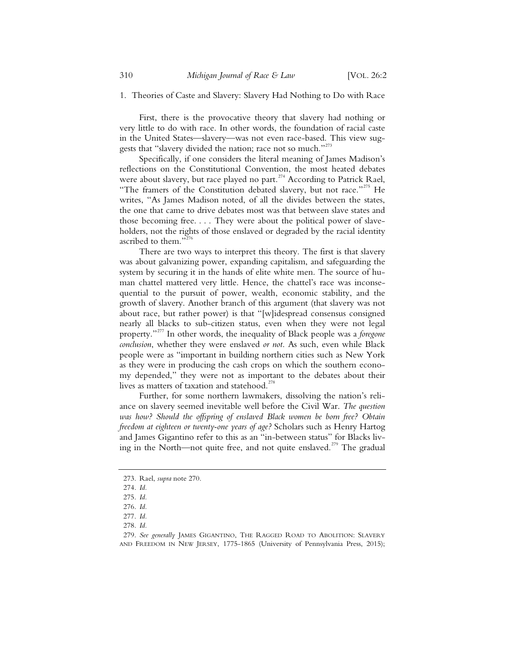### 1. Theories of Caste and Slavery: Slavery Had Nothing to Do with Race

First, there is the provocative theory that slavery had nothing or very little to do with race. In other words, the foundation of racial caste in the United States—slavery—was not even race-based. This view suggests that "slavery divided the nation; race not so much."<sup>273</sup>

Specifically, if one considers the literal meaning of James Madison's reflections on the Constitutional Convention, the most heated debates were about slavery, but race played no part.<sup>274</sup> According to Patrick Rael, "The framers of the Constitution debated slavery, but not race."<sup>275</sup> He writes, "As James Madison noted, of all the divides between the states, the one that came to drive debates most was that between slave states and those becoming free. . . . They were about the political power of slaveholders, not the rights of those enslaved or degraded by the racial identity ascribed to them." $\frac{3}{2}$ 

There are two ways to interpret this theory. The first is that slavery was about galvanizing power, expanding capitalism, and safeguarding the system by securing it in the hands of elite white men. The source of human chattel mattered very little. Hence, the chattel's race was inconsequential to the pursuit of power, wealth, economic stability, and the growth of slavery. Another branch of this argument (that slavery was not about race, but rather power) is that "[w]idespread consensus consigned nearly all blacks to sub-citizen status, even when they were not legal property."<sup>277</sup> In other words, the inequality of Black people was a *foregone conclusion*, whether they were enslaved *or not*. As such, even while Black people were as "important in building northern cities such as New York as they were in producing the cash crops on which the southern economy depended," they were not as important to the debates about their lives as matters of taxation and statehood.<sup>278</sup>

Further, for some northern lawmakers, dissolving the nation's reliance on slavery seemed inevitable well before the Civil War. *The question was how? Should the offspring of enslaved Black women be born free? Obtain freedom at eighteen or twenty-one years of age?* Scholars such as Henry Hartog and James Gigantino refer to this as an "in-between status" for Blacks living in the North—not quite free, and not quite enslaved.<sup>279</sup> The gradual

<sup>273.</sup> Rael, *supra* note 270.

<sup>274.</sup> *Id.*

<sup>275.</sup> *Id.*

<sup>276.</sup> *Id.*

<sup>277.</sup> *Id.*

<sup>278.</sup> *Id.*

<sup>279.</sup> *See generally* JAMES GIGANTINO, THE RAGGED ROAD TO ABOLITION: SLAVERY AND FREEDOM IN NEW JERSEY, 1775-1865 (University of Pennsylvania Press, 2015);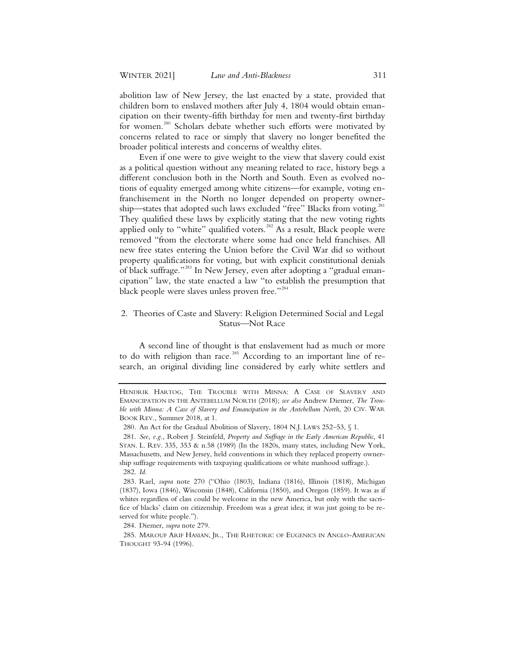abolition law of New Jersey, the last enacted by a state, provided that children born to enslaved mothers after July 4, 1804 would obtain emancipation on their twenty-fifth birthday for men and twenty-first birthday for women.<sup>280</sup> Scholars debate whether such efforts were motivated by concerns related to race or simply that slavery no longer benefited the broader political interests and concerns of wealthy elites.

Even if one were to give weight to the view that slavery could exist as a political question without any meaning related to race, history begs a different conclusion both in the North and South. Even as evolved notions of equality emerged among white citizens—for example, voting enfranchisement in the North no longer depended on property ownership—states that adopted such laws excluded "free" Blacks from voting.<sup>281</sup> They qualified these laws by explicitly stating that the new voting rights applied only to "white" qualified voters. $282$  As a result, Black people were removed "from the electorate where some had once held franchises. All new free states entering the Union before the Civil War did so without property qualifications for voting, but with explicit constitutional denials of black suffrage."283 In New Jersey, even after adopting a "gradual emancipation" law, the state enacted a law "to establish the presumption that black people were slaves unless proven free."<sup>284</sup>

# 2. Theories of Caste and Slavery: Religion Determined Social and Legal Status—Not Race

A second line of thought is that enslavement had as much or more to do with religion than race. $^{285}$  According to an important line of research, an original dividing line considered by early white settlers and

284. Diemer, *supra* note 279.

HENDRIK HARTOG, THE TROUBLE WITH MINNA: A CASE OF SLAVERY AND EMANCIPATION IN THE ANTEBELLUM NORTH (2018); *see also* Andrew Diemer, *The Trouble with Minna: A Case of Slavery and Emancipation in the Antebellum North*, 20 CIV. WAR BOOK REV., Summer 2018, at 1.

 <sup>280.</sup> An Act for the Gradual Abolition of Slavery, 1804 N.J. LAWS 252–53, § 1.

 <sup>281.</sup> *See, e.g.*, Robert J. Steinfeld, *Property and Suffrage in the Early American Republic*, 41 STAN. L. REV. 335, 353 & n.58 (1989) (In the 1820s, many states, including New York, Massachusetts, and New Jersey, held conventions in which they replaced property ownership suffrage requirements with taxpaying qualifications or white manhood suffrage.). 282. *Id.* 

 <sup>283.</sup> Rael, *supra* note 270 ("Ohio (1803), Indiana (1816), Illinois (1818), Michigan (1837), Iowa (1846), Wisconsin (1848), California (1850), and Oregon (1859). It was as if whites regardless of class could be welcome in the new America, but only with the sacrifice of blacks' claim on citizenship. Freedom was a great idea; it was just going to be reserved for white people.").

 <sup>285.</sup> MAROUF ARIF HASIAN, JR., THE RHETORIC OF EUGENICS IN ANGLO-AMERICAN THOUGHT 93-94 (1996).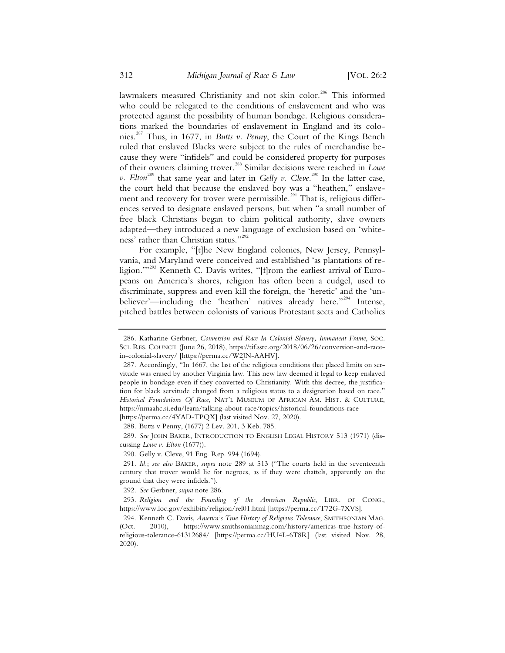lawmakers measured Christianity and not skin color.<sup>286</sup> This informed who could be relegated to the conditions of enslavement and who was protected against the possibility of human bondage. Religious considerations marked the boundaries of enslavement in England and its colonies.<sup>287</sup> Thus, in 1677, in *Butts v. Penny*, the Court of the Kings Bench ruled that enslaved Blacks were subject to the rules of merchandise because they were "infidels" and could be considered property for purposes of their owners claiming trover.<sup>288</sup> Similar decisions were reached in *Lowe*   $\nu$ . Elton<sup>289</sup> that same year and later in *Gelly v*. *Cleve*.<sup>290</sup> In the latter case, the court held that because the enslaved boy was a "heathen," enslavement and recovery for trover were permissible.<sup>291</sup> That is, religious differences served to designate enslaved persons, but when "a small number of free black Christians began to claim political authority, slave owners adapted—they introduced a new language of exclusion based on 'whiteness' rather than Christian status."<sup>292</sup>

For example, "[t]he New England colonies, New Jersey, Pennsylvania, and Maryland were conceived and established 'as plantations of religion."<sup>293</sup> Kenneth C. Davis writes, "[f]rom the earliest arrival of Europeans on America's shores, religion has often been a cudgel, used to discriminate, suppress and even kill the foreign, the 'heretic' and the 'unbeliever'—including the 'heathen' natives already here."<sup>294</sup> Intense, pitched battles between colonists of various Protestant sects and Catholics

288. Butts v Penny, (1677) 2 Lev. 201, 3 Keb. 785.

289. *See* JOHN BAKER, INTRODUCTION TO ENGLISH LEGAL HISTORY 513 (1971) (discussing *Lowe v. Elton* (1677)).

290. Gelly v. Cleve, 91 Eng. Rep. 994 (1694).

291. *Id.*; *see also* BAKER, *supra* note 289 at 513 ("The courts held in the seventeenth century that trover would lie for negroes, as if they were chattels, apparently on the ground that they were infidels.").

292. *See* Gerbner, *supra* note 286.

293. *Religion and the Founding of the American Republic*, LIBR. OF CONG., https://www.loc.gov/exhibits/religion/rel01.html [https://perma.cc/T72G-7XVS].

294. Kenneth C. Davis, *America's True History of Religious Tolerance*, SMITHSONIAN MAG. (Oct. 2010), https://www.smithsonianmag.com/history/americas-true-history-ofreligious-tolerance-61312684/ [https://perma.cc/HU4L-6T8R] (last visited Nov. 28, 2020).

<sup>286.</sup> Katharine Gerbner, *Conversion and Race In Colonial Slavery, Immanent Frame*, SOC. SCI. RES. COUNCIL (June 26, 2018), https://tif.ssrc.org/2018/06/26/conversion-and-racein-colonial-slavery/ [https://perma.cc/W2JN-AAHV].

<sup>287.</sup> Accordingly, "In 1667, the last of the religious conditions that placed limits on servitude was erased by another Virginia law. This new law deemed it legal to keep enslaved people in bondage even if they converted to Christianity. With this decree, the justification for black servitude changed from a religious status to a designation based on race." *Historical Foundations Of Race*, NAT'L MUSEUM OF AFRICAN AM. HIST.&CULTURE, https://nmaahc.si.edu/learn/talking-about-race/topics/historical-foundations-race [https://perma.cc/4YAD-TPQX] (last visited Nov. 27, 2020).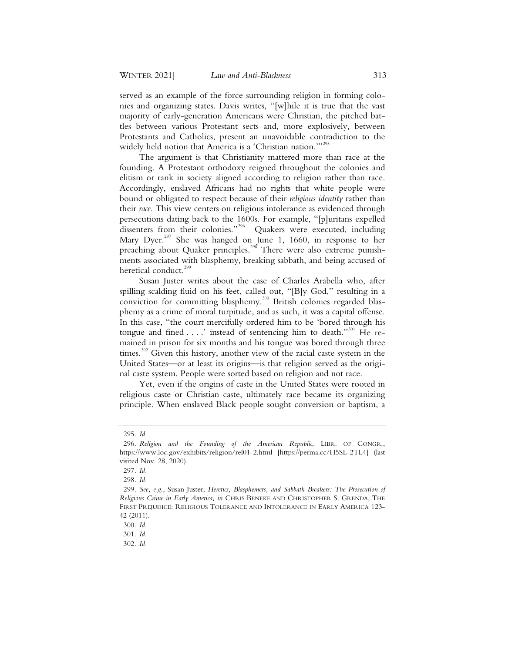served as an example of the force surrounding religion in forming colonies and organizing states. Davis writes, "[w]hile it is true that the vast majority of early-generation Americans were Christian, the pitched battles between various Protestant sects and, more explosively, between Protestants and Catholics, present an unavoidable contradiction to the widely held notion that America is a 'Christian nation."<sup>295</sup>

The argument is that Christianity mattered more than race at the founding. A Protestant orthodoxy reigned throughout the colonies and elitism or rank in society aligned according to religion rather than race. Accordingly, enslaved Africans had no rights that white people were bound or obligated to respect because of their *religious identity* rather than their *race*. This view centers on religious intolerance as evidenced through persecutions dating back to the 1600s. For example, "[p]uritans expelled dissenters from their colonies."<sup>296</sup> Quakers were executed, including Mary Dyer.<sup>297</sup> She was hanged on June 1, 1660, in response to her preaching about Quaker principles.<sup>298</sup> There were also extreme punishments associated with blasphemy, breaking sabbath, and being accused of heretical conduct.<sup>299</sup>

Susan Juster writes about the case of Charles Arabella who, after spilling scalding fluid on his feet, called out, "[B]y God," resulting in a conviction for committing blasphemy.<sup>300</sup> British colonies regarded blasphemy as a crime of moral turpitude, and as such, it was a capital offense. In this case, "the court mercifully ordered him to be 'bored through his tongue and fined  $\dots$  instead of sentencing him to death."<sup>301</sup> He remained in prison for six months and his tongue was bored through three times. $302$  Given this history, another view of the racial caste system in the United States—or at least its origins—is that religion served as the original caste system. People were sorted based on religion and not race.

Yet, even if the origins of caste in the United States were rooted in religious caste or Christian caste, ultimately race became its organizing principle. When enslaved Black people sought conversion or baptism, a

<sup>295.</sup> *Id.*

<sup>296.</sup> *Religion and the Founding of the American Republic*, LIBR. OF CONGR., https://www.loc.gov/exhibits/religion/rel01-2.html [https://perma.cc/H5SL-2TL4] (last visited Nov. 28, 2020).

<sup>297.</sup> *Id.*

<sup>298.</sup> *Id.*

<sup>299.</sup> *See, e.g.*, Susan Juster, *Heretics, Blasphemers, and Sabbath Breakers: The Prosecution of Religious Crime in Early America, in* CHRIS BENEKE AND CHRISTOPHER S. GRENDA, THE FIRST PREJUDICE: RELIGIOUS TOLERANCE AND INTOLERANCE IN EARLY AMERICA 123-42 (2011).

<sup>300.</sup> *Id.*

<sup>301.</sup> *Id.*

<sup>302.</sup> *Id.*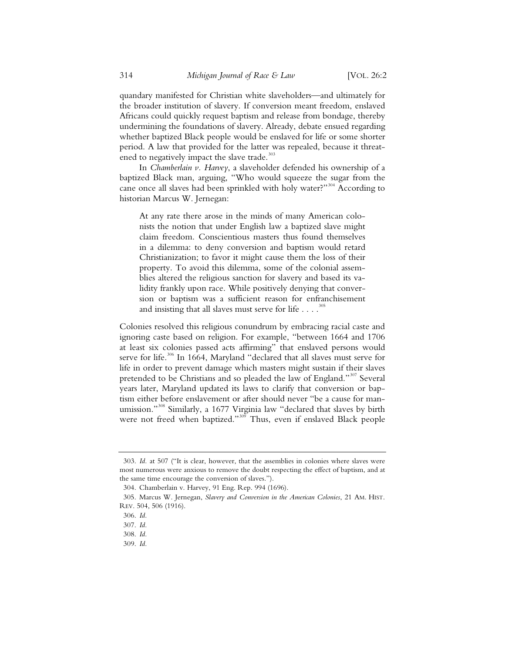quandary manifested for Christian white slaveholders—and ultimately for the broader institution of slavery. If conversion meant freedom, enslaved Africans could quickly request baptism and release from bondage, thereby undermining the foundations of slavery. Already, debate ensued regarding whether baptized Black people would be enslaved for life or some shorter period. A law that provided for the latter was repealed, because it threatened to negatively impact the slave trade.<sup>303</sup>

In *Chamberlain v. Harvey*, a slaveholder defended his ownership of a baptized Black man, arguing, "Who would squeeze the sugar from the cane once all slaves had been sprinkled with holy water?"<sup>304</sup> According to historian Marcus W. Jernegan:

At any rate there arose in the minds of many American colonists the notion that under English law a baptized slave might claim freedom. Conscientious masters thus found themselves in a dilemma: to deny conversion and baptism would retard Christianization; to favor it might cause them the loss of their property. To avoid this dilemma, some of the colonial assemblies altered the religious sanction for slavery and based its validity frankly upon race. While positively denying that conversion or baptism was a sufficient reason for enfranchisement and insisting that all slaves must serve for life  $\dots$  .<sup>305</sup>

Colonies resolved this religious conundrum by embracing racial caste and ignoring caste based on religion. For example, "between 1664 and 1706 at least six colonies passed acts affirming" that enslaved persons would serve for life.<sup>306</sup> In 1664, Maryland "declared that all slaves must serve for life in order to prevent damage which masters might sustain if their slaves pretended to be Christians and so pleaded the law of England."<sup>307</sup> Several years later, Maryland updated its laws to clarify that conversion or baptism either before enslavement or after should never "be a cause for manumission."<sup>308</sup> Similarly, a 1677 Virginia law "declared that slaves by birth were not freed when baptized."<sup>309</sup> Thus, even if enslaved Black people

309. *Id.*

 <sup>303.</sup> *Id.* at 507 ("It is clear, however, that the assemblies in colonies where slaves were most numerous were anxious to remove the doubt respecting the effect of baptism, and at the same time encourage the conversion of slaves.").

 <sup>304.</sup> Chamberlain v. Harvey, 91 Eng. Rep. 994 (1696).

 <sup>305.</sup> Marcus W. Jernegan, *Slavery and Conversion in the American Colonies*, 21 AM. HIST. REV. 504, 506 (1916).

 <sup>306.</sup> *Id.*

 <sup>307.</sup> *Id.*

 <sup>308.</sup> *Id.*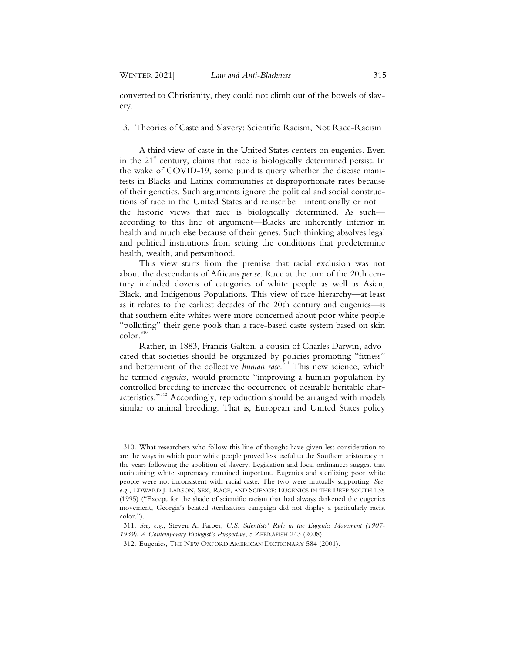converted to Christianity, they could not climb out of the bowels of slavery.

3. Theories of Caste and Slavery: Scientific Racism, Not Race-Racism

A third view of caste in the United States centers on eugenics. Even in the  $21<sup>st</sup>$  century, claims that race is biologically determined persist. In the wake of COVID-19, some pundits query whether the disease manifests in Blacks and Latinx communities at disproportionate rates because of their genetics. Such arguments ignore the political and social constructions of race in the United States and reinscribe—intentionally or not the historic views that race is biologically determined. As such according to this line of argument—Blacks are inherently inferior in health and much else because of their genes. Such thinking absolves legal and political institutions from setting the conditions that predetermine health, wealth, and personhood.

This view starts from the premise that racial exclusion was not about the descendants of Africans *per se*. Race at the turn of the 20th century included dozens of categories of white people as well as Asian, Black, and Indigenous Populations. This view of race hierarchy—at least as it relates to the earliest decades of the 20th century and eugenics—is that southern elite whites were more concerned about poor white people "polluting" their gene pools than a race-based caste system based on skin  $\text{color.}^{\text{310}}$ 

Rather, in 1883, Francis Galton, a cousin of Charles Darwin, advocated that societies should be organized by policies promoting "fitness" and betterment of the collective *human race*. <sup>311</sup> This new science, which he termed *eugenics,* would promote "improving a human population by controlled breeding to increase the occurrence of desirable heritable characteristics."<sup>312</sup> Accordingly, reproduction should be arranged with models similar to animal breeding. That is, European and United States policy

<sup>310.</sup> What researchers who follow this line of thought have given less consideration to are the ways in which poor white people proved less useful to the Southern aristocracy in the years following the abolition of slavery. Legislation and local ordinances suggest that maintaining white supremacy remained important. Eugenics and sterilizing poor white people were not inconsistent with racial caste. The two were mutually supporting. *See, e.g.*, EDWARD J. LARSON, SEX, RACE, AND SCIENCE: EUGENICS IN THE DEEP SOUTH 138 (1995) ("Except for the shade of scientific racism that had always darkened the eugenics movement, Georgia's belated sterilization campaign did not display a particularly racist color.").

<sup>311.</sup> *See, e.g.*, Steven A. Farber, *U.S. Scientists' Role in the Eugenics Movement (1907- 1939): A Contemporary Biologist's Perspective*,5ZEBRAFISH 243 (2008).

<sup>312.</sup> Eugenics, THE NEW OXFORD AMERICAN DICTIONARY 584 (2001).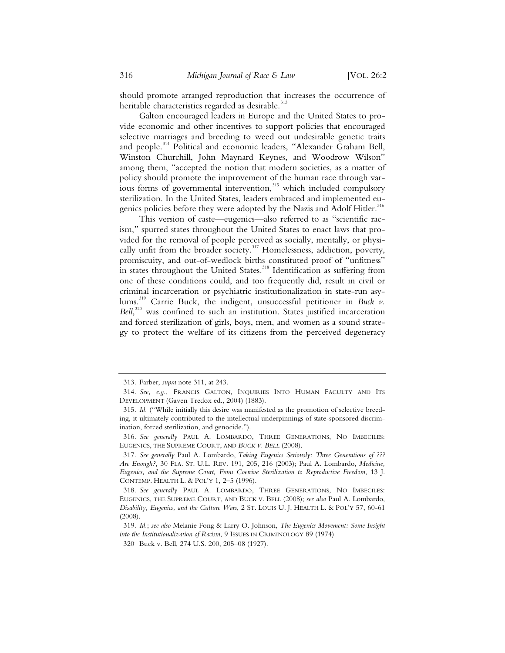should promote arranged reproduction that increases the occurrence of heritable characteristics regarded as desirable.<sup>313</sup>

Galton encouraged leaders in Europe and the United States to provide economic and other incentives to support policies that encouraged selective marriages and breeding to weed out undesirable genetic traits and people.<sup>314</sup> Political and economic leaders, "Alexander Graham Bell, Winston Churchill, John Maynard Keynes, and Woodrow Wilson" among them, "accepted the notion that modern societies, as a matter of policy should promote the improvement of the human race through var- $\frac{1}{1}$  is the sum of governmental intervention,<sup>315</sup> which included compulsory sterilization. In the United States, leaders embraced and implemented eugenics policies before they were adopted by the Nazis and Adolf Hitler.<sup>316</sup>

This version of caste—eugenics—also referred to as "scientific racism," spurred states throughout the United States to enact laws that provided for the removal of people perceived as socially, mentally, or physically unfit from the broader society.<sup>317</sup> Homelessness, addiction, poverty, promiscuity, and out-of-wedlock births constituted proof of "unfitness" in states throughout the United States.<sup>318</sup> Identification as suffering from one of these conditions could, and too frequently did, result in civil or criminal incarceration or psychiatric institutionalization in state-run asylums.319 Carrie Buck, the indigent, unsuccessful petitioner in *Buck v.*  Bell,<sup>320</sup> was confined to such an institution. States justified incarceration and forced sterilization of girls, boys, men, and women as a sound strategy to protect the welfare of its citizens from the perceived degeneracy

 <sup>313.</sup> Farber, *supra* note 311, at 243.

 <sup>314.</sup> *See, e.g.*, FRANCIS GALTON, INQUIRIES INTO HUMAN FACULTY AND ITS DEVELOPMENT (Gaven Tredox ed., 2004) (1883).

 <sup>315.</sup> *Id.* ("While initially this desire was manifested as the promotion of selective breeding, it ultimately contributed to the intellectual underpinnings of state-sponsored discrimination, forced sterilization, and genocide.").

 <sup>316.</sup> *See generally* PAUL A. LOMBARDO, THREE GENERATIONS, NO IMBECILES: EUGENICS, THE SUPREME COURT, AND *BUCK V. BELL* (2008).

 <sup>317.</sup> *See generally* Paul A. Lombardo, *Taking Eugenics Seriously: Three Generations of ??? Are Enough?,* 30 FLA. ST. U.L. REV. 191, 205, 216 (2003); Paul A. Lombardo, *Medicine, Eugenics, and the Supreme Court, From Coercive Sterilization to Reproductive Freedom*, 13 J. CONTEMP. HEALTH L. & POL'Y 1, 2–5 (1996).

 <sup>318.</sup> *See generally* PAUL A. LOMBARDO, THREE GENERATIONS, NO IMBECILES: EUGENICS, THE SUPREME COURT, AND BUCK V. BELL (2008); *see also* Paul A. Lombardo, *Disability, Eugenics, and the Culture Wars*, 2 ST. LOUIS U. J. HEALTH L. & POL'Y 57, 60-61 (2008).

 <sup>319.</sup> *Id.*; *see also* Melanie Fong & Larry O. Johnson, *The Eugenics Movement: Some Insight into the Institutionalization of Racism*, 9 ISSUES IN CRIMINOLOGY 89 (1974).

<sup>320</sup>. Buck v. Bell, 274 U.S. 200, 205–08 (1927).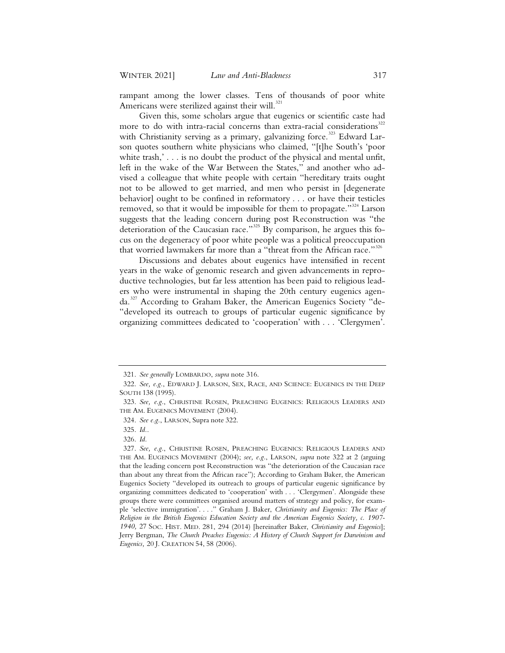rampant among the lower classes. Tens of thousands of poor white Americans were sterilized against their will.<sup>321</sup>

Given this, some scholars argue that eugenics or scientific caste had more to do with intra-racial concerns than extra-racial considerations<sup>322</sup> with Christianity serving as a primary, galvanizing force.<sup>323</sup> Edward Larson quotes southern white physicians who claimed, "[t]he South's 'poor white trash,'... is no doubt the product of the physical and mental unfit, left in the wake of the War Between the States," and another who advised a colleague that white people with certain "hereditary traits ought not to be allowed to get married, and men who persist in [degenerate behavior] ought to be confined in reformatory . . . or have their testicles removed, so that it would be impossible for them to propagate."<sup>324</sup> Larson suggests that the leading concern during post Reconstruction was "the deterioration of the Caucasian race."<sup>325</sup> By comparison, he argues this focus on the degeneracy of poor white people was a political preoccupation that worried lawmakers far more than a "threat from the African race."<sup>326</sup>

Discussions and debates about eugenics have intensified in recent years in the wake of genomic research and given advancements in reproductive technologies, but far less attention has been paid to religious leaders who were instrumental in shaping the 20th century eugenics agenda.<sup>327</sup> According to Graham Baker, the American Eugenics Society "de-"developed its outreach to groups of particular eugenic significance by organizing committees dedicated to 'cooperation' with . . . 'Clergymen'.

<sup>321.</sup> *See generally* LOMBARDO, *supra* note 316.

<sup>322.</sup> *See, e.g.*, EDWARD J. LARSON, SEX, RACE, AND SCIENCE: EUGENICS IN THE DEEP SOUTH 138 (1995).

<sup>323.</sup> *See, e.g.*, CHRISTINE ROSEN, PREACHING EUGENICS: RELIGIOUS LEADERS AND THE AM. EUGENICS MOVEMENT (2004).

<sup>324.</sup> *See e.g.*, LARSON, Supra note 322.

<sup>325.</sup> *Id.*.

<sup>326.</sup> *Id.*

<sup>327.</sup> *See, e.g.*, CHRISTINE ROSEN, PREACHING EUGENICS: RELIGIOUS LEADERS AND THE AM. EUGENICS MOVEMENT (2004); *see, e.g.*, LARSON, *supra* note 322 at 2 (arguing that the leading concern post Reconstruction was "the deterioration of the Caucasian race than about any threat from the African race"); According to Graham Baker, the American Eugenics Society "developed its outreach to groups of particular eugenic significance by organizing committees dedicated to 'cooperation' with . . . 'Clergymen'. Alongside these groups there were committees organised around matters of strategy and policy, for example 'selective immigration'. . . ." Graham J. Baker, *Christianity and Eugenics: The Place of Religion in the British Eugenics Education Society and the American Eugenics Society, c. 1907- 1940,* 27 SOC. HIST. MED. 281, 294 (2014) [hereinafter Baker, *Christianity and Eugenics*]; Jerry Bergman, *The Church Preaches Eugenics: A History of Church Support for Darwinism and Eugenics,* 20 J. CREATION 54, 58 (2006).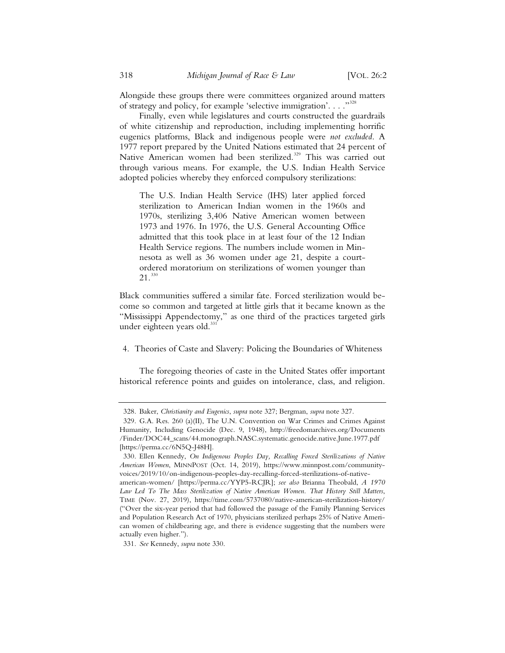Alongside these groups there were committees organized around matters of strategy and policy, for example 'selective immigration'. . . ."<sup>328</sup>

Finally, even while legislatures and courts constructed the guardrails of white citizenship and reproduction, including implementing horrific eugenics platforms, Black and indigenous people were *not excluded*. A 1977 report prepared by the United Nations estimated that 24 percent of Native American women had been sterilized.<sup>329</sup> This was carried out through various means. For example, the U.S. Indian Health Service adopted policies whereby they enforced compulsory sterilizations:

The U.S. Indian Health Service (IHS) later applied forced sterilization to American Indian women in the 1960s and 1970s, sterilizing 3,406 Native American women between 1973 and 1976. In 1976, the U.S. General Accounting Office admitted that this took place in at least four of the 12 Indian Health Service regions. The numbers include women in Minnesota as well as 36 women under age 21, despite a courtordered moratorium on sterilizations of women younger than  $21.330$ 

Black communities suffered a similar fate. Forced sterilization would become so common and targeted at little girls that it became known as the "Mississippi Appendectomy," as one third of the practices targeted girls under eighteen years old.<sup>331</sup>

4. Theories of Caste and Slavery: Policing the Boundaries of Whiteness

The foregoing theories of caste in the United States offer important historical reference points and guides on intolerance, class, and religion.

<sup>328.</sup> Baker, *Christianity and Eugenics*, *supra* note 327; Bergman, *supra* note 327.

<sup>329.</sup> G.A. Res. 260 (a)(II), The U.N. Convention on War Crimes and Crimes Against Humanity, Including Genocide (Dec. 9, 1948), http://freedomarchives.org/Documents /Finder/DOC44\_scans/44.monograph.NASC.systematic.genocide.native.June.1977.pdf [https://perma.cc/6N5Q-J48H].

<sup>330.</sup> Ellen Kennedy, *On Indigenous Peoples Day, Recalling Forced Sterilizations of Native American Women*, MINNPOST (Oct. 14, 2019), https://www.minnpost.com/communityvoices/2019/10/on-indigenous-peoples-day-recalling-forced-sterilizations-of-native-

american-women/ [https://perma.cc/YYP5-RCJR]; *see also* Brianna Theobald, *A 1970 Law Led To The Mass Sterilization of Native American Women. That History Still Matters*, TIME (Nov. 27, 2019), https://time.com/5737080/native-american-sterilization-history/ ("Over the six-year period that had followed the passage of the Family Planning Services and Population Research Act of 1970, physicians sterilized perhaps 25% of Native American women of childbearing age, and there is evidence suggesting that the numbers were actually even higher.").

<sup>331.</sup> *See* Kennedy, *supra* note 330.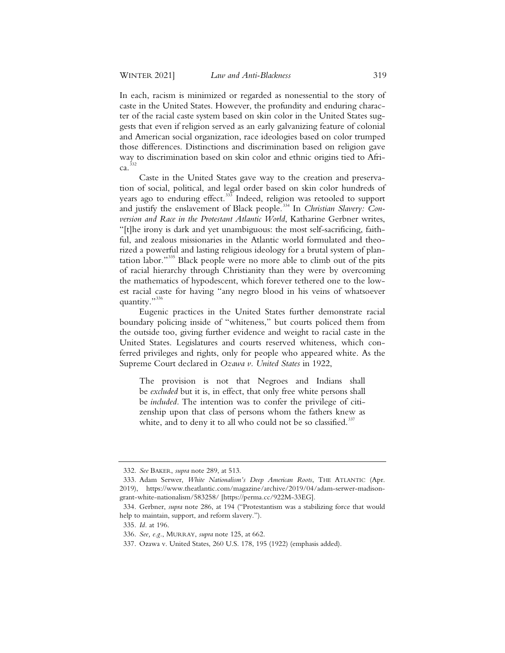In each, racism is minimized or regarded as nonessential to the story of caste in the United States. However, the profundity and enduring character of the racial caste system based on skin color in the United States suggests that even if religion served as an early galvanizing feature of colonial and American social organization, race ideologies based on color trumped those differences. Distinctions and discrimination based on religion gave way to discrimination based on skin color and ethnic origins tied to Afri $ca.$ <sup>332</sup>

Caste in the United States gave way to the creation and preservation of social, political, and legal order based on skin color hundreds of years ago to enduring effect.<sup>333</sup> Indeed, religion was retooled to support and justify the enslavement of Black people.<sup>334</sup> In *Christian Slavery: Conversion and Race in the Protestant Atlantic World*, Katharine Gerbner writes, "[t]he irony is dark and yet unambiguous: the most self-sacrificing, faithful, and zealous missionaries in the Atlantic world formulated and theorized a powerful and lasting religious ideology for a brutal system of plantation labor."<sup>335</sup> Black people were no more able to climb out of the pits of racial hierarchy through Christianity than they were by overcoming the mathematics of hypodescent, which forever tethered one to the lowest racial caste for having "any negro blood in his veins of whatsoever quantity."<sup>336</sup>

Eugenic practices in the United States further demonstrate racial boundary policing inside of "whiteness," but courts policed them from the outside too, giving further evidence and weight to racial caste in the United States. Legislatures and courts reserved whiteness, which conferred privileges and rights, only for people who appeared white. As the Supreme Court declared in *Ozawa v. United States* in 1922,

The provision is not that Negroes and Indians shall be *excluded* but it is, in effect, that only free white persons shall be *included.* The intention was to confer the privilege of citizenship upon that class of persons whom the fathers knew as white, and to deny it to all who could not be so classified.<sup>337</sup>

 <sup>332.</sup> *See* BAKER, *supra* note 289, at 513.

 <sup>333.</sup> Adam Serwer, *White Nationalism's Deep American Roots*, THE ATLANTIC (Apr. 2019), https://www.theatlantic.com/magazine/archive/2019/04/adam-serwer-madisongrant-white-nationalism/583258/ [https://perma.cc/922M-33EG].

 <sup>334.</sup> Gerbner, *supra* note 286, at 194 ("Protestantism was a stabilizing force that would help to maintain, support, and reform slavery.").

 <sup>335.</sup> *Id.* at 196.

 <sup>336.</sup> *See, e.g.*, MURRAY, *supra* note 125, at 662.

 <sup>337.</sup> Ozawa v. United States, 260 U.S. 178, 195 (1922) (emphasis added).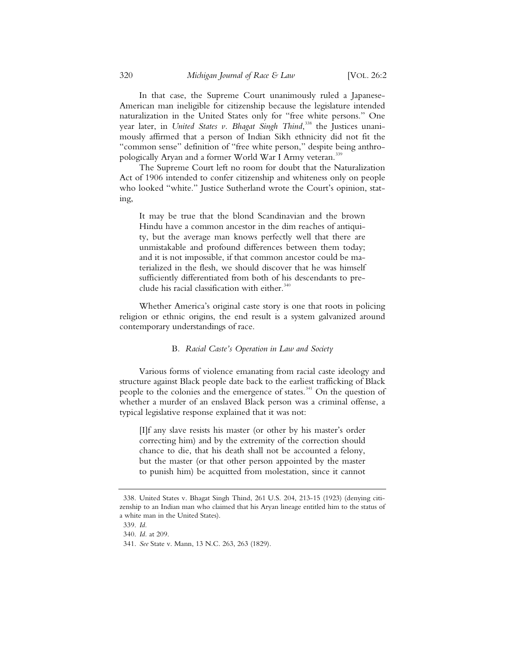In that case, the Supreme Court unanimously ruled a Japanese-American man ineligible for citizenship because the legislature intended naturalization in the United States only for "free white persons." One year later, in *United States v. Bhagat Singh Thind*, <sup>338</sup> the Justices unanimously affirmed that a person of Indian Sikh ethnicity did not fit the "common sense" definition of "free white person," despite being anthropologically Aryan and a former World War I Army veteran.<sup>339</sup>

The Supreme Court left no room for doubt that the Naturalization Act of 1906 intended to confer citizenship and whiteness only on people who looked "white." Justice Sutherland wrote the Court's opinion, stating,

It may be true that the blond Scandinavian and the brown Hindu have a common ancestor in the dim reaches of antiquity, but the average man knows perfectly well that there are unmistakable and profound differences between them today; and it is not impossible, if that common ancestor could be materialized in the flesh, we should discover that he was himself sufficiently differentiated from both of his descendants to preclude his racial classification with either. $340$ 

Whether America's original caste story is one that roots in policing religion or ethnic origins, the end result is a system galvanized around contemporary understandings of race.

### B*. Racial Caste's Operation in Law and Society*

Various forms of violence emanating from racial caste ideology and structure against Black people date back to the earliest trafficking of Black people to the colonies and the emergence of states.<sup>341</sup> On the question of whether a murder of an enslaved Black person was a criminal offense, a typical legislative response explained that it was not:

[I]f any slave resists his master (or other by his master's order correcting him) and by the extremity of the correction should chance to die, that his death shall not be accounted a felony, but the master (or that other person appointed by the master to punish him) be acquitted from molestation, since it cannot

 <sup>338.</sup> United States v. Bhagat Singh Thind, 261 U.S. 204, 213-15 (1923) (denying citizenship to an Indian man who claimed that his Aryan lineage entitled him to the status of a white man in the United States).

 <sup>339.</sup> *Id.* 

 <sup>340.</sup> *Id.* at 209.

 <sup>341.</sup> *See* State v. Mann, 13 N.C. 263, 263 (1829).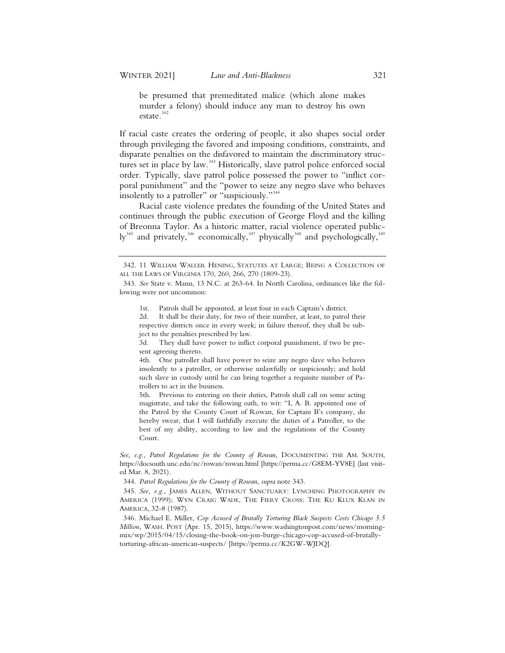be presumed that premeditated malice (which alone makes murder a felony) should induce any man to destroy his own estate.<sup>342</sup>

If racial caste creates the ordering of people, it also shapes social order through privileging the favored and imposing conditions, constraints, and disparate penalties on the disfavored to maintain the discriminatory structures set in place by law.<sup>343</sup> Historically, slave patrol police enforced social order. Typically, slave patrol police possessed the power to "inflict corporal punishment" and the "power to seize any negro slave who behaves insolently to a patroller" or "suspiciously."<sup>344</sup>

Racial caste violence predates the founding of the United States and continues through the public execution of George Floyd and the killing of Breonna Taylor. As a historic matter, racial violence operated publicly<sup>345</sup> and privately,<sup>346</sup> economically,<sup>347</sup> physically<sup>348</sup> and psychologically,<sup>3</sup>

<sup>342. 11</sup> WILLIAM WALLER HENING, STATUTES AT LARGE; BEING A COLLECTION OF ALL THE LAWS OF VIRGINIA 170, 260, 266, 270 (1809-23).

<sup>343.</sup> *See* State v. Mann, 13 N.C. at 263-64. In North Carolina, ordinances like the following were not uncommon:

<sup>1</sup>st. Patrols shall be appointed, at least four in each Captain's district.

<sup>2</sup>d. It shall be their duty, for two of their number, at least, to patrol their respective districts once in every week; in failure thereof, they shall be subject to the penalties prescribed by law.

<sup>3</sup>d. They shall have power to inflict corporal punishment, if two be present agreeing thereto.

<sup>4</sup>th. One patroller shall have power to seize any negro slave who behaves insolently to a patroller, or otherwise unlawfully or suspiciously; and hold such slave in custody until he can bring together a requisite number of Patrollers to act in the business.

<sup>5</sup>th. Previous to entering on their duties, Patrols shall call on some acting magistrate, and take the following oath, to wit: "I, A. B. appointed one of the Patrol by the County Court of Rowan, for Captain B's company, do hereby swear, that I will faithfully execute the duties of a Patroller, to the best of my ability, according to law and the regulations of the County Court.

*See, e.g.*, *Patrol Regulations for the County of Rowan,* DOCUMENTING THE AM. SOUTH, https://docsouth.unc.edu/nc/rowan/rowan.html [https://perma.cc/G8EM-YV8E] (last visited Mar. 8, 2021).

<sup>344.</sup> *Patrol Regulations for the County of Rowan*, *supra* note 343.

<sup>345.</sup> *See, e.g.*, JAMES ALLEN, WITHOUT SANCTUARY: LYNCHING PHOTOGRAPHY IN AMERICA (1999); WYN CRAIG WADE, THE FIERY CROSS: THE KU KLUX KLAN IN AMERICA, 32-8 (1987).

<sup>346.</sup> Michael E. Miller, *Cop Accused of Brutally Torturing Black Suspects Costs Chicago 5.5 Million*, WASH. POST (Apr. 15, 2015), https://www.washingtonpost.com/news/morningmix/wp/2015/04/15/closing-the-book-on-jon-burge-chicago-cop-accused-of-brutallytorturing-african-american-suspects/ [https://perma.cc/K2GW-WJDQ].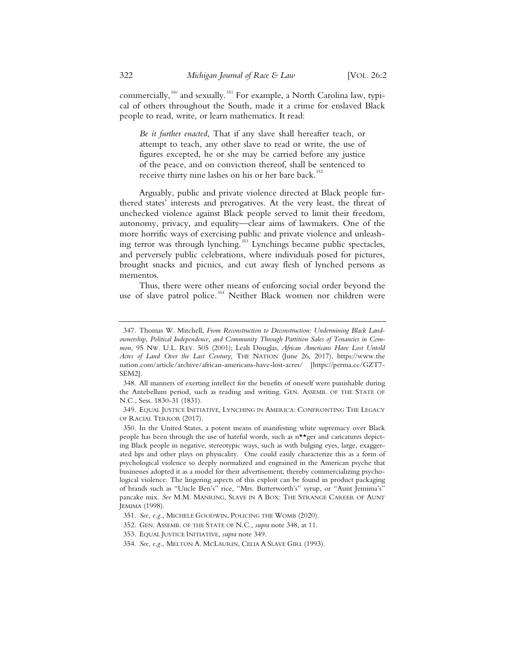commercially,<sup>350</sup> and sexually.<sup>351</sup> For example, a North Carolina law, typical of others throughout the South, made it a crime for enslaved Black people to read, write, or learn mathematics. It read:

*Be it further enacted*, That if any slave shall hereafter teach, or attempt to teach, any other slave to read or write, the use of figures excepted, he or she may be carried before any justice of the peace, and on conviction thereof, shall be sentenced to receive thirty nine lashes on his or her bare back.<sup>352</sup>

Arguably, public and private violence directed at Black people furthered states' interests and prerogatives. At the very least, the threat of unchecked violence against Black people served to limit their freedom, autonomy, privacy, and equality—clear aims of lawmakers. One of the more horrific ways of exercising public and private violence and unleashing terror was through lynching.<sup>353</sup> Lynchings became public spectacles, and perversely public celebrations, where individuals posed for pictures, brought snacks and picnics, and cut away flesh of lynched persons as mementos.

Thus, there were other means of enforcing social order beyond the use of slave patrol police.<sup>354</sup> Neither Black women nor children were

 <sup>347.</sup> Thomas W. Mitchell, *From Reconstruction to Deconstruction: Undermining Black Landownership, Political Independence, and Community Through Partition Sales of Tenancies in Common,* 95 NW. U.L. REV. 505 (2001); Leah Douglas, *African Americans Have Lost Untold Acres of Land Over the Last Century,* THE NATION (June 26, 2017), https://www.the nation.com/article/archive/african-americans-have-lost-acres/ [https://perma.cc/GZT7- SEM2].

 <sup>348.</sup> All manners of exerting intellect for the benefits of oneself were punishable during the Antebellum period, such as reading and writing. GEN. ASSEMB. OF THE STATE OF N.C., Sess. 1830-31 (1831).

 <sup>349.</sup> EQUAL JUSTICE INITIATIVE, LYNCHING IN AMERICA: CONFRONTING THE LEGACY OF RACIAL TERROR (2017).

 <sup>350.</sup> In the United States, a potent means of manifesting white supremacy over Black people has been through the use of hateful words, such as  $n \star \star$ ger and caricatures depicting Black people in negative, stereotypic ways, such as with bulging eyes, large, exaggerated lips and other plays on physicality. One could easily characterize this as a form of psychological violence so deeply normalized and engrained in the American psyche that businesses adopted it as a model for their advertisement, thereby commercializing psychological violence. The lingering aspects of this exploit can be found in product packaging of brands such as "Uncle Ben's" rice, "Mrs. Butterworth's" syrup, or "Aunt Jemima's" pancake mix. *See* M.M. MANRING, SLAVE IN A BOX: THE STRANGE CAREER OF AUNT JEMIMA (1998).

 <sup>351.</sup> *See, e.g.*, MICHELE GOODWIN, POLICING THE WOMB (2020).

 <sup>352.</sup> GEN. ASSEMB. OF THE STATE OF N.C., *supra* note 348, at 11.

 <sup>353.</sup> EQUAL JUSTICE INITIATIVE, *supra* note 349.

 <sup>354.</sup> *See, e.g.*, MELTON A. MCLAURIN, CELIA A SLAVE GIRL (1993).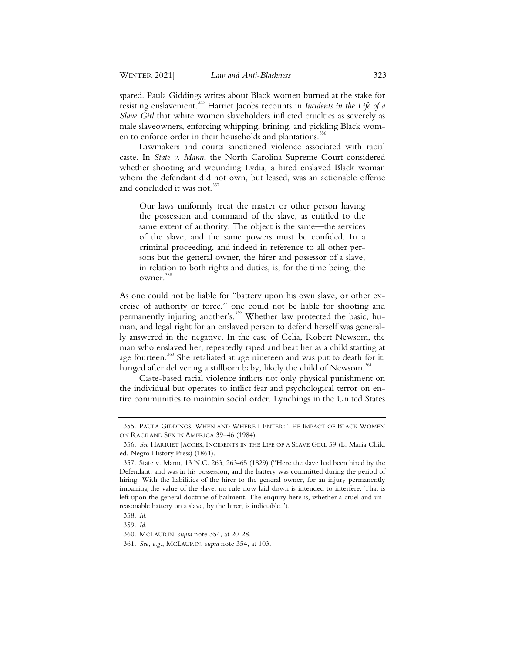spared. Paula Giddings writes about Black women burned at the stake for resisting enslavement.355 Harriet Jacobs recounts in *Incidents in the Life of a Slave Girl* that white women slaveholders inflicted cruelties as severely as male slaveowners, enforcing whipping, brining, and pickling Black women to enforce order in their households and plantations.<sup>356</sup>

Lawmakers and courts sanctioned violence associated with racial caste. In *State v. Mann*, the North Carolina Supreme Court considered whether shooting and wounding Lydia, a hired enslaved Black woman whom the defendant did not own, but leased, was an actionable offense and concluded it was not.<sup>357</sup>

Our laws uniformly treat the master or other person having the possession and command of the slave, as entitled to the same extent of authority. The object is the same—the services of the slave; and the same powers must be confided. In a criminal proceeding, and indeed in reference to all other persons but the general owner, the hirer and possessor of a slave, in relation to both rights and duties, is, for the time being, the owner.<sup>358</sup>

As one could not be liable for "battery upon his own slave, or other exercise of authority or force," one could not be liable for shooting and permanently injuring another's.<sup>359</sup> Whether law protected the basic, human, and legal right for an enslaved person to defend herself was generally answered in the negative. In the case of Celia, Robert Newsom, the man who enslaved her, repeatedly raped and beat her as a child starting at age fourteen.<sup>360</sup> She retaliated at age nineteen and was put to death for it, hanged after delivering a stillborn baby, likely the child of Newsom.<sup>361</sup>

Caste-based racial violence inflicts not only physical punishment on the individual but operates to inflict fear and psychological terror on entire communities to maintain social order. Lynchings in the United States

 <sup>355.</sup> PAULA GIDDINGS, WHEN AND WHERE I ENTER: THE IMPACT OF BLACK WOMEN ON RACE AND SEX IN AMERICA 39–46 (1984).

 <sup>356.</sup> *See* HARRIET JACOBS, INCIDENTS IN THE LIFE OF A SLAVE GIRL 59 (L. Maria Child ed. Negro History Press) (1861).

 <sup>357.</sup> State v. Mann, 13 N.C. 263, 263-65 (1829) ("Here the slave had been hired by the Defendant, and was in his possession; and the battery was committed during the period of hiring. With the liabilities of the hirer to the general owner, for an injury permanently impairing the value of the slave, no rule now laid down is intended to interfere. That is left upon the general doctrine of bailment. The enquiry here is, whether a cruel and unreasonable battery on a slave, by the hirer, is indictable.").

 <sup>358.</sup> *Id.*

 <sup>359.</sup> *Id.*

 <sup>360.</sup> MCLAURIN, *supra* note 354, at 20-28.

 <sup>361.</sup> *See, e.g.*, MCLAURIN, *supra* note 354, at 103.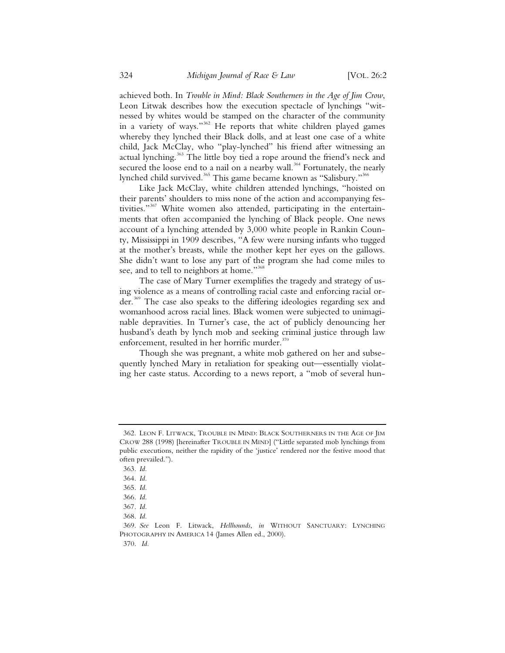achieved both. In *Trouble in Mind: Black Southerners in the Age of Jim Crow*, Leon Litwak describes how the execution spectacle of lynchings "witnessed by whites would be stamped on the character of the community in a variety of ways."<sup>362</sup> He reports that white children played games whereby they lynched their Black dolls, and at least one case of a white child, Jack McClay, who "play-lynched" his friend after witnessing an actual lynching.<sup>363</sup> The little boy tied a rope around the friend's neck and secured the loose end to a nail on a nearby wall.<sup>364</sup> Fortunately, the nearly lynched child survived.<sup>365</sup> This game became known as "Salisbury."<sup>366</sup>

Like Jack McClay, white children attended lynchings, "hoisted on their parents' shoulders to miss none of the action and accompanying festivities."<sup>367</sup> White women also attended, participating in the entertainments that often accompanied the lynching of Black people. One news account of a lynching attended by 3,000 white people in Rankin County, Mississippi in 1909 describes, "A few were nursing infants who tugged at the mother's breasts, while the mother kept her eyes on the gallows. She didn't want to lose any part of the program she had come miles to see, and to tell to neighbors at home."<sup>368</sup>

The case of Mary Turner exemplifies the tragedy and strategy of using violence as a means of controlling racial caste and enforcing racial order.<sup>369</sup> The case also speaks to the differing ideologies regarding sex and womanhood across racial lines. Black women were subjected to unimaginable depravities. In Turner's case, the act of publicly denouncing her husband's death by lynch mob and seeking criminal justice through law enforcement, resulted in her horrific murder.<sup>370</sup>

Though she was pregnant, a white mob gathered on her and subsequently lynched Mary in retaliation for speaking out—essentially violating her caste status. According to a news report, a "mob of several hun-

<sup>362.</sup> LEON F. LITWACK, TROUBLE IN MIND: BLACK SOUTHERNERS IN THE AGE OF JIM CROW 288 (1998) [hereinafter TROUBLE IN MIND] ("Little separated mob lynchings from public executions, neither the rapidity of the 'justice' rendered nor the festive mood that often prevailed.").

<sup>363.</sup> *Id.*

<sup>364.</sup> *Id.*

<sup>365.</sup> *Id.*

<sup>366.</sup> *Id.*

<sup>367.</sup> *Id.*

<sup>368.</sup> *Id.*

<sup>369.</sup> *See* Leon F. Litwack, *Hellhounds*, *in* WITHOUT SANCTUARY: LYNCHING PHOTOGRAPHY IN AMERICA 14 (James Allen ed., 2000).

<sup>370.</sup> *Id.*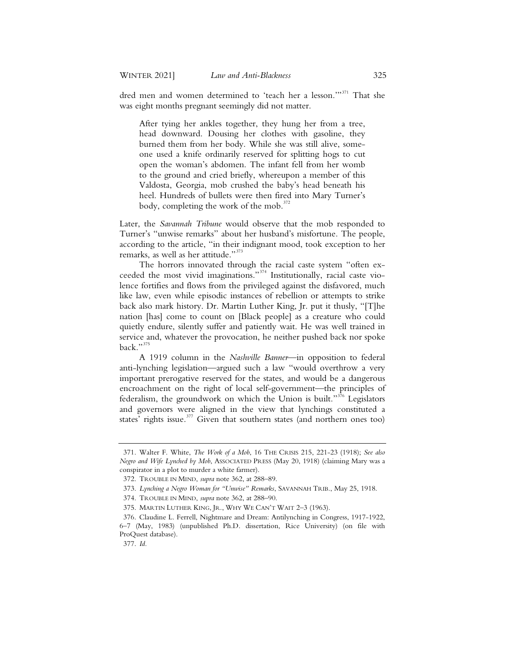dred men and women determined to 'teach her a lesson.'"<sup>371</sup> That she was eight months pregnant seemingly did not matter.

After tying her ankles together, they hung her from a tree, head downward. Dousing her clothes with gasoline, they burned them from her body. While she was still alive, someone used a knife ordinarily reserved for splitting hogs to cut open the woman's abdomen. The infant fell from her womb to the ground and cried briefly, whereupon a member of this Valdosta, Georgia, mob crushed the baby's head beneath his heel. Hundreds of bullets were then fired into Mary Turner's body, completing the work of the mob. $^{372}$ 

Later, the *Savannah Tribune* would observe that the mob responded to Turner's "unwise remarks" about her husband's misfortune. The people, according to the article, "in their indignant mood, took exception to her remarks, as well as her attitude."<sup>373</sup>

The horrors innovated through the racial caste system "often exceeded the most vivid imaginations."<sup>374</sup> Institutionally, racial caste violence fortifies and flows from the privileged against the disfavored, much like law, even while episodic instances of rebellion or attempts to strike back also mark history. Dr. Martin Luther King, Jr. put it thusly, "[T]he nation [has] come to count on [Black people] as a creature who could quietly endure, silently suffer and patiently wait. He was well trained in service and, whatever the provocation, he neither pushed back nor spoke back." $375$ 

A 1919 column in the *Nashville Banner*—in opposition to federal anti-lynching legislation—argued such a law "would overthrow a very important prerogative reserved for the states, and would be a dangerous encroachment on the right of local self-government—the principles of federalism, the groundwork on which the Union is built."<sup>376</sup> Legislators and governors were aligned in the view that lynchings constituted a states' rights issue.<sup>377</sup> Given that southern states (and northern ones too)

 <sup>371.</sup> Walter F. White, *The Work of a Mob*, 16 THE CRISIS 215, 221-23 (1918); *See also Negro and Wife Lynched by Mob*, ASSOCIATED PRESS (May 20, 1918) (claiming Mary was a conspirator in a plot to murder a white farmer).

 <sup>372.</sup> TROUBLE IN MIND, *supra* note 362, at 288–89.

 <sup>373.</sup> *Lynching a Negro Woman for "Unwise" Remarks*, SAVANNAH TRIB., May 25, 1918.

 <sup>374.</sup> TROUBLE IN MIND, *supra* note 362, at 288–90.

 <sup>375.</sup> MARTIN LUTHER KING, JR., WHY WE CAN'T WAIT 2–3 (1963).

 <sup>376.</sup> Claudine L. Ferrell, Nightmare and Dream: Antilynching in Congress, 1917-1922, 6–7 (May, 1983) (unpublished Ph.D. dissertation, Rice University) (on file with ProQuest database).

 <sup>377.</sup> *Id.*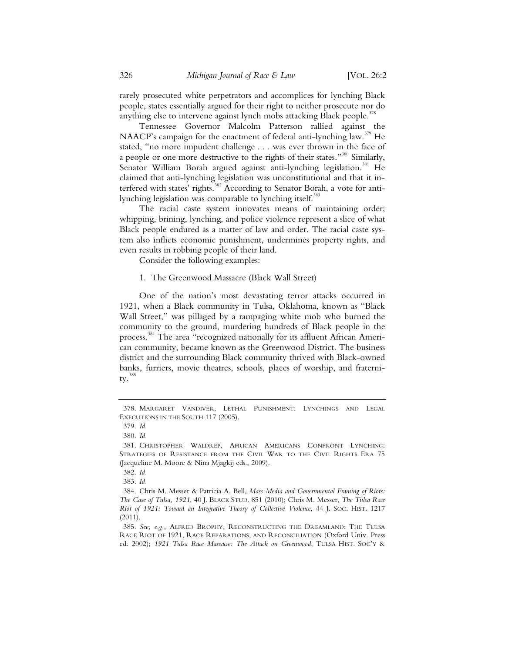rarely prosecuted white perpetrators and accomplices for lynching Black people, states essentially argued for their right to neither prosecute nor do anything else to intervene against lynch mobs attacking Black people.<sup>378</sup>

Tennessee Governor Malcolm Patterson rallied against the NAACP's campaign for the enactment of federal anti-lynching law.<sup>379</sup> He stated, "no more impudent challenge . . . was ever thrown in the face of a people or one more destructive to the rights of their states."<sup>380</sup> Similarly, Senator William Borah argued against anti-lynching legislation.<sup>381</sup> He claimed that anti-lynching legislation was unconstitutional and that it interfered with states' rights.<sup>382</sup> According to Senator Borah, a vote for antilynching legislation was comparable to lynching itself.<sup>383</sup>

The racial caste system innovates means of maintaining order; whipping, brining, lynching, and police violence represent a slice of what Black people endured as a matter of law and order. The racial caste system also inflicts economic punishment, undermines property rights, and even results in robbing people of their land.

Consider the following examples:

### 1. The Greenwood Massacre (Black Wall Street)

One of the nation's most devastating terror attacks occurred in 1921, when a Black community in Tulsa, Oklahoma, known as "Black Wall Street," was pillaged by a rampaging white mob who burned the community to the ground, murdering hundreds of Black people in the process.<sup>384</sup> The area "recognized nationally for its affluent African American community, became known as the Greenwood District. The business district and the surrounding Black community thrived with Black-owned banks, furriers, movie theatres, schools, places of worship, and fraternity. $38$ 

<sup>378.</sup> MARGARET VANDIVER, LETHAL PUNISHMENT: LYNCHINGS AND LEGAL EXECUTIONS IN THE SOUTH 117 (2005).

<sup>379.</sup> *Id.*

<sup>380.</sup> *Id.*

<sup>381.</sup> CHRISTOPHER WALDREP, AFRICAN AMERICANS CONFRONT LYNCHING: STRATEGIES OF RESISTANCE FROM THE CIVIL WAR TO THE CIVIL RIGHTS ERA 75 (Jacqueline M. Moore & Nina Mjagkij eds., 2009).

<sup>382.</sup> *Id.*

<sup>383.</sup> *Id.*

<sup>384.</sup> Chris M. Messer & Patricia A. Bell, *Mass Media and Governmental Framing of Riots: The Case of Tulsa, 1921*, 40 J. BLACK STUD. 851 (2010); Chris M. Messer, *The Tulsa Race Riot of 1921: Toward an Integrative Theory of Collective Violence*, 44 J. SOC. HIST. 1217 (2011).

<sup>385.</sup> *See, e.g.*, ALFRED BROPHY, RECONSTRUCTING THE DREAMLAND: THE TULSA RACE RIOT OF 1921, RACE REPARATIONS, AND RECONCILIATION (Oxford Univ. Press ed. 2002); *1921 Tulsa Race Massacre: The Attack on Greenwood*, TULSA HIST. SOC'Y &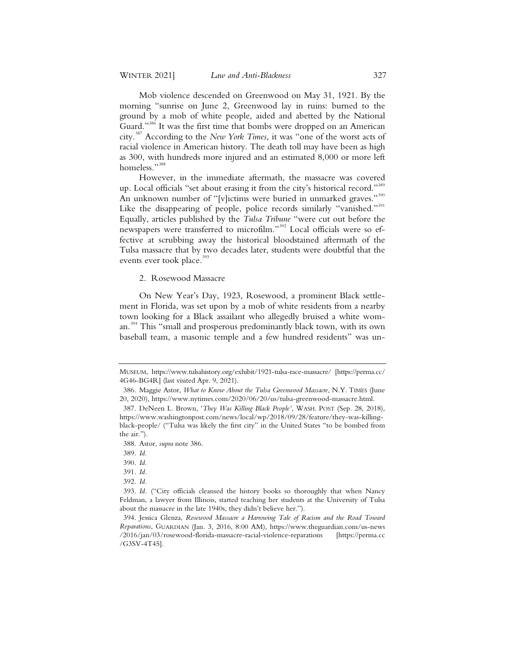Mob violence descended on Greenwood on May 31, 1921. By the morning "sunrise on June 2, Greenwood lay in ruins: burned to the ground by a mob of white people, aided and abetted by the National Guard."<sup>386</sup> It was the first time that bombs were dropped on an American city.<sup>387</sup> According to the *New York Times*, it was "one of the worst acts of racial violence in American history. The death toll may have been as high as 300, with hundreds more injured and an estimated 8,000 or more left homeless."<sup>388</sup>

However, in the immediate aftermath, the massacre was covered up. Local officials "set about erasing it from the city's historical record."<sup>389</sup> An unknown number of "[v]ictims were buried in unmarked graves."<sup>390</sup> Like the disappearing of people, police records similarly "vanished."<sup>391</sup> Equally, articles published by the *Tulsa Tribune* "were cut out before the newspapers were transferred to microfilm."<sup>392</sup> Local officials were so effective at scrubbing away the historical bloodstained aftermath of the Tulsa massacre that by two decades later, students were doubtful that the events ever took place.<sup>393</sup>

#### 2. Rosewood Massacre

On New Year's Day, 1923, Rosewood, a prominent Black settlement in Florida, was set upon by a mob of white residents from a nearby town looking for a Black assailant who allegedly bruised a white woman.<sup>394</sup> This "small and prosperous predominantly black town, with its own baseball team, a masonic temple and a few hundred residents" was un-

MUSEUM, https://www.tulsahistory.org/exhibit/1921-tulsa-race-massacre/ [https://perma.cc/ 4G46-BG4R] (last visited Apr. 9, 2021).

<sup>386.</sup> Maggie Astor, *What to Know About the Tulsa Greenwood Massacre*, N.Y. TIMES (June 20, 2020), https://www.nytimes.com/2020/06/20/us/tulsa-greenwood-massacre.html.

<sup>387.</sup> DeNeen L. Brown, '*They Was Killing Black People'*, WASH. POST (Sep. 28, 2018), https://www.washingtonpost.com/news/local/wp/2018/09/28/feature/they-was-killingblack-people/ ("Tulsa was likely the first city" in the United States "to be bombed from the air.").

<sup>388.</sup> Astor, *supra* note 386.

<sup>389.</sup> *Id.*

<sup>390.</sup> *Id.*

<sup>391.</sup> *Id.*

<sup>392.</sup> *Id.*

<sup>393.</sup> *Id.* ("City officials cleansed the history books so thoroughly that when Nancy Feldman, a lawyer from Illinois, started teaching her students at the University of Tulsa about the massacre in the late 1940s, they didn't believe her.").

<sup>394.</sup> Jessica Glenza, *Rosewood Massacre a Harrowing Tale of Racism and the Road Toward Reparations*, GUARDIAN (Jan. 3, 2016, 8:00 AM), https://www.theguardian.com/us-news /2016/jan/03/rosewood-florida-massacre-racial-violence-reparations [https://perma.cc /G3SV-4T45].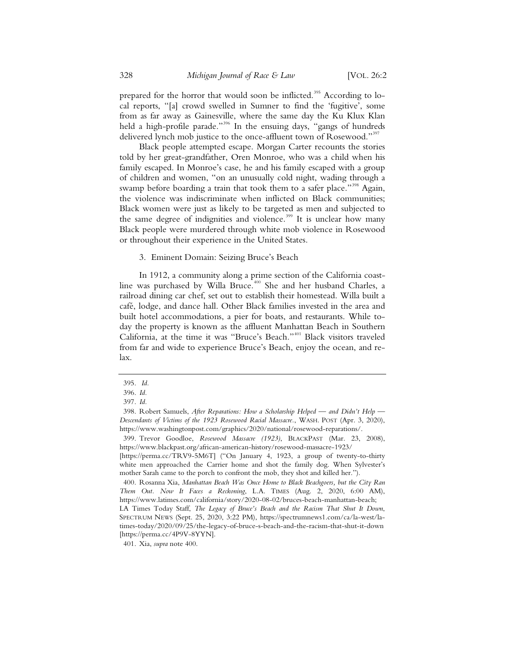prepared for the horror that would soon be inflicted.<sup>395</sup> According to local reports, "[a] crowd swelled in Sumner to find the 'fugitive', some from as far away as Gainesville, where the same day the Ku Klux Klan held a high-profile parade."<sup>396</sup> In the ensuing days, "gangs of hundreds delivered lynch mob justice to the once-affluent town of Rosewood."<sup>397</sup>

Black people attempted escape. Morgan Carter recounts the stories told by her great-grandfather, Oren Monroe, who was a child when his family escaped. In Monroe's case, he and his family escaped with a group of children and women, "on an unusually cold night, wading through a swamp before boarding a train that took them to a safer place."<sup>398</sup> Again, the violence was indiscriminate when inflicted on Black communities; Black women were just as likely to be targeted as men and subjected to the same degree of indignities and violence.<sup>399</sup> It is unclear how many Black people were murdered through white mob violence in Rosewood or throughout their experience in the United States.

3. Eminent Domain: Seizing Bruce's Beach

In 1912, a community along a prime section of the California coastline was purchased by Willa Bruce.<sup>400</sup> She and her husband Charles, a railroad dining car chef, set out to establish their homestead. Willa built a café, lodge, and dance hall. Other Black families invested in the area and built hotel accommodations, a pier for boats, and restaurants. While today the property is known as the affluent Manhattan Beach in Southern California, at the time it was "Bruce's Beach."<sup>401</sup> Black visitors traveled from far and wide to experience Bruce's Beach, enjoy the ocean, and relax.

[https://perma.cc/4P9V-8YYN].

401. Xia, *supra* note 400.

<sup>395.</sup> *Id.*

<sup>396.</sup> *Id.*

<sup>397.</sup> *Id.*

<sup>398.</sup> Robert Samuels, *After Reparations: How a Scholarship Helped — and Didn't Help — Descendants of Victims of the 1923 Rosewood Racial Massacre.*, WASH. POST (Apr. 3, 2020), https://www.washingtonpost.com/graphics/2020/national/rosewood-reparations/.

<sup>399.</sup> Trevor Goodloe, *Rosewood Massacre (1923)*, BLACKPAST (Mar. 23, 2008), https://www.blackpast.org/african-american-history/rosewood-massacre-1923/

<sup>[</sup>https://perma.cc/TRV9-5M6T] ("On January 4, 1923, a group of twenty-to-thirty white men approached the Carrier home and shot the family dog. When Sylvester's mother Sarah came to the porch to confront the mob, they shot and killed her.").

<sup>400.</sup> Rosanna Xia, *Manhattan Beach Was Once Home to Black Beachgoers, but the City Ran Them Out. Now It Faces a Reckoning*, L.A. TIMES (Aug. 2, 2020, 6:00 AM), https://www.latimes.com/california/story/2020-08-02/bruces-beach-manhattan-beach; LA Times Today Staff, *The Legacy of Bruce's Beach and the Racism That Shut It Down*, SPECTRUM NEWS (Sept. 25, 2020, 3:22 PM), https://spectrumnews1.com/ca/la-west/latimes-today/2020/09/25/the-legacy-of-bruce-s-beach-and-the-racism-that-shut-it-down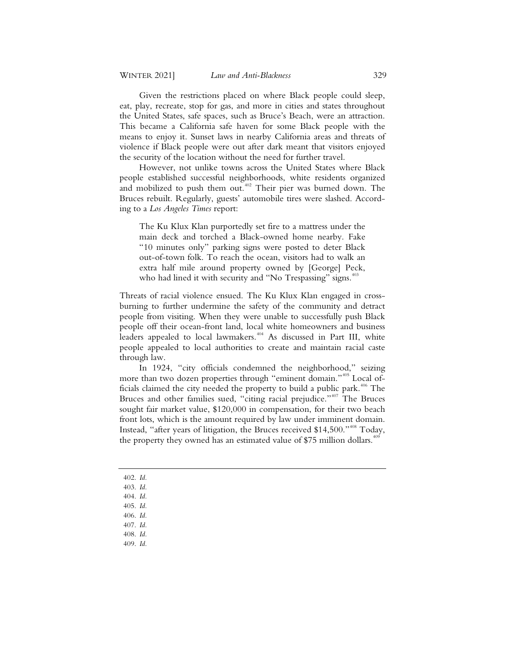Given the restrictions placed on where Black people could sleep, eat, play, recreate, stop for gas, and more in cities and states throughout the United States, safe spaces, such as Bruce's Beach, were an attraction. This became a California safe haven for some Black people with the means to enjoy it. Sunset laws in nearby California areas and threats of violence if Black people were out after dark meant that visitors enjoyed the security of the location without the need for further travel.

However, not unlike towns across the United States where Black people established successful neighborhoods, white residents organized and mobilized to push them out.<sup>402</sup> Their pier was burned down. The Bruces rebuilt. Regularly, guests' automobile tires were slashed. According to a *Los Angeles Times* report:

The Ku Klux Klan purportedly set fire to a mattress under the main deck and torched a Black-owned home nearby. Fake "10 minutes only" parking signs were posted to deter Black out-of-town folk. To reach the ocean, visitors had to walk an extra half mile around property owned by [George] Peck, who had lined it with security and "No Trespassing" signs.<sup>403</sup>

Threats of racial violence ensued. The Ku Klux Klan engaged in crossburning to further undermine the safety of the community and detract people from visiting. When they were unable to successfully push Black people off their ocean-front land, local white homeowners and business leaders appealed to local lawmakers.<sup>404</sup> As discussed in Part III, white people appealed to local authorities to create and maintain racial caste through law.

In 1924, "city officials condemned the neighborhood," seizing more than two dozen properties through "eminent domain."<sup>405</sup> Local officials claimed the city needed the property to build a public park.<sup>406</sup> The Bruces and other families sued, "citing racial prejudice."<sup>407</sup> The Bruces sought fair market value, \$120,000 in compensation, for their two beach front lots, which is the amount required by law under imminent domain. Instead, "after years of litigation, the Bruces received \$14,500."<sup>408</sup> Today, the property they owned has an estimated value of \$75 million dollars.<sup>4</sup>

- 402. *Id.*
- 403. *Id.*
- 404. *Id.*
- 405. *Id.*
- 406. *Id.*
- 407. *Id.*
- 408. *Id.*
- 409. *Id.*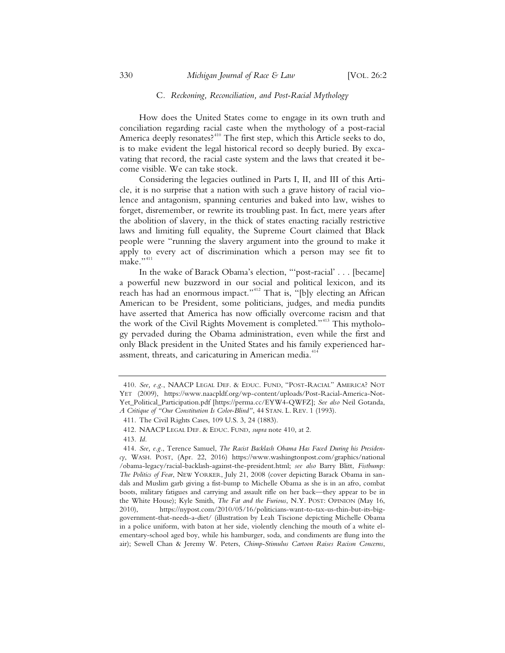### C*. Reckoning, Reconciliation, and Post-Racial Mythology*

How does the United States come to engage in its own truth and conciliation regarding racial caste when the mythology of a post-racial America deeply resonates?<sup>410</sup> The first step, which this Article seeks to do, is to make evident the legal historical record so deeply buried. By excavating that record, the racial caste system and the laws that created it become visible. We can take stock.

Considering the legacies outlined in Parts I, II, and III of this Article, it is no surprise that a nation with such a grave history of racial violence and antagonism, spanning centuries and baked into law, wishes to forget, disremember, or rewrite its troubling past. In fact, mere years after the abolition of slavery, in the thick of states enacting racially restrictive laws and limiting full equality, the Supreme Court claimed that Black people were "running the slavery argument into the ground to make it apply to every act of discrimination which a person may see fit to make.",411

In the wake of Barack Obama's election, "'post-racial' . . . [became] a powerful new buzzword in our social and political lexicon, and its reach has had an enormous impact."<sup>412</sup> That is, "[b]y electing an African American to be President, some politicians, judges, and media pundits have asserted that America has now officially overcome racism and that the work of the Civil Rights Movement is completed."<sup>413</sup> This mythology pervaded during the Obama administration, even while the first and only Black president in the United States and his family experienced harassment, threats, and caricaturing in American media.<sup>414</sup>

<sup>410.</sup> *See, e.g.*, NAACP LEGAL DEF.&EDUC. FUND, "POST-RACIAL" AMERICA? NOT YET (2009), https://www.naacpldf.org/wp-content/uploads/Post-Racial-America-Not-Yet\_Political\_Participation.pdf [https://perma.cc/EYW4-QWFZ]; *See also* Neil Gotanda, *A Critique of "Our Constitution Is Color-Blind"*, 44 STAN. L. REV. 1 (1993).

<sup>411.</sup> The Civil Rights Cases, 109 U.S. 3, 24 (1883).

<sup>412.</sup> NAACP LEGAL DEF.&EDUC. FUND, *supra* note 410, at 2.

<sup>413.</sup> *Id.*

<sup>414.</sup> *See, e.g.*, Terence Samuel, *The Racist Backlash Obama Has Faced During his Presidency*, WASH. POST, (Apr. 22, 2016) https://www.washingtonpost.com/graphics/national /obama-legacy/racial-backlash-against-the-president.html; *see also* Barry Blitt, *Fistbump: The Politics of Fear*, NEW YORKER, July 21, 2008 (cover depicting Barack Obama in sandals and Muslim garb giving a fist-bump to Michelle Obama as she is in an afro, combat boots, military fatigues and carrying and assault rifle on her back—they appear to be in the White House); Kyle Smith, *The Fat and the Furious*, N.Y. POST: OPINION (May 16, 2010), https://nypost.com/2010/05/16/politicians-want-to-tax-us-thin-but-its-biggovernment-that-needs-a-diet/ (illustration by Leah Tiscione depicting Michelle Obama in a police uniform, with baton at her side, violently clenching the mouth of a white elementary-school aged boy, while his hamburger, soda, and condiments are flung into the air); Sewell Chan & Jeremy W. Peters, *Chimp-Stimulus Cartoon Raises Racism Concerns*,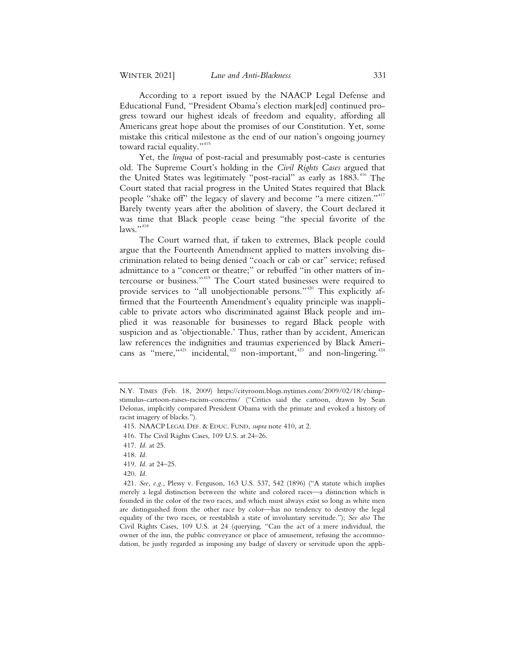According to a report issued by the NAACP Legal Defense and Educational Fund, "President Obama's election mark[ed] continued progress toward our highest ideals of freedom and equality, affording all Americans great hope about the promises of our Constitution. Yet, some mistake this critical milestone as the end of our nation's ongoing journey toward racial equality."<sup>415</sup>

Yet, the *lingua* of post-racial and presumably post-caste is centuries old. The Supreme Court's holding in the *Civil Rights Cases* argued that the United States was legitimately "post-racial" as early as  $1883$ .<sup>416</sup> The Court stated that racial progress in the United States required that Black people "shake off" the legacy of slavery and become "a mere citizen."<sup>417</sup> Barely twenty years after the abolition of slavery, the Court declared it was time that Black people cease being "the special favorite of the  $laws.$ "<sup>418</sup>

The Court warned that, if taken to extremes, Black people could argue that the Fourteenth Amendment applied to matters involving discrimination related to being denied "coach or cab or car" service; refused admittance to a "concert or theatre;" or rebuffed "in other matters of intercourse or business."419 The Court stated businesses were required to provide services to "all unobjectionable persons."<sup>420</sup> This explicitly affirmed that the Fourteenth Amendment's equality principle was inapplicable to private actors who discriminated against Black people and implied it was reasonable for businesses to regard Black people with suspicion and as 'objectionable.' Thus, rather than by accident, American law references the indignities and traumas experienced by Black Americans as "mere,"<sup>421</sup> incidental,  $422$  non-important,  $423$  and non-lingering.<sup>424</sup>

- 419. *Id.* at 24–25.
- 420. *Id.*

N.Y. TIMES (Feb. 18, 2009) https://cityroom.blogs.nytimes.com/2009/02/18/chimpstimulus-cartoon-raises-racism-concerns/ ("Critics said the cartoon, drawn by Sean Delonas, implicitly compared President Obama with the primate and evoked a history of racist imagery of blacks.").

 <sup>415.</sup> NAACP LEGAL DEF. & EDUC. FUND, *supra* note 410, at 2.

 <sup>416.</sup> The Civil Rights Cases, 109 U.S. at 24–26.

 <sup>417.</sup> *Id.* at 25.

 <sup>418.</sup> *Id.*

 <sup>421.</sup> *See, e.g.*, Plessy v. Ferguson, 163 U.S. 537, 542 (1896) ("A statute which implies merely a legal distinction between the white and colored races—a distinction which is founded in the color of the two races, and which must always exist so long as white men are distinguished from the other race by color—has no tendency to destroy the legal equality of the two races, or reestablish a state of involuntary servitude."); *See also* The Civil Rights Cases, 109 U.S. at 24 (querying, "Can the act of a mere individual, the owner of the inn, the public conveyance or place of amusement, refusing the accommodation, be justly regarded as imposing any badge of slavery or servitude upon the appli-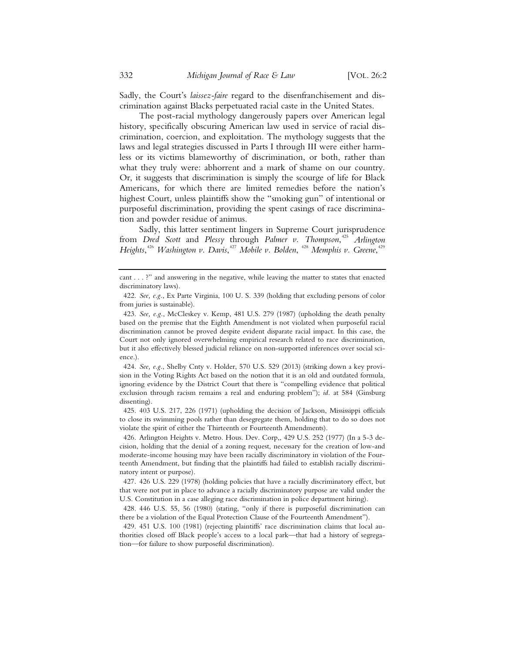Sadly, the Court's *laissez-faire* regard to the disenfranchisement and discrimination against Blacks perpetuated racial caste in the United States.

The post-racial mythology dangerously papers over American legal history, specifically obscuring American law used in service of racial discrimination, coercion, and exploitation. The mythology suggests that the laws and legal strategies discussed in Parts I through III were either harmless or its victims blameworthy of discrimination, or both, rather than what they truly were: abhorrent and a mark of shame on our country. Or, it suggests that discrimination is simply the scourge of life for Black Americans, for which there are limited remedies before the nation's highest Court, unless plaintiffs show the "smoking gun" of intentional or purposeful discrimination, providing the spent casings of race discrimination and powder residue of animus.

Sadly, this latter sentiment lingers in Supreme Court jurisprudence from *Dred Scott* and *Plessy* through *Palmer v. Thompson*, <sup>425</sup> *Arlington Heights*, <sup>426</sup> *Washington v. Davis*, <sup>427</sup> *Mobile v. Bolden*, <sup>428</sup> *Memphis v. Greene*, 429

 424. *See, e.g.*, Shelby Cnty v. Holder, 570 U.S. 529 (2013) (striking down a key provision in the Voting Rights Act based on the notion that it is an old and outdated formula, ignoring evidence by the District Court that there is "compelling evidence that political exclusion through racism remains a real and enduring problem"); *id.* at 584 (Ginsburg dissenting).

 425. 403 U.S. 217, 226 (1971) (upholding the decision of Jackson, Mississippi officials to close its swimming pools rather than desegregate them, holding that to do so does not violate the spirit of either the Thirteenth or Fourteenth Amendments).

 426. Arlington Heights v. Metro. Hous. Dev. Corp,, 429 U.S. 252 (1977) (In a 5-3 decision, holding that the denial of a zoning request, necessary for the creation of low-and moderate-income housing may have been racially discriminatory in violation of the Fourteenth Amendment, but finding that the plaintiffs had failed to establish racially discriminatory intent or purpose).

 427. 426 U.S. 229 (1978) (holding policies that have a racially discriminatory effect, but that were not put in place to advance a racially discriminatory purpose are valid under the U.S. Constitution in a case alleging race discrimination in police department hiring).

 428. 446 U.S. 55, 56 (1980) (stating, "only if there is purposeful discrimination can there be a violation of the Equal Protection Clause of the Fourteenth Amendment").

 429. 451 U.S. 100 (1981) (rejecting plaintiffs' race discrimination claims that local authorities closed off Black people's access to a local park—that had a history of segregation—for failure to show purposeful discrimination).

cant . . . ?" and answering in the negative, while leaving the matter to states that enacted discriminatory laws).

 <sup>422.</sup> *See, e.g.*, Ex Parte Virginia, 100 U. S. 339 (holding that excluding persons of color from juries is sustainable).

 <sup>423.</sup> *See, e.g.*, McCleskey v. Kemp, 481 U.S. 279 (1987) (upholding the death penalty based on the premise that the Eighth Amendment is not violated when purposeful racial discrimination cannot be proved despite evident disparate racial impact. In this case, the Court not only ignored overwhelming empirical research related to race discrimination, but it also effectively blessed judicial reliance on non-supported inferences over social science.).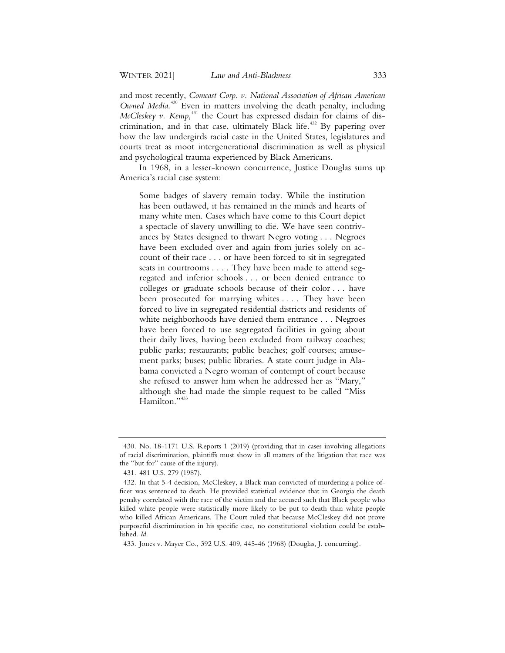and most recently, *Comcast Corp. v. National Association of African American Owned Media*. <sup>430</sup> Even in matters involving the death penalty, including *McCleskey v. Kemp*,<sup>431</sup> the Court has expressed disdain for claims of discrimination, and in that case, ultimately Black life.<sup>432</sup> By papering over how the law undergirds racial caste in the United States, legislatures and courts treat as moot intergenerational discrimination as well as physical and psychological trauma experienced by Black Americans.

In 1968, in a lesser-known concurrence, Justice Douglas sums up America's racial case system:

Some badges of slavery remain today. While the institution has been outlawed, it has remained in the minds and hearts of many white men. Cases which have come to this Court depict a spectacle of slavery unwilling to die. We have seen contrivances by States designed to thwart Negro voting . . . Negroes have been excluded over and again from juries solely on account of their race . . . or have been forced to sit in segregated seats in courtrooms . . . . They have been made to attend segregated and inferior schools . . . or been denied entrance to colleges or graduate schools because of their color . . . have been prosecuted for marrying whites . . . . They have been forced to live in segregated residential districts and residents of white neighborhoods have denied them entrance . . . Negroes have been forced to use segregated facilities in going about their daily lives, having been excluded from railway coaches; public parks; restaurants; public beaches; golf courses; amusement parks; buses; public libraries. A state court judge in Alabama convicted a Negro woman of contempt of court because she refused to answer him when he addressed her as "Mary," although she had made the simple request to be called "Miss Hamilton.",433

<sup>430.</sup> No. 18-1171 U.S. Reports 1 (2019) (providing that in cases involving allegations of racial discrimination, plaintiffs must show in all matters of the litigation that race was the "but for" cause of the injury).

<sup>431. 481</sup> U.S. 279 (1987).

<sup>432.</sup> In that 5-4 decision, McCleskey, a Black man convicted of murdering a police officer was sentenced to death. He provided statistical evidence that in Georgia the death penalty correlated with the race of the victim and the accused such that Black people who killed white people were statistically more likely to be put to death than white people who killed African Americans. The Court ruled that because McCleskey did not prove purposeful discrimination in his specific case, no constitutional violation could be established. *Id.*

<sup>433.</sup> Jones v. Mayer Co., 392 U.S. 409, 445-46 (1968) (Douglas, J. concurring).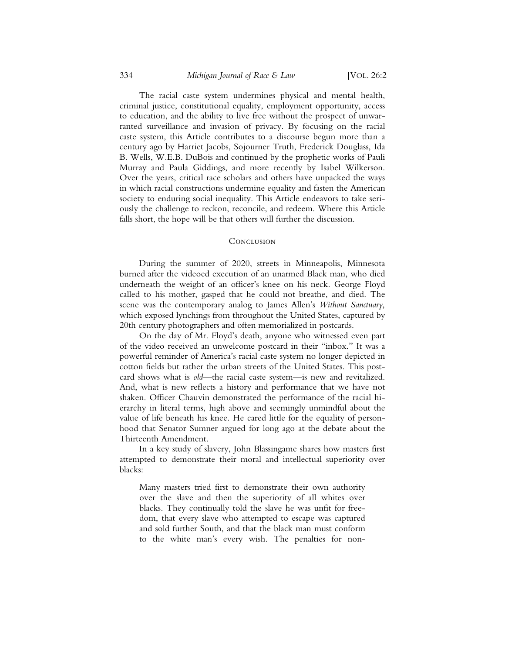The racial caste system undermines physical and mental health, criminal justice, constitutional equality, employment opportunity, access to education, and the ability to live free without the prospect of unwarranted surveillance and invasion of privacy. By focusing on the racial caste system, this Article contributes to a discourse begun more than a century ago by Harriet Jacobs, Sojourner Truth, Frederick Douglass, Ida B. Wells, W.E.B. DuBois and continued by the prophetic works of Pauli Murray and Paula Giddings, and more recently by Isabel Wilkerson. Over the years, critical race scholars and others have unpacked the ways in which racial constructions undermine equality and fasten the American society to enduring social inequality. This Article endeavors to take seriously the challenge to reckon, reconcile, and redeem. Where this Article falls short, the hope will be that others will further the discussion.

## **CONCLUSION**

During the summer of 2020, streets in Minneapolis, Minnesota burned after the videoed execution of an unarmed Black man, who died underneath the weight of an officer's knee on his neck. George Floyd called to his mother, gasped that he could not breathe, and died. The scene was the contemporary analog to James Allen's *Without Sanctuary,*  which exposed lynchings from throughout the United States, captured by 20th century photographers and often memorialized in postcards.

On the day of Mr. Floyd's death, anyone who witnessed even part of the video received an unwelcome postcard in their "inbox." It was a powerful reminder of America's racial caste system no longer depicted in cotton fields but rather the urban streets of the United States. This postcard shows what is *old*—the racial caste system—is new and revitalized. And, what is new reflects a history and performance that we have not shaken. Officer Chauvin demonstrated the performance of the racial hierarchy in literal terms, high above and seemingly unmindful about the value of life beneath his knee. He cared little for the equality of personhood that Senator Sumner argued for long ago at the debate about the Thirteenth Amendment.

In a key study of slavery, John Blassingame shares how masters first attempted to demonstrate their moral and intellectual superiority over blacks:

Many masters tried first to demonstrate their own authority over the slave and then the superiority of all whites over blacks. They continually told the slave he was unfit for freedom, that every slave who attempted to escape was captured and sold further South, and that the black man must conform to the white man's every wish. The penalties for non